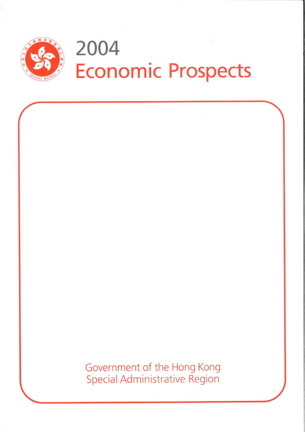

# 2004 **Economic Prospects**

Government of the Hong Kong **Special Administrative Region**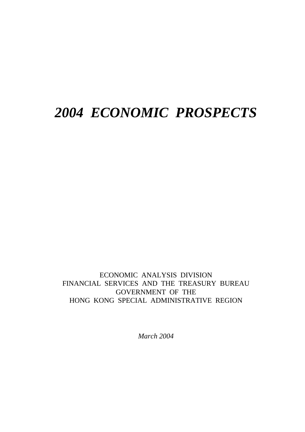# *2004 ECONOMIC PROSPECTS*

ECONOMIC ANALYSIS DIVISION FINANCIAL SERVICES AND THE TREASURY BUREAU GOVERNMENT OF THE HONG KONG SPECIAL ADMINISTRATIVE REGION

*March 2004*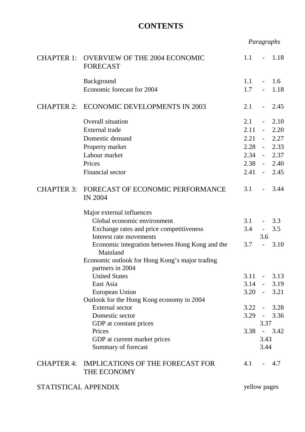# **CONTENTS**

| Paragraphs |
|------------|
|------------|

| <b>CHAPTER 1:</b>    | <b>OVERVIEW OF THE 2004 ECONOMIC</b><br><b>FORECAST</b>                                                                                                                                       | 1.1                         | $\blacksquare$                                                                | 1.18                                                                            |
|----------------------|-----------------------------------------------------------------------------------------------------------------------------------------------------------------------------------------------|-----------------------------|-------------------------------------------------------------------------------|---------------------------------------------------------------------------------|
|                      | Background<br>Economic forecast for 2004                                                                                                                                                      | 1.1<br>1.7                  |                                                                               | 1.6<br>1.18                                                                     |
| <b>CHAPTER 2:</b>    | <b>ECONOMIC DEVELOPMENTS IN 2003</b>                                                                                                                                                          | 2.1                         | $\sim 100$                                                                    | 2.45                                                                            |
|                      | Overall situation<br><b>External</b> trade<br>Domestic demand<br>Property market<br>Labour market<br>Prices<br>Financial sector                                                               | 2.1<br>2.11<br>2.21<br>2.34 | $\omega_{\rm{max}}$<br>$\equiv$<br>$\omega_{\rm{max}}$<br>$\omega_{\rm{max}}$ | 2.10<br>2.20<br>2.27<br>$2.28 - 2.33$<br>2.37<br>$2.38 - 2.40$<br>$2.41 - 2.45$ |
| <b>CHAPTER 3:</b>    | FORECAST OF ECONOMIC PERFORMANCE<br><b>IN 2004</b>                                                                                                                                            | 3.1                         | $\blacksquare$                                                                | 3.44                                                                            |
|                      | Major external influences<br>Global economic environment<br>Exchange rates and price competitiveness<br>Interest rate movements<br>Economic integration between Hong Kong and the<br>Mainland | 3.1<br>3.4<br>3.7           | $\sim 10$<br>3.6<br>$\blacksquare$                                            | 3.3<br>3.5<br>3.10                                                              |
|                      | Economic outlook for Hong Kong's major trading<br>partners in 2004<br><b>United States</b><br>East Asia<br>European Union<br>Outlook for the Hong Kong economy in 2004                        | 3.11                        | $\omega_{\rm{max}}$                                                           | 3.13<br>$3.14 - 3.19$<br>$3.20 - 3.21$                                          |
|                      | <b>External</b> sector<br>Domestic sector<br>GDP at constant prices<br>Prices<br>GDP at current market prices<br>Summary of forecast                                                          |                             | 3.37<br>3.43<br>3.44                                                          | $3.22 - 3.28$<br>$3.29 - 3.36$<br>$3.38 - 3.42$                                 |
|                      | CHAPTER 4: IMPLICATIONS OF THE FORECAST FOR<br>THE ECONOMY                                                                                                                                    | 4.1                         |                                                                               | 4.7                                                                             |
| STATISTICAL APPENDIX |                                                                                                                                                                                               | yellow pages                |                                                                               |                                                                                 |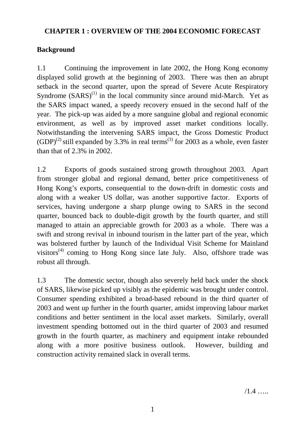# **CHAPTER 1 : OVERVIEW OF THE 2004 ECONOMIC FORECAST**

# **Background**

1.1 Continuing the improvement in late 2002, the Hong Kong economy displayed solid growth at the beginning of 2003. There was then an abrupt setback in the second quarter, upon the spread of Severe Acute Respiratory Syndrome  $(SARS)^{(1)}$  in the local community since around mid-March. Yet as the SARS impact waned, a speedy recovery ensued in the second half of the year. The pick-up was aided by a more sanguine global and regional economic environment, as well as by improved asset market conditions locally. Notwithstanding the intervening SARS impact, the Gross Domestic Product  $(GDP)^{(2)}$  still expanded by 3.3% in real terms<sup>(3)</sup> for 2003 as a whole, even faster than that of 2.3% in 2002.

1.2 Exports of goods sustained strong growth throughout 2003. Apart from stronger global and regional demand, better price competitiveness of Hong Kong's exports, consequential to the down-drift in domestic costs and along with a weaker US dollar, was another supportive factor. Exports of services, having undergone a sharp plunge owing to SARS in the second quarter, bounced back to double-digit growth by the fourth quarter, and still managed to attain an appreciable growth for 2003 as a whole. There was a swift and strong revival in inbound tourism in the latter part of the year, which was bolstered further by launch of the Individual Visit Scheme for Mainland visitors<sup> $(4)$ </sup> coming to Hong Kong since late July. Also, offshore trade was robust all through.

1.3 The domestic sector, though also severely held back under the shock of SARS, likewise picked up visibly as the epidemic was brought under control. Consumer spending exhibited a broad-based rebound in the third quarter of 2003 and went up further in the fourth quarter, amidst improving labour market conditions and better sentiment in the local asset markets. Similarly, overall investment spending bottomed out in the third quarter of 2003 and resumed growth in the fourth quarter, as machinery and equipment intake rebounded along with a more positive business outlook. However, building and construction activity remained slack in overall terms.

 $/1.4$  …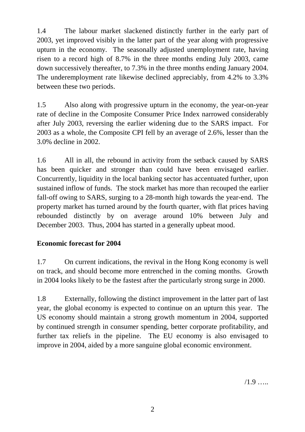1.4 The labour market slackened distinctly further in the early part of 2003, yet improved visibly in the latter part of the year along with progressive upturn in the economy. The seasonally adjusted unemployment rate, having risen to a record high of 8.7% in the three months ending July 2003, came down successively thereafter, to 7.3% in the three months ending January 2004. The underemployment rate likewise declined appreciably, from 4.2% to 3.3% between these two periods.

1.5 Also along with progressive upturn in the economy, the year-on-year rate of decline in the Composite Consumer Price Index narrowed considerably after July 2003, reversing the earlier widening due to the SARS impact. For 2003 as a whole, the Composite CPI fell by an average of 2.6%, lesser than the 3.0% decline in 2002.

1.6 All in all, the rebound in activity from the setback caused by SARS has been quicker and stronger than could have been envisaged earlier. Concurrently, liquidity in the local banking sector has accentuated further, upon sustained inflow of funds. The stock market has more than recouped the earlier fall-off owing to SARS, surging to a 28-month high towards the year-end. The property market has turned around by the fourth quarter, with flat prices having rebounded distinctly by on average around 10% between July and December 2003. Thus, 2004 has started in a generally upbeat mood.

# **Economic forecast for 2004**

1.7 On current indications, the revival in the Hong Kong economy is well on track, and should become more entrenched in the coming months. Growth in 2004 looks likely to be the fastest after the particularly strong surge in 2000.

1.8 Externally, following the distinct improvement in the latter part of last year, the global economy is expected to continue on an upturn this year. The US economy should maintain a strong growth momentum in 2004, supported by continued strength in consumer spending, better corporate profitability, and further tax reliefs in the pipeline. The EU economy is also envisaged to improve in 2004, aided by a more sanguine global economic environment.

 $/1.9$  …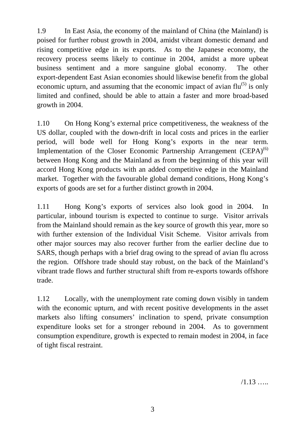1.9 In East Asia, the economy of the mainland of China (the Mainland) is poised for further robust growth in 2004, amidst vibrant domestic demand and rising competitive edge in its exports. As to the Japanese economy, the recovery process seems likely to continue in 2004, amidst a more upbeat business sentiment and a more sanguine global economy. The other export-dependent East Asian economies should likewise benefit from the global economic upturn, and assuming that the economic impact of avian  $flu<sup>(5)</sup>$  is only limited and confined, should be able to attain a faster and more broad-based growth in 2004.

1.10 On Hong Kong's external price competitiveness, the weakness of the US dollar, coupled with the down-drift in local costs and prices in the earlier period, will bode well for Hong Kong's exports in the near term. Implementation of the Closer Economic Partnership Arrangement  $(CEPA)^{(6)}$ between Hong Kong and the Mainland as from the beginning of this year will accord Hong Kong products with an added competitive edge in the Mainland market. Together with the favourable global demand conditions, Hong Kong's exports of goods are set for a further distinct growth in 2004.

1.11 Hong Kong's exports of services also look good in 2004. In particular, inbound tourism is expected to continue to surge. Visitor arrivals from the Mainland should remain as the key source of growth this year, more so with further extension of the Individual Visit Scheme. Visitor arrivals from other major sources may also recover further from the earlier decline due to SARS, though perhaps with a brief drag owing to the spread of avian flu across the region. Offshore trade should stay robust, on the back of the Mainland's vibrant trade flows and further structural shift from re-exports towards offshore trade.

1.12 Locally, with the unemployment rate coming down visibly in tandem with the economic upturn, and with recent positive developments in the asset markets also lifting consumers' inclination to spend, private consumption expenditure looks set for a stronger rebound in 2004. As to government consumption expenditure, growth is expected to remain modest in 2004, in face of tight fiscal restraint.

 $/1.13$  …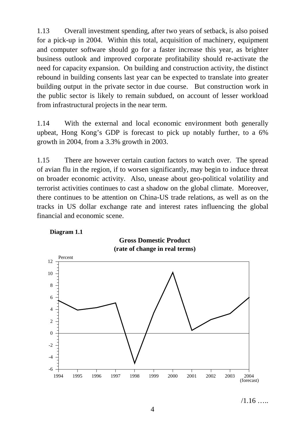1.13 Overall investment spending, after two years of setback, is also poised for a pick-up in 2004. Within this total, acquisition of machinery, equipment and computer software should go for a faster increase this year, as brighter business outlook and improved corporate profitability should re-activate the need for capacity expansion. On building and construction activity, the distinct rebound in building consents last year can be expected to translate into greater building output in the private sector in due course. But construction work in the public sector is likely to remain subdued, on account of lesser workload from infrastructural projects in the near term.

1.14 With the external and local economic environment both generally upbeat, Hong Kong's GDP is forecast to pick up notably further, to a 6% growth in 2004, from a 3.3% growth in 2003.

1.15 There are however certain caution factors to watch over. The spread of avian flu in the region, if to worsen significantly, may begin to induce threat on broader economic activity. Also, unease about geo-political volatility and terrorist activities continues to cast a shadow on the global climate. Moreover, there continues to be attention on China-US trade relations, as well as on the tracks in US dollar exchange rate and interest rates influencing the global financial and economic scene.



 $/1.16$  …

4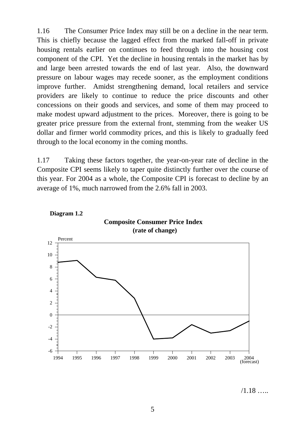1.16 The Consumer Price Index may still be on a decline in the near term. This is chiefly because the lagged effect from the marked fall-off in private housing rentals earlier on continues to feed through into the housing cost component of the CPI. Yet the decline in housing rentals in the market has by and large been arrested towards the end of last year. Also, the downward pressure on labour wages may recede sooner, as the employment conditions improve further. Amidst strengthening demand, local retailers and service providers are likely to continue to reduce the price discounts and other concessions on their goods and services, and some of them may proceed to make modest upward adjustment to the prices. Moreover, there is going to be greater price pressure from the external front, stemming from the weaker US dollar and firmer world commodity prices, and this is likely to gradually feed through to the local economy in the coming months.

1.17 Taking these factors together, the year-on-year rate of decline in the Composite CPI seems likely to taper quite distinctly further over the course of this year. For 2004 as a whole, the Composite CPI is forecast to decline by an average of 1%, much narrowed from the 2.6% fall in 2003.



/1.18 …..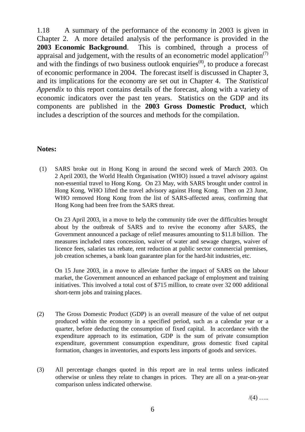1.18 A summary of the performance of the economy in 2003 is given in Chapter 2. A more detailed analysis of the performance is provided in the **2003 Economic Background**. This is combined, through a process of appraisal and judgement, with the results of an econometric model application<sup> $(7)$ </sup> and with the findings of two business outlook enquiries<sup> $(8)$ </sup>, to produce a forecast of economic performance in 2004. The forecast itself is discussed in Chapter 3, and its implications for the economy are set out in Chapter 4. The *Statistical Appendix* to this report contains details of the forecast, along with a variety of economic indicators over the past ten years. Statistics on the GDP and its components are published in the **2003 Gross Domestic Product**, which includes a description of the sources and methods for the compilation.

# **Notes:**

(1) SARS broke out in Hong Kong in around the second week of March 2003. On 2 April 2003, the World Health Organisation (WHO) issued a travel advisory against non-essential travel to Hong Kong. On 23 May, with SARS brought under control in Hong Kong, WHO lifted the travel advisory against Hong Kong. Then on 23 June, WHO removed Hong Kong from the list of SARS-affected areas, confirming that Hong Kong had been free from the SARS threat.

On 23 April 2003, in a move to help the community tide over the difficulties brought about by the outbreak of SARS and to revive the economy after SARS, the Government announced a package of relief measures amounting to \$11.8 billion. The measures included rates concession, waiver of water and sewage charges, waiver of licence fees, salaries tax rebate, rent reduction at public sector commercial premises, job creation schemes, a bank loan guarantee plan for the hard-hit industries, etc.

On 15 June 2003, in a move to alleviate further the impact of SARS on the labour market, the Government announced an enhanced package of employment and training initiatives. This involved a total cost of \$715 million, to create over 32 000 additional short-term jobs and training places.

- (2) The Gross Domestic Product (GDP) is an overall measure of the value of net output produced within the economy in a specified period, such as a calendar year or a quarter, before deducting the consumption of fixed capital. In accordance with the expenditure approach to its estimation, GDP is the sum of private consumption expenditure, government consumption expenditure, gross domestic fixed capital formation, changes in inventories, and exports less imports of goods and services.
- (3) All percentage changes quoted in this report are in real terms unless indicated otherwise or unless they relate to changes in prices. They are all on a year-on-year comparison unless indicated otherwise.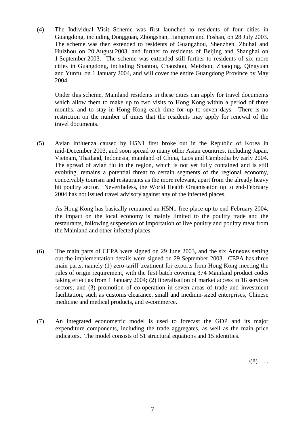(4) The Individual Visit Scheme was first launched to residents of four cities in Guangdong, including Dongguan, Zhongshan, Jiangmen and Foshan, on 28 July 2003. The scheme was then extended to residents of Guangzhou, Shenzhen, Zhuhai and Huizhou on 20 August 2003, and further to residents of Beijing and Shanghai on 1 September 2003. The scheme was extended still further to residents of six more cities in Guangdong, including Shantou, Chaozhou, Meizhou, Zhaoqing, Qingyuan and Yunfu, on 1 January 2004, and will cover the entire Guangdong Province by May 2004.

Under this scheme, Mainland residents in these cities can apply for travel documents which allow them to make up to two visits to Hong Kong within a period of three months, and to stay in Hong Kong each time for up to seven days. There is no restriction on the number of times that the residents may apply for renewal of the travel documents.

(5) Avian influenza caused by H5N1 first broke out in the Republic of Korea in mid-December 2003, and soon spread to many other Asian countries, including Japan, Vietnam, Thailand, Indonesia, mainland of China, Laos and Cambodia by early 2004. The spread of avian flu in the region, which is not yet fully contained and is still evolving, remains a potential threat to certain segments of the regional economy, conceivably tourism and restaurants as the more relevant, apart from the already heavy hit poultry sector. Nevertheless, the World Health Organisation up to end-February 2004 has not issued travel advisory against any of the infected places.

As Hong Kong has basically remained an H5N1-free place up to end-February 2004, the impact on the local economy is mainly limited to the poultry trade and the restaurants, following suspension of importation of live poultry and poultry meat from the Mainland and other infected places.

- (6) The main parts of CEPA were signed on 29 June 2003, and the six Annexes setting out the implementation details were signed on 29 September 2003. CEPA has three main parts, namely (1) zero-tariff treatment for exports from Hong Kong meeting the rules of origin requirement, with the first batch covering 374 Mainland product codes taking effect as from 1 January 2004; (2) liberalisation of market access in 18 services sectors; and (3) promotion of co-operation in seven areas of trade and investment facilitation, such as customs clearance, small and medium-sized enterprises, Chinese medicine and medical products, and e-commerce.
- (7) An integrated econometric model is used to forecast the GDP and its major expenditure components, including the trade aggregates, as well as the main price indicators. The model consists of 51 structural equations and 15 identities.

 $/(8)$  …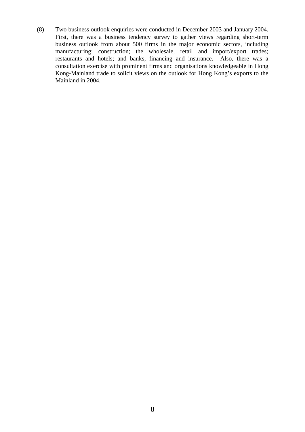(8) Two business outlook enquiries were conducted in December 2003 and January 2004. First, there was a business tendency survey to gather views regarding short-term business outlook from about 500 firms in the major economic sectors, including manufacturing; construction; the wholesale, retail and import/export trades; restaurants and hotels; and banks, financing and insurance. Also, there was a consultation exercise with prominent firms and organisations knowledgeable in Hong Kong-Mainland trade to solicit views on the outlook for Hong Kong's exports to the Mainland in 2004.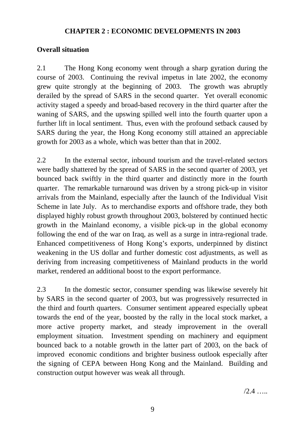# **CHAPTER 2 : ECONOMIC DEVELOPMENTS IN 2003**

# **Overall situation**

2.1 The Hong Kong economy went through a sharp gyration during the course of 2003. Continuing the revival impetus in late 2002, the economy grew quite strongly at the beginning of 2003. The growth was abruptly derailed by the spread of SARS in the second quarter. Yet overall economic activity staged a speedy and broad-based recovery in the third quarter after the waning of SARS, and the upswing spilled well into the fourth quarter upon a further lift in local sentiment. Thus, even with the profound setback caused by SARS during the year, the Hong Kong economy still attained an appreciable growth for 2003 as a whole, which was better than that in 2002.

2.2 In the external sector, inbound tourism and the travel-related sectors were badly shattered by the spread of SARS in the second quarter of 2003, yet bounced back swiftly in the third quarter and distinctly more in the fourth quarter. The remarkable turnaround was driven by a strong pick-up in visitor arrivals from the Mainland, especially after the launch of the Individual Visit Scheme in late July. As to merchandise exports and offshore trade, they both displayed highly robust growth throughout 2003, bolstered by continued hectic growth in the Mainland economy, a visible pick-up in the global economy following the end of the war on Iraq, as well as a surge in intra-regional trade. Enhanced competitiveness of Hong Kong's exports, underpinned by distinct weakening in the US dollar and further domestic cost adjustments, as well as deriving from increasing competitiveness of Mainland products in the world market, rendered an additional boost to the export performance.

2.3 In the domestic sector, consumer spending was likewise severely hit by SARS in the second quarter of 2003, but was progressively resurrected in the third and fourth quarters. Consumer sentiment appeared especially upbeat towards the end of the year, boosted by the rally in the local stock market, a more active property market, and steady improvement in the overall employment situation. Investment spending on machinery and equipment bounced back to a notable growth in the latter part of 2003, on the back of improved economic conditions and brighter business outlook especially after the signing of CEPA between Hong Kong and the Mainland. Building and construction output however was weak all through.

 $/2.4$  ……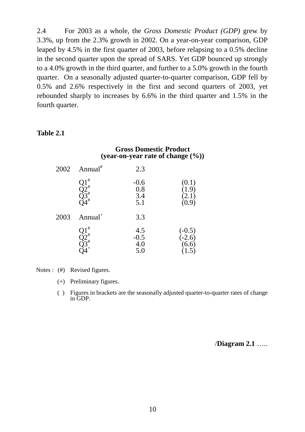2.4 For 2003 as a whole, the *Gross Domestic Product (GDP)* grew by 3.3%, up from the 2.3% growth in 2002. On a year-on-year comparison, GDP leaped by 4.5% in the first quarter of 2003, before relapsing to a 0.5% decline in the second quarter upon the spread of SARS. Yet GDP bounced up strongly to a 4.0% growth in the third quarter, and further to a 5.0% growth in the fourth quarter. On a seasonally adjusted quarter-to-quarter comparison, GDP fell by 0.5% and 2.6% respectively in the first and second quarters of 2003, yet rebounded sharply to increases by 6.6% in the third quarter and 1.5% in the fourth quarter.

#### **Table 2.1**

# **Gross Domestic Product (year-on-year rate of change (%))**

| 2002 | Annual <sup>#</sup>                        | 2.3                         |                                                       |
|------|--------------------------------------------|-----------------------------|-------------------------------------------------------|
|      | #<br>$\sum_{\substack{2 \ 1 \ 2 \ 3}}^{1}$ | $-0.6$<br>0.8<br>3.4<br>5.1 | (0.1)<br>$\left(1.9\right)$<br>(2.1)<br>(0.9)         |
| 2003 | Annual <sup>+</sup>                        | 3.3                         |                                                       |
|      | #<br>$\tilde{\gamma}$ <sup>#</sup>         | 4.5<br>$-0.5$<br>4.0<br>5.0 | $(-0.5)$<br>$(-2.6)$<br>$(6.6)$<br>$\left(1.5\right)$ |

Notes : (#) Revised figures.

(+) Preliminary figures.

( ) Figures in brackets are the seasonally adjusted quarter-to-quarter rates of change in GDP.

/**Diagram 2.1** …..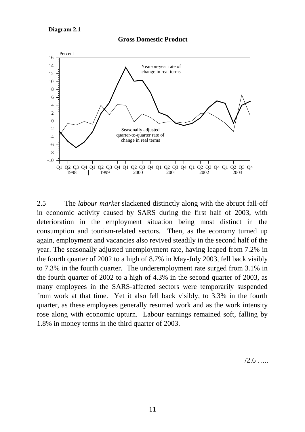#### **Gross Domestic Product**



2.5 The *labour market* slackened distinctly along with the abrupt fall-off in economic activity caused by SARS during the first half of 2003, with deterioration in the employment situation being most distinct in the consumption and tourism-related sectors. Then, as the economy turned up again, employment and vacancies also revived steadily in the second half of the year. The seasonally adjusted unemployment rate, having leaped from 7.2% in the fourth quarter of 2002 to a high of 8.7% in May-July 2003, fell back visibly to 7.3% in the fourth quarter. The underemployment rate surged from 3.1% in the fourth quarter of 2002 to a high of 4.3% in the second quarter of 2003, as many employees in the SARS-affected sectors were temporarily suspended from work at that time. Yet it also fell back visibly, to 3.3% in the fourth quarter, as these employees generally resumed work and as the work intensity rose along with economic upturn. Labour earnings remained soft, falling by 1.8% in money terms in the third quarter of 2003.

 $/2.6$  …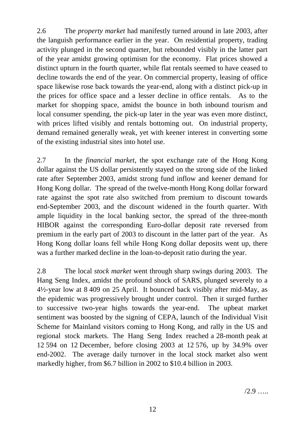2.6 The *property market* had manifestly turned around in late 2003, after the languish performance earlier in the year. On residential property, trading activity plunged in the second quarter, but rebounded visibly in the latter part of the year amidst growing optimism for the economy. Flat prices showed a distinct upturn in the fourth quarter, while flat rentals seemed to have ceased to decline towards the end of the year. On commercial property, leasing of office space likewise rose back towards the year-end, along with a distinct pick-up in the prices for office space and a lesser decline in office rentals. As to the market for shopping space, amidst the bounce in both inbound tourism and local consumer spending, the pick-up later in the year was even more distinct, with prices lifted visibly and rentals bottoming out. On industrial property, demand remained generally weak, yet with keener interest in converting some of the existing industrial sites into hotel use.

2.7 In the *financial market*, the spot exchange rate of the Hong Kong dollar against the US dollar persistently stayed on the strong side of the linked rate after September 2003, amidst strong fund inflow and keener demand for Hong Kong dollar. The spread of the twelve-month Hong Kong dollar forward rate against the spot rate also switched from premium to discount towards end-September 2003, and the discount widened in the fourth quarter. With ample liquidity in the local banking sector, the spread of the three-month HIBOR against the corresponding Euro-dollar deposit rate reversed from premium in the early part of 2003 to discount in the latter part of the year. As Hong Kong dollar loans fell while Hong Kong dollar deposits went up, there was a further marked decline in the loan-to-deposit ratio during the year.

2.8 The local *stock market* went through sharp swings during 2003. The Hang Seng Index, amidst the profound shock of SARS, plunged severely to a 4½-year low at 8 409 on 25 April. It bounced back visibly after mid-May, as the epidemic was progressively brought under control. Then it surged further to successive two-year highs towards the year-end. The upbeat market sentiment was boosted by the signing of CEPA, launch of the Individual Visit Scheme for Mainland visitors coming to Hong Kong, and rally in the US and regional stock markets. The Hang Seng Index reached a 28-month peak at 12 594 on 12 December, before closing 2003 at 12 576, up by 34.9% over end-2002. The average daily turnover in the local stock market also went markedly higher, from \$6.7 billion in 2002 to \$10.4 billion in 2003.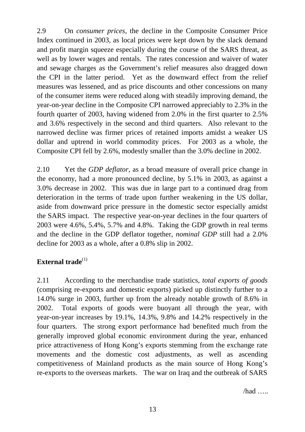2.9 On *consumer prices*, the decline in the Composite Consumer Price Index continued in 2003, as local prices were kept down by the slack demand and profit margin squeeze especially during the course of the SARS threat, as well as by lower wages and rentals. The rates concession and waiver of water and sewage charges as the Government's relief measures also dragged down the CPI in the latter period. Yet as the downward effect from the relief measures was lessened, and as price discounts and other concessions on many of the consumer items were reduced along with steadily improving demand, the year-on-year decline in the Composite CPI narrowed appreciably to 2.3% in the fourth quarter of 2003, having widened from 2.0% in the first quarter to 2.5% and 3.6% respectively in the second and third quarters. Also relevant to the narrowed decline was firmer prices of retained imports amidst a weaker US dollar and uptrend in world commodity prices. For 2003 as a whole, the Composite CPI fell by 2.6%, modestly smaller than the 3.0% decline in 2002.

2.10 Yet the *GDP deflator*, as a broad measure of overall price change in the economy, had a more pronounced decline, by 5.1% in 2003, as against a 3.0% decrease in 2002. This was due in large part to a continued drag from deterioration in the terms of trade upon further weakening in the US dollar, aside from downward price pressure in the domestic sector especially amidst the SARS impact. The respective year-on-year declines in the four quarters of 2003 were 4.6%, 5.4%, 5.7% and 4.8%. Taking the GDP growth in real terms and the decline in the GDP deflator together, *nominal GDP* still had a 2.0% decline for 2003 as a whole, after a 0.8% slip in 2002.

# **External trade**<sup>(1)</sup>

2.11 According to the merchandise trade statistics, *total exports of goods* (comprising re-exports and domestic exports) picked up distinctly further to a 14.0% surge in 2003, further up from the already notable growth of 8.6% in 2002. Total exports of goods were buoyant all through the year, with year-on-year increases by 19.1%, 14.3%, 9.8% and 14.2% respectively in the four quarters. The strong export performance had benefited much from the generally improved global economic environment during the year, enhanced price attractiveness of Hong Kong's exports stemming from the exchange rate movements and the domestic cost adjustments, as well as ascending competitiveness of Mainland products as the main source of Hong Kong's re-exports to the overseas markets. The war on Iraq and the outbreak of SARS

/had …..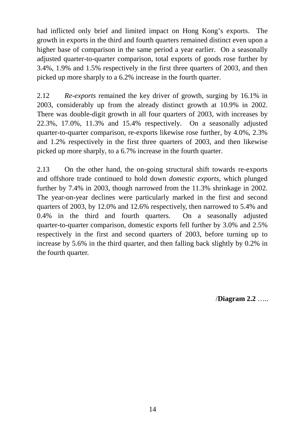had inflicted only brief and limited impact on Hong Kong's exports. The growth in exports in the third and fourth quarters remained distinct even upon a higher base of comparison in the same period a year earlier. On a seasonally adjusted quarter-to-quarter comparison, total exports of goods rose further by 3.4%, 1.9% and 1.5% respectively in the first three quarters of 2003, and then picked up more sharply to a 6.2% increase in the fourth quarter.

2.12 *Re-exports* remained the key driver of growth, surging by 16.1% in 2003, considerably up from the already distinct growth at 10.9% in 2002. There was double-digit growth in all four quarters of 2003, with increases by 22.3%, 17.0%, 11.3% and 15.4% respectively. On a seasonally adjusted quarter-to-quarter comparison, re-exports likewise rose further, by 4.0%, 2.3% and 1.2% respectively in the first three quarters of 2003, and then likewise picked up more sharply, to a 6.7% increase in the fourth quarter.

2.13 On the other hand, the on-going structural shift towards re-exports and offshore trade continued to hold down *domestic exports*, which plunged further by 7.4% in 2003, though narrowed from the 11.3% shrinkage in 2002. The year-on-year declines were particularly marked in the first and second quarters of 2003, by 12.0% and 12.6% respectively, then narrowed to 5.4% and 0.4% in the third and fourth quarters. On a seasonally adjusted quarter-to-quarter comparison, domestic exports fell further by 3.0% and 2.5% respectively in the first and second quarters of 2003, before turning up to increase by 5.6% in the third quarter, and then falling back slightly by 0.2% in the fourth quarter.

/**Diagram 2.2** …..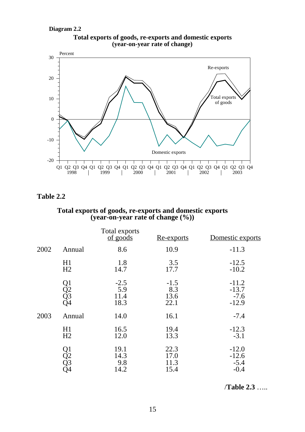**Diagram 2.2**



#### **Total exports of goods, re-exports and domestic exports (year-on-year rate of change)**

# **Table 2.2**

#### **Total exports of goods, re-exports and domestic exports (year-on-year rate of change (%))**

|      |                      | Total exports<br>of goods     | <u>Re-exports</u>             | Domestic exports                        |
|------|----------------------|-------------------------------|-------------------------------|-----------------------------------------|
| 2002 | Annual               | 8.6                           | 10.9                          | $-11.3$                                 |
|      | H1<br>H2             | 1.8<br>14.7                   | 3.5<br>17.7                   | $-12.5$<br>$-10.2$                      |
|      | Q1<br>Q2<br>Q3<br>Q4 | $-2.5$<br>5.9<br>11.4<br>18.3 | $-1.5$<br>8.3<br>13.6<br>22.1 | $-11.2$<br>$-13.7$<br>$-7.6$<br>$-12.9$ |
| 2003 | Annual               | 14.0                          | 16.1                          | $-7.4$                                  |
|      | H1<br>H <sub>2</sub> | 16.5<br>12.0                  | 19.4<br>13.3                  | $-12.3$<br>$-3.1$                       |
|      | Q1<br>Q2<br>Q3<br>Q4 | 19.1<br>14.3<br>9.8<br>14.2   | 22.3<br>17.0<br>11.3<br>15.4  | $-12.0$<br>$-12.6$<br>$-5.4$<br>$-0.4$  |

/**Table 2.3** …..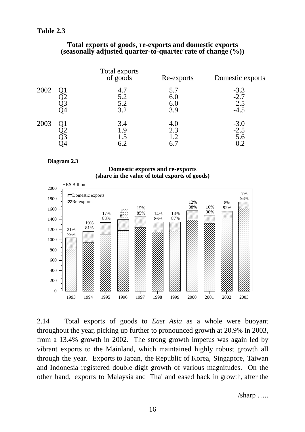# **Table 2.3**

#### **Total exports of goods, re-exports and domestic exports (seasonally adjusted quarter-to-quarter rate of change (%))**

|      | Total exports<br>of goods | <u>Re-exports</u>        | Domestic exports                     |
|------|---------------------------|--------------------------|--------------------------------------|
| 2002 | 4.7<br>5.2<br>5.2<br>3.2  | 5.7<br>6.0<br>6.0<br>3.9 | $-3.3$<br>$-2.7$<br>$-2.5$<br>$-4.5$ |
| 2003 | 3.4<br>1.9<br>1.5<br>6.2  | 4.0<br>2.3<br>1.2        | $-3.0$<br>$-2.5$<br>5.6              |

#### **Diagram 2.3**

#### **Domestic exports and re-exports (share in the value of total exports of goods)**



2.14 Total exports of goods to *East Asia* as a whole were buoyant throughout the year, picking up further to pronounced growth at 20.9% in 2003, from a 13.4% growth in 2002. The strong growth impetus was again led by vibrant exports to the Mainland, which maintained highly robust growth all through the year. Exports to Japan, the Republic of Korea, Singapore, Taiwan and Indonesia registered double-digit growth of various magnitudes. On the other hand, exports to Malaysia and Thailand eased back in growth, after the

/sharp …..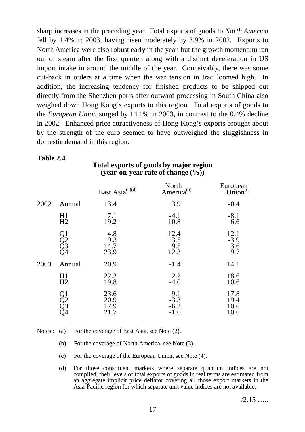sharp increases in the preceding year. Total exports of goods to *North America* fell by 1.4% in 2003, having risen moderately by 3.9% in 2002. Exports to North America were also robust early in the year, but the growth momentum ran out of steam after the first quarter, along with a distinct deceleration in US import intake in around the middle of the year. Conceivably, there was some cut-back in orders at a time when the war tension in Iraq loomed high. In addition, the increasing tendency for finished products to be shipped out directly from the Shenzhen ports after outward processing in South China also weighed down Hong Kong's exports to this region. Total exports of goods to the *European Union* surged by 14.1% in 2003, in contrast to the 0.4% decline in 2002. Enhanced price attractiveness of Hong Kong's exports brought about by the strength of the euro seemed to have outweighed the sluggishness in domestic demand in this region.

#### **Table 2.4**

# **Total exports of goods by major region (year-on-year rate of change (%))**

|      |                          | East Asia $^{(a)(d)}$        | North<br>America <sup>(b)</sup>   | European<br>Union <sup>(c)</sup> |
|------|--------------------------|------------------------------|-----------------------------------|----------------------------------|
| 2002 | Annual                   | 13.4                         | 3.9                               | $-0.4$                           |
|      | H1<br>H2                 | 7.1<br>19.2                  | $-4.1$<br>10.8                    | $-8.1$<br>6.6                    |
|      | ) 1<br>) 2<br>) 3<br>) 4 | 4.8<br>9.3<br>14.7<br>23.9   | $-12.4$<br>3.5<br>9.5<br>12.3     | $-12.1$<br>$-3.9$<br>3.6<br>9.7  |
| 2003 | Annual                   | 20.9                         | $-1.4$                            | 14.1                             |
|      | H1<br>H2                 | 22.2<br>19.8                 | 2.2<br>$-4.0$                     | 18.6<br>10.6                     |
|      | )2<br>)3<br>)4           | 23.6<br>20.9<br>17.9<br>21.7 | 9.1<br>$-3.3$<br>$-6.3$<br>$-1.6$ | 17.8<br>19.4<br>10.6<br>10.6     |

#### Notes : (a) For the coverage of East Asia, see Note (2).

- (b) For the coverage of North America, see Note (3).
- (c) For the coverage of the European Union, see Note (4).
- (d) For those constituent markets where separate quantum indices are not compiled, their levels of total exports of goods in real terms are estimated from an aggregate implicit price deflator covering all those export markets in the Asia-Pacific region for which separate unit value indices are not available.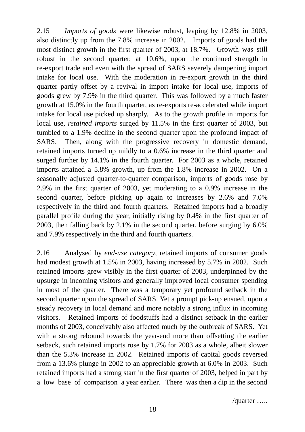2.15 *Imports of goods* were likewise robust, leaping by 12.8% in 2003, also distinctly up from the 7.8% increase in 2002. Imports of goods had the most distinct growth in the first quarter of 2003, at 18.7%. Growth was still robust in the second quarter, at 10.6%, upon the continued strength in re-export trade and even with the spread of SARS severely dampening import intake for local use. With the moderation in re-export growth in the third quarter partly offset by a revival in import intake for local use, imports of goods grew by 7.9% in the third quarter. This was followed by a much faster growth at 15.0% in the fourth quarter, as re-exports re-accelerated while import intake for local use picked up sharply. As to the growth profile in imports for local use, *retained imports* surged by 11.5% in the first quarter of 2003, but tumbled to a 1.9% decline in the second quarter upon the profound impact of SARS. Then, along with the progressive recovery in domestic demand, retained imports turned up mildly to a 0.6% increase in the third quarter and surged further by 14.1% in the fourth quarter. For 2003 as a whole, retained imports attained a 5.8% growth, up from the 1.8% increase in 2002. On a seasonally adjusted quarter-to-quarter comparison, imports of goods rose by 2.9% in the first quarter of 2003, yet moderating to a 0.9% increase in the second quarter, before picking up again to increases by 2.6% and 7.0% respectively in the third and fourth quarters. Retained imports had a broadly parallel profile during the year, initially rising by 0.4% in the first quarter of 2003, then falling back by 2.1% in the second quarter, before surging by 6.0% and 7.9% respectively in the third and fourth quarters.

2.16 Analysed by *end-use category*, retained imports of consumer goods had modest growth at 1.5% in 2003, having increased by 5.7% in 2002. Such retained imports grew visibly in the first quarter of 2003, underpinned by the upsurge in incoming visitors and generally improved local consumer spending in most of the quarter. There was a temporary yet profound setback in the second quarter upon the spread of SARS. Yet a prompt pick-up ensued, upon a steady recovery in local demand and more notably a strong influx in incoming visitors. Retained imports of foodstuffs had <sup>a</sup> distinct setback in the earlier months of 2003, conceivably also affected much by the outbreak of SARS. Yet with a strong rebound towards the year-end more than offsetting the earlier setback, such retained imports rose by 1.7% for 2003 as a whole, albeit slower than the 5.3% increase in 2002. Retained imports of capital goods reversed from a 13.6% plunge in 2002 to an appreciable growth at 6.0% in 2003. Such retained imports had a strong start in the first quarter of 2003, helped in part by a low base of comparison a year earlier. There was then a dip in the second

/quarter …..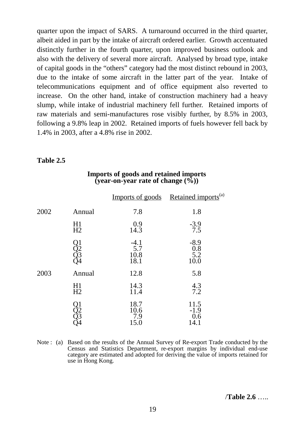quarter upon the impact of SARS. A turnaround occurred in the third quarter, albeit aided in part by the intake of aircraft ordered earlier. Growth accentuated distinctly further in the fourth quarter, upon improved business outlook and also with the delivery of several more aircraft. Analysed by broad type, intake of capital goods in the "others" category had the most distinct rebound in 2003, due to the intake of some aircraft in the latter part of the year. Intake of telecommunications equipment and of office equipment also reverted to increase. On the other hand, intake of construction machinery had a heavy slump, while intake of industrial machinery fell further. Retained imports of raw materials and semi-manufactures rose visibly further, by 8.5% in 2003, following a 9.8% leap in 2002. Retained imports of fuels however fell back by 1.4% in 2003, after a 4.8% rise in 2002.

#### **Table 2.5**

|      |                      |                               | Imports of goods Retained imports <sup>(a)</sup> |
|------|----------------------|-------------------------------|--------------------------------------------------|
| 2002 | Annual               | 7.8                           | 1.8                                              |
|      | H1<br>H2             | 0.9<br>14.3                   | $-3.9$<br>7.5                                    |
|      | Q1<br>Q2<br>Q3<br>Q4 | $-4.1$<br>5.7<br>10.8<br>18.1 | $-8.9$<br>$0.8\,$<br>5.2<br>10.0                 |
| 2003 | Annual               | 12.8                          | 5.8                                              |
|      | H1<br>H <sub>2</sub> | 14.3<br>11.4                  | 4.3<br>7.2                                       |
|      | )<br>Q2<br>Q3<br>Q4  | 18.7<br>10.6<br>7.9<br>15.0   | 11.5<br>$-1.9$<br>0.6<br>14.1                    |

#### **Imports of goods and retained imports (year-on-year rate of change (%))**

Note : (a) Based on the results of the Annual Survey of Re-export Trade conducted by the Census and Statistics Department, re-export margins by individual end-use category are estimated and adopted for deriving the value of imports retained for use in Hong Kong.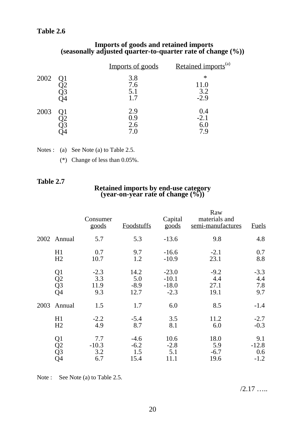# **Table 2.6**

#### **Imports of goods and retained imports (seasonally adjusted quarter-to-quarter rate of change (%))**

|      | Imports of goods         | Retained imports <sup>(a)</sup> |
|------|--------------------------|---------------------------------|
| 2002 | 3.8<br>7.6<br>5.1<br>1.7 | ∗<br>11.0<br>3.2<br>$-2.9$      |
| 2003 | 2.9<br>0.9<br>2.6<br>7.0 | 0.4<br>$-2.1$<br>6.0            |

| Notes : (a) See Note (a) to Table 2.5. |
|----------------------------------------|
|                                        |

(\*) Change of less than 0.05%.

# **Table 2.7**

# **Retained imports by end-use category (year-on-year rate of change (%))**

|      |                                                                                 | Consumer<br>goods            | <b>Foodstuffs</b>               | Capital<br>goods                        | Raw<br>materials and<br>semi-manufactures | <b>Fuels</b>                    |
|------|---------------------------------------------------------------------------------|------------------------------|---------------------------------|-----------------------------------------|-------------------------------------------|---------------------------------|
|      | 2002 Annual                                                                     | 5.7                          | 5.3                             | $-13.6$                                 | 9.8                                       | 4.8                             |
|      | H1<br>H2                                                                        | 0.7<br>10.7                  | 9.7<br>1.2                      | $-16.6$<br>$-10.9$                      | $-2.1$<br>23.1                            | 0.7<br>8.8                      |
|      | $\frac{Q1}{Q2}$<br>Q4                                                           | $-2.3$<br>3.3<br>11.9<br>9.3 | 14.2<br>5.0<br>$-8.9$<br>12.7   | $-23.0$<br>$-10.1$<br>$-18.0$<br>$-2.3$ | $-9.2$<br>4.4<br>27.1<br>19.1             | $-3.3$<br>4.4<br>7.8<br>9.7     |
| 2003 | Annual                                                                          | 1.5                          | 1.7                             | 6.0                                     | 8.5                                       | $-1.4$                          |
|      | H1<br>H2                                                                        | $-2.2$<br>4.9                | $-5.4$<br>8.7                   | 3.5<br>8.1                              | 11.2<br>6.0                               | $-2.7$<br>$-0.3$                |
|      | Q <sub>1</sub><br>$\begin{array}{c} \bar{Q}2 \ \bar{Q}3 \ \bar{Q}4 \end{array}$ | 7.7<br>$-10.3$<br>3.2<br>6.7 | $-4.6$<br>$-6.2$<br>1.5<br>15.4 | 10.6<br>$-2.8$<br>5.1<br>11.1           | 18.0<br>5.9<br>$-6.7$<br>19.6             | 9.1<br>$-12.8$<br>0.6<br>$-1.2$ |

Note : See Note (a) to Table 2.5.

 $/2.17$  …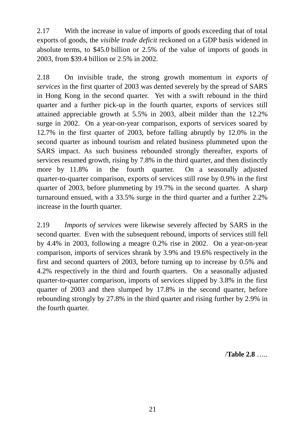2.17 With the increase in value of imports of goods exceeding that of total exports of goods, the *visible trade deficit* reckoned on a GDP basis widened in absolute terms, to \$45.0 billion or 2.5% of the value of imports of goods in 2003, from \$39.4 billion or 2.5% in 2002.

2.18 On invisible trade, the strong growth momentum in *exports of services* in the first quarter of 2003 was dented severely by the spread of SARS in Hong Kong in the second quarter. Yet with a swift rebound in the third quarter and a further pick-up in the fourth quarter, exports of services still attained appreciable growth at 5.5% in 2003, albeit milder than the 12.2% surge in 2002. On a year-on-year comparison, exports of services soared by 12.7% in the first quarter of 2003, before falling abruptly by 12.0% in the second quarter as inbound tourism and related business plummeted upon the SARS impact. As such business rebounded strongly thereafter, exports of services resumed growth, rising by 7.8% in the third quarter, and then distinctly more by 11.8% in the fourth quarter. On a seasonally adjusted quarter-to-quarter comparison, exports of services still rose by 0.9% in the first quarter of 2003, before plummeting by 19.7% in the second quarter. A sharp turnaround ensued, with a 33.5% surge in the third quarter and a further 2.2% increase in the fourth quarter.

2.19 *Imports of services* were likewise severely affected by SARS in the second quarter. Even with the subsequent rebound, imports of services still fell by 4.4% in 2003, following a meagre 0.2% rise in 2002. On a year-on-year comparison, imports of services shrank by 3.9% and 19.6% respectively in the first and second quarters of 2003, before turning up to increase by 0.5% and 4.2% respectively in the third and fourth quarters. On a seasonally adjusted quarter-to-quarter comparison, imports of services slipped by 3.8% in the first quarter of 2003 and then slumped by 17.8% in the second quarter, before rebounding strongly by 27.8% in the third quarter and rising further by 2.9% in the fourth quarter.

/**Table 2.8** …..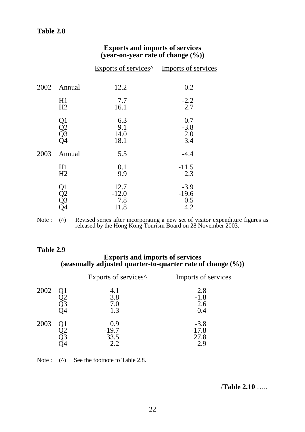# **Exports and imports of services (year-on-year rate of change (%))**

|      |                      | Exports of services <sup>^</sup> Imports of services |                                 |
|------|----------------------|------------------------------------------------------|---------------------------------|
| 2002 | Annual               | 12.2                                                 | 0.2                             |
|      | H1<br>H2             | 7.7<br>16.1                                          | $-2.2$<br>2.7                   |
|      | Q1<br>Q2<br>Q3<br>Q4 | 6.3<br>9.1<br>14.0<br>18.1                           | $-0.7$<br>$-3.8$<br>2.0<br>3.4  |
| 2003 | Annual               | 5.5                                                  | $-4.4$                          |
|      | H1<br>H2             | 0.1<br>9.9                                           | $-11.5$<br>2.3                  |
|      | Q1<br>Q2<br>Q3<br>Q4 | 12.7<br>$-12.0$<br>7.8<br>11.8                       | $-3.9$<br>$-19.6$<br>0.5<br>4.2 |

Note : (^) Revised series after incorporating a new set of visitor expenditure figures as released by the Hong Kong Tourism Board on 28 November 2003.

## **Table 2.9**

#### **Exports and imports of services (seasonally adjusted quarter-to-quarter rate of change (%))**

|      | Exports of services <sup>^</sup> | Imports of services              |
|------|----------------------------------|----------------------------------|
| 2002 | 4.1<br>3.8<br>7.0<br>1.3         | 2.8<br>$-1.8$<br>2.6<br>$-0.4$   |
| 2003 | 0.9<br>$-19.7$<br>33.5<br>2.2    | $-3.8$<br>$-17.8$<br>27.8<br>2.9 |

Note : (^) See the footnote to Table 2.8.

/**Table 2.10** …..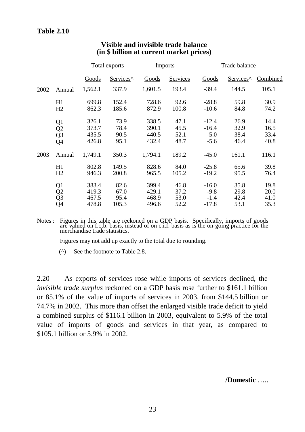|      |                      | <u>Total exports</u> |                       | <b>Imports</b> |                 | Trade balance |                       |          |
|------|----------------------|----------------------|-----------------------|----------------|-----------------|---------------|-----------------------|----------|
|      |                      | <b>Goods</b>         | Services <sup>^</sup> | Goods          | <b>Services</b> | Goods         | Services <sup>^</sup> | Combined |
| 2002 | Annual               | 1,562.1              | 337.9                 | 1,601.5        | 193.4           | $-39.4$       | 144.5                 | 105.1    |
|      | H1                   | 699.8                | 152.4                 | 728.6          | 92.6            | $-28.8$       | 59.8                  | 30.9     |
|      | H2                   | 862.3                | 185.6                 | 872.9          | 100.8           | $-10.6$       | 84.8                  | 74.2     |
|      | Q <sub>1</sub>       | 326.1                | 73.9                  | 338.5          | 47.1            | $-12.4$       | 26.9                  | 14.4     |
|      | Q <sub>2</sub>       | 373.7                | 78.4                  | 390.1          | 45.5            | $-16.4$       | 32.9                  | 16.5     |
|      | Q <sub>3</sub>       | 435.5                | 90.5                  | 440.5          | 52.1            | $-5.0$        | 38.4                  | 33.4     |
|      | Q <sub>4</sub>       | 426.8                | 95.1                  | 432.4          | 48.7            | $-5.6$        | 46.4                  | 40.8     |
| 2003 | Annual               | 1,749.1              | 350.3                 | 1,794.1        | 189.2           | $-45.0$       | 161.1                 | 116.1    |
|      | H1                   | 802.8                | 149.5                 | 828.6          | 84.0            | $-25.8$       | 65.6                  | 39.8     |
|      | H2                   | 946.3                | 200.8                 | 965.5          | 105.2           | $-19.2$       | 95.5                  | 76.4     |
|      |                      | 383.4                | 82.6                  | 399.4          | 46.8            | $-16.0$       | 35.8                  | 19.8     |
|      |                      | 419.3                | 67.0                  | 429.1          | 37.2            | $-9.8$        | 29.8                  | 20.0     |
|      | Q1<br>Q2<br>Q3<br>Q4 | 467.5                | 95.4                  | 468.9          | 53.0            | $-1.4$        | 42.4                  | 41.0     |
|      |                      | 478.8                | 105.3                 | 496.6          | 52.2            | $-17.8$       | 53.1                  | 35.3     |

# **Visible and invisible trade balance (in \$ billion at current market prices)**

Notes : Figures in this table are reckoned on a GDP basis. Specifically, imports of goods are valued on f.o.b. basis, instead of on c.i.f. basis as is the on-going practice for the merchandise trade statistics.

Figures may not add up exactly to the total due to rounding.

(^) See the footnote to Table 2.8.

2.20 As exports of services rose while imports of services declined, the *invisible trade surplus* reckoned on a GDP basis rose further to \$161.1 billion or 85.1% of the value of imports of services in 2003, from \$144.5 billion or 74.7% in 2002. This more than offset the enlarged visible trade deficit to yield a combined surplus of \$116.1 billion in 2003, equivalent to 5.9% of the total value of imports of goods and services in that year, as compared to \$105.1 billion or 5.9% in 2002.

**/Domestic** …..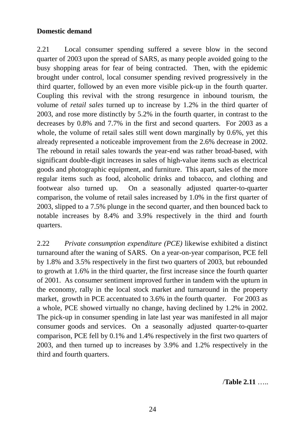# **Domestic demand**

2.21 Local consumer spending suffered a severe blow in the second quarter of 2003 upon the spread of SARS, as many people avoided going to the busy shopping areas for fear of being contracted. Then, with the epidemic brought under control, local consumer spending revived progressively in the third quarter, followed by an even more visible pick-up in the fourth quarter. Coupling this revival with the strong resurgence in inbound tourism, the volume of *retail sales* turned up to increase by 1.2% in the third quarter of 2003, and rose more distinctly by 5.2% in the fourth quarter, in contrast to the decreases by 0.8% and 7.7% in the first and second quarters. For 2003 as a whole, the volume of retail sales still went down marginally by 0.6%, yet this already represented a noticeable improvement from the 2.6% decrease in 2002. The rebound in retail sales towards the year-end was rather broad-based, with significant double-digit increases in sales of high-value items such as electrical goods and photographic equipment, and furniture. This apart, sales of the more regular items such as food, alcoholic drinks and tobacco, and clothing and footwear also turned up. On a seasonally adjusted quarter-to-quarter comparison, the volume of retail sales increased by 1.0% in the first quarter of 2003, slipped to a 7.5% plunge in the second quarter, and then bounced back to notable increases by 8.4% and 3.9% respectively in the third and fourth quarters.

2.22 *Private consumption expenditure (PCE)* likewise exhibited a distinct turnaround after the waning of SARS. On a year-on-year comparison, PCE fell by 1.8% and 3.5% respectively in the first two quarters of 2003, but rebounded to growth at 1.6% in the third quarter, the first increase since the fourth quarter of 2001. As consumer sentiment improved further in tandem with the upturn in the economy, rally in the local stock market and turnaround in the property market, growth in PCE accentuated to 3.6% in the fourth quarter. For 2003 as a whole, PCE showed virtually no change, having declined by 1.2% in 2002. The pick-up in consumer spending in late last year was manifested in all major consumer goods and services. On a seasonally adjusted quarter-to-quarter comparison, PCE fell by 0.1% and 1.4% respectively in the first two quarters of 2003, and then turned up to increases by 3.9% and 1.2% respectively in the third and fourth quarters.

/**Table 2.11** …..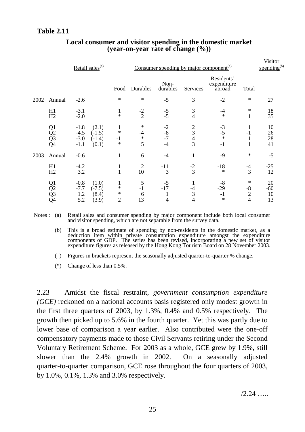|      |                                                                                    | Retail sales <sup>(a)</sup>                                                    |                                         | Consumer spending by major component <sup>(a)</sup> |                              |                                               |                                            |                                | Visitor<br>spending $^{(b)}$ |
|------|------------------------------------------------------------------------------------|--------------------------------------------------------------------------------|-----------------------------------------|-----------------------------------------------------|------------------------------|-----------------------------------------------|--------------------------------------------|--------------------------------|------------------------------|
|      |                                                                                    |                                                                                | Food                                    | Durables                                            | Non-<br>durables             | Services                                      | Residents'<br>expenditure<br><u>abroad</u> | <b>Total</b>                   |                              |
| 2002 | Annual                                                                             | $-2.6$                                                                         | $\ast$                                  | $\ast$                                              | $-5$                         | 3                                             | $-2$                                       | $\ast$                         | 27                           |
|      | H1<br>H2                                                                           | $-3.1$<br>$-2.0$                                                               | $\mathbf{1}$<br>$\ast$                  | $\frac{-2}{2}$                                      | $-5$<br>$-5$                 | $\mathfrak{Z}$<br>$\overline{4}$              | $-4$<br>$\ast$                             | ∗<br>1                         | 18<br>35                     |
|      | Q1<br>$\overline{Q}$ <sub>2</sub><br>$\overline{Q}$ <sub>3</sub><br>Q <sub>4</sub> | $-1.8$<br>(2.1)<br>$-4.5$<br>$(-1.5)$<br>$-3.0$<br>$(-1.4)$<br>$-1.1$<br>(0.1) | $\ast$<br>$-1$<br>$\ast$                | $\ast$<br>$-4$<br>$\ast$<br>5                       | $-2$<br>$-8$<br>$-7$<br>$-4$ | $\frac{2}{3}$<br>$rac{4}{3}$                  | $-3$<br>$-5$<br>$*$<br>$-1$                | $\mathbf{1}$<br>$-1$<br>1<br>1 | 10<br>26<br>28<br>41         |
| 2003 | Annual                                                                             | $-0.6$                                                                         | $\mathbf{1}$                            | 6                                                   | $-4$                         | $\mathbf{1}$                                  | $-9$                                       | $\ast$                         | $-5$                         |
|      | H1<br>H2                                                                           | $-4.2$<br>3.2                                                                  | $\mathbf{1}$<br>$\mathbf{1}$            | $\overline{2}$<br>10                                | $-11$<br>$\overline{3}$      | $-2$<br>$\overline{3}$                        | $-18$<br>$\ast$                            | $-4$<br>$\overline{3}$         | $-25$<br>12                  |
|      | Q <sub>1</sub><br>$\overline{Q}$ <sub>2</sub><br>$\overline{Q}$ 3<br>$\tilde{Q}4$  | $-0.8$<br>(1.0)<br>$-7.7$<br>$(-7.5)$<br>1.2<br>(8.4)<br>5.2<br>(3.9)          | 1<br>$\ast$<br>$\ast$<br>$\overline{2}$ | 5<br>$-1$<br>6<br>13                                | $-5$<br>$-17$<br>4           | 1<br>$-4$<br>$\mathfrak{Z}$<br>$\overline{4}$ | $-8$<br>$-29$<br>$-1$<br>$\ast$            | ∗<br>$-8$<br>$\frac{2}{4}$     | 20<br>$-60$<br>10<br>13      |

# **Local consumer and visitor spending in the domestic market (year-on-year rate of change (%))**

Notes : (a) Retail sales and consumer spending by major component include both local consumer and visitor spending, which are not separable from the survey data.

(b) This is a broad estimate of spending by non-residents in the domestic market, as a deduction item within private consumption expenditure amongst the expenditure components of GDP. The series has been revised, incorporating a new set of visitor expenditure figures as released by the Hong Kong Tourism Board on 28 November 2003.

( ) Figures in brackets represent the seasonally adjusted quarter-to-quarter % change.

(\*) Change of less than 0.5%.

2.23 Amidst the fiscal restraint, *government consumption expenditure (GCE)* reckoned on a national accounts basis registered only modest growth in the first three quarters of 2003, by 1.3%, 0.4% and 0.5% respectively. The growth then picked up to 5.6% in the fourth quarter. Yet this was partly due to lower base of comparison a year earlier. Also contributed were the one-off compensatory payments made to those Civil Servants retiring under the Second Voluntary Retirement Scheme. For 2003 as a whole, GCE grew by 1.9%, still slower than the 2.4% growth in 2002. On a seasonally adjusted quarter-to-quarter comparison, GCE rose throughout the four quarters of 2003, by 1.0%, 0.1%, 1.3% and 3.0% respectively.

 $/2.24$  ……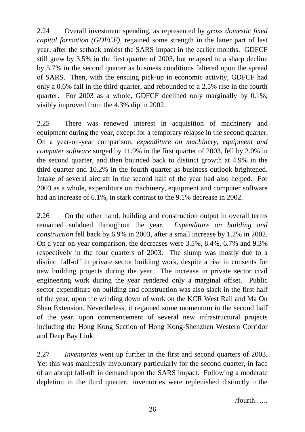2.24 Overall investment spending, as represented by *gross domestic fixed capital formation (GDFCF)*, regained some strength in the latter part of last year, after the setback amidst the SARS impact in the earlier months. GDFCF still grew by 3.5% in the first quarter of 2003, but relapsed to a sharp decline by 5.7% in the second quarter as business conditions faltered upon the spread of SARS. Then, with the ensuing pick-up in economic activity, GDFCF had only a 0.6% fall in the third quarter, and rebounded to a 2.5% rise in the fourth quarter. For 2003 as a whole, GDFCF declined only marginally by 0.1%, visibly improved from the 4.3% dip in 2002.

2.25 There was renewed interest in acquisition of machinery and equipment during the year, except for a temporary relapse in the second quarter. On a year-on-year comparison, *expenditure on machinery, equipment and computer software* surged by 11.9% in the first quarter of 2003, fell by 2.0% in the second quarter, and then bounced back to distinct growth at 4.9% in the third quarter and 10.2% in the fourth quarter as business outlook brightened. Intake of several aircraft in the second half of the year had also helped. For 2003 as a whole, expenditure on machinery, equipment and computer software had an increase of 6.1%, in stark contrast to the 9.1% decrease in 2002.

2.26 On the other hand, building and construction output in overall terms remained subdued throughout the year. *Expenditure on building and construction* fell back by 6.9% in 2003, after a small increase by 1.2% in 2002. On a year-on-year comparison, the decreases were 3.5%, 8.4%, 6.7% and 9.3% respectively in the four quarters of 2003. The slump was mostly due to a distinct fall-off in private sector building work, despite a rise in consents for new building projects during the year. The increase in private sector civil engineering work during the year rendered only a marginal offset. Public sector expenditure on building and construction was also slack in the first half of the year, upon the winding down of work on the KCR West Rail and Ma On Shan Extension. Nevertheless, it regained some momentum in the second half of the year, upon commencement of several new infrastructural projects including the Hong Kong Section of Hong Kong-Shenzhen Western Corridor and Deep Bay Link.

2.27 *Inventories* went up further in the first and second quarters of 2003. Yet this was manifestly involuntary particularly for the second quarter, in face of an abrupt fall-off in demand upon the SARS impact. Following a moderate depletion in the third quarter, inventories were replenished distinctly in the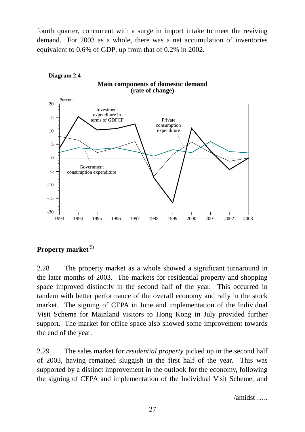fourth quarter, concurrent with a surge in import intake to meet the reviving demand. For 2003 as a whole, there was a net accumulation of inventories equivalent to 0.6% of GDP, up from that of 0.2% in 2002.



# **Property market**<sup>(5)</sup>

2.28 The property market as a whole showed a significant turnaround in the later months of 2003. The markets for residential property and shopping space improved distinctly in the second half of the year. This occurred in tandem with better performance of the overall economy and rally in the stock market. The signing of CEPA in June and implementation of the Individual Visit Scheme for Mainland visitors to Hong Kong in July provided further support. The market for office space also showed some improvement towards the end of the year.

2.29 The sales market for *residential property* picked up in the second half of 2003, having remained sluggish in the first half of the year. This was supported by a distinct improvement in the outlook for the economy, following the signing of CEPA and implementation of the Individual Visit Scheme, and

 $/$ amidst  $\ldots$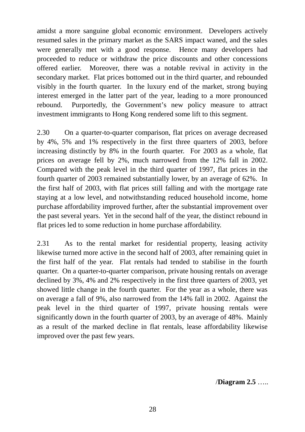amidst a more sanguine global economic environment. Developers actively resumed sales in the primary market as the SARS impact waned, and the sales were generally met with a good response. Hence many developers had proceeded to reduce or withdraw the price discounts and other concessions offered earlier. Moreover, there was a notable revival in activity in the secondary market. Flat prices bottomed out in the third quarter, and rebounded visibly in the fourth quarter. In the luxury end of the market, strong buying interest emerged in the latter part of the year, leading to a more pronounced rebound. Purportedly, the Government's new policy measure to attract investment immigrants to Hong Kong rendered some lift to this segment.

2.30 On a quarter-to-quarter comparison, flat prices on average decreased by 4%, 5% and 1% respectively in the first three quarters of 2003, before increasing distinctly by 8% in the fourth quarter. For 2003 as a whole, flat prices on average fell by 2%, much narrowed from the 12% fall in 2002. Compared with the peak level in the third quarter of 1997, flat prices in the fourth quarter of 2003 remained substantially lower, by an average of 62%. In the first half of 2003, with flat prices still falling and with the mortgage rate staying at a low level, and notwithstanding reduced household income, home purchase affordability improved further, after the substantial improvement over the past several years. Yet in the second half of the year, the distinct rebound in flat prices led to some reduction in home purchase affordability.

2.31 As to the rental market for residential property, leasing activity likewise turned more active in the second half of 2003, after remaining quiet in the first half of the year. Flat rentals had tended to stabilise in the fourth quarter. On a quarter-to-quarter comparison, private housing rentals on average declined by 3%, 4% and 2% respectively in the first three quarters of 2003, yet showed little change in the fourth quarter. For the year as a whole, there was on average a fall of 9%, also narrowed from the 14% fall in 2002. Against the peak level in the third quarter of 1997, private housing rentals were significantly down in the fourth quarter of 2003, by an average of 48%. Mainly as a result of the marked decline in flat rentals, lease affordability likewise improved over the past few years.

/**Diagram 2.5** …..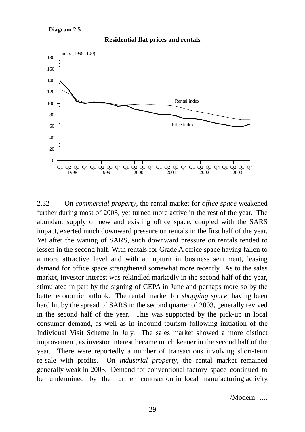#### **Diagram 2.5**



**Residential flat prices and rentals**

2.32 On *commercial property*, the rental market for *office space* weakened further during most of 2003, yet turned more active in the rest of the year. The abundant supply of new and existing office space, coupled with the SARS impact, exerted much downward pressure on rentals in the first half of the year. Yet after the waning of SARS, such downward pressure on rentals tended to lessen in the second half. With rentals for Grade A office space having fallen to a more attractive level and with an upturn in business sentiment, leasing demand for office space strengthened somewhat more recently. As to the sales market, investor interest was rekindled markedly in the second half of the year, stimulated in part by the signing of CEPA in June and perhaps more so by the better economic outlook. The rental market for *shopping space*, having been hard hit by the spread of SARS in the second quarter of 2003, generally revived in the second half of the year. This was supported by the pick-up in local consumer demand, as well as in inbound tourism following initiation of the Individual Visit Scheme in July. The sales market showed a more distinct improvement, as investor interest became much keener in the second half of the year. There were reportedly a number of transactions involving short-term re-sale with profits. On *industrial property*, the rental market remained generally weak in 2003. Demand for conventional factory space continued to be undermined by the further contraction in local manufacturing activity.

/Modern …..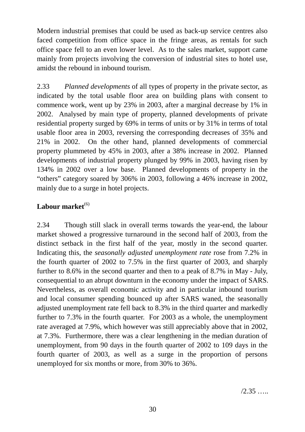Modern industrial premises that could be used as back-up service centres also faced competition from office space in the fringe areas, as rentals for such office space fell to an even lower level. As to the sales market, support came mainly from projects involving the conversion of industrial sites to hotel use, amidst the rebound in inbound tourism.

2.33 *Planned developments* of all types of property in the private sector, as indicated by the total usable floor area on building plans with consent to commence work, went up by 23% in 2003, after a marginal decrease by 1% in 2002. Analysed by main type of property, planned developments of private residential property surged by 69% in terms of units or by 31% in terms of total usable floor area in 2003, reversing the corresponding decreases of 35% and 21% in 2002. On the other hand, planned developments of commercial property plummeted by 45% in 2003, after a 38% increase in 2002. Planned developments of industrial property plunged by 99% in 2003, having risen by 134% in 2002 over a low base. Planned developments of property in the "others" category soared by 306% in 2003, following a 46% increase in 2002, mainly due to a surge in hotel projects.

# Labour market<sup>(6)</sup>

2.34 Though still slack in overall terms towards the year-end, the labour market showed a progressive turnaround in the second half of 2003, from the distinct setback in the first half of the year, mostly in the second quarter. Indicating this, the *seasonally adjusted unemployment rate* rose from 7.2% in the fourth quarter of 2002 to 7.5% in the first quarter of 2003, and sharply further to 8.6% in the second quarter and then to a peak of 8.7% in May - July, consequential to an abrupt downturn in the economy under the impact of SARS. Nevertheless, as overall economic activity and in particular inbound tourism and local consumer spending bounced up after SARS waned, the seasonally adjusted unemployment rate fell back to 8.3% in the third quarter and markedly further to 7.3% in the fourth quarter. For 2003 as a whole, the unemployment rate averaged at 7.9%, which however was still appreciably above that in 2002, at 7.3%. Furthermore, there was a clear lengthening in the median duration of unemployment, from 90 days in the fourth quarter of 2002 to 109 days in the fourth quarter of 2003, as well as a surge in the proportion of persons unemployed for six months or more, from 30% to 36%.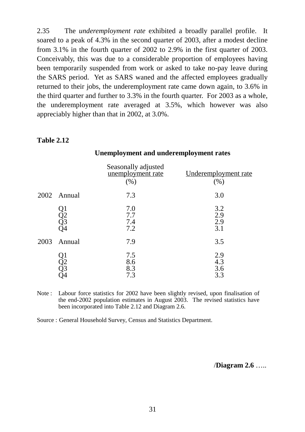2.35 The *underemployment rate* exhibited a broadly parallel profile. It soared to a peak of 4.3% in the second quarter of 2003, after a modest decline from 3.1% in the fourth quarter of 2002 to 2.9% in the first quarter of 2003. Conceivably, this was due to a considerable proportion of employees having been temporarily suspended from work or asked to take no-pay leave during the SARS period. Yet as SARS waned and the affected employees gradually returned to their jobs, the underemployment rate came down again, to 3.6% in the third quarter and further to 3.3% in the fourth quarter. For 2003 as a whole, the underemployment rate averaged at 3.5%, which however was also appreciably higher than that in 2002, at 3.0%.

#### **Table 2.12**

#### **Unemployment and underemployment rates**

|      |                      | Seasonally adjusted<br>unemployment rate<br>(% ) | Underemployment rate<br>(%) |
|------|----------------------|--------------------------------------------------|-----------------------------|
|      | 2002 Annual          | 7.3                                              | 3.0                         |
|      | Q1<br>Q2<br>Q3<br>Q4 | 7.0<br>7.7<br>7.4<br>7.2                         | 3.2<br>2.9<br>2.9<br>3.1    |
| 2003 | Annual               | 7.9                                              | 3.5                         |
|      | Q1<br>Q2<br>Q3<br>O4 | 7.5<br>8.6<br>8.3<br>7.3                         | 2.9<br>4.3<br>3.6<br>3.3    |

Note : Labour force statistics for 2002 have been slightly revised, upon finalisation of the end-2002 population estimates in August 2003. The revised statistics have been incorporated into Table 2.12 and Diagram 2.6.

Source : General Household Survey, Census and Statistics Department.

/**Diagram 2.6** …..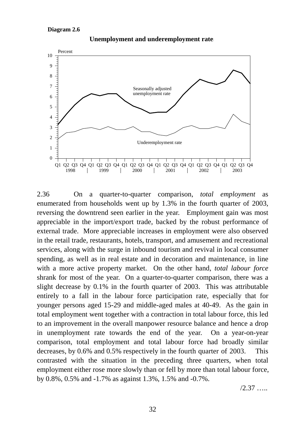

Unemployment and underemployment rate

2.36 On a quarter-to-quarter comparison, *total employment* as enumerated from households went up by 1.3% in the fourth quarter of 2003, reversing the downtrend seen earlier in the year. Employment gain was most appreciable in the import/export trade, backed by the robust performance of external trade. More appreciable increases in employment were also observed in the retail trade, restaurants, hotels, transport, and amusement and recreational services, along with the surge in inbound tourism and revival in local consumer spending, as well as in real estate and in decoration and maintenance, in line with a more active property market. On the other hand, *total labour force* shrank for most of the year. On a quarter-to-quarter comparison, there was a slight decrease by 0.1% in the fourth quarter of 2003. This was attributable entirely to a fall in the labour force participation rate, especially that for younger persons aged 15-29 and middle-aged males at 40-49. As the gain in total employment went together with a contraction in total labour force, this led to an improvement in the overall manpower resource balance and hence a drop in unemployment rate towards the end of the year. On a year-on-year comparison, total employment and total labour force had broadly similar decreases, by 0.6% and 0.5% respectively in the fourth quarter of 2003. This contrasted with the situation in the preceding three quarters, when total employment either rose more slowly than or fell by more than total labour force, by 0.8%, 0.5% and -1.7% as against 1.3%, 1.5% and -0.7%.

/2.37 …..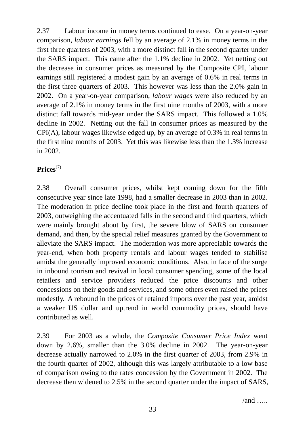2.37 Labour income in money terms continued to ease. On a year-on-year comparison, *labour earnings* fell by an average of 2.1% in money terms in the first three quarters of 2003, with a more distinct fall in the second quarter under the SARS impact. This came after the 1.1% decline in 2002. Yet netting out the decrease in consumer prices as measured by the Composite CPI, labour earnings still registered a modest gain by an average of 0.6% in real terms in the first three quarters of 2003. This however was less than the 2.0% gain in 2002. On a year-on-year comparison, *labour wages* were also reduced by an average of 2.1% in money terms in the first nine months of 2003, with a more distinct fall towards mid-year under the SARS impact. This followed a 1.0% decline in 2002. Netting out the fall in consumer prices as measured by the CPI(A), labour wages likewise edged up, by an average of 0.3% in real terms in the first nine months of 2003. Yet this was likewise less than the 1.3% increase in 2002.

# **Prices**(7)

2.38 Overall consumer prices, whilst kept coming down for the fifth consecutive year since late 1998, had a smaller decrease in 2003 than in 2002. The moderation in price decline took place in the first and fourth quarters of 2003, outweighing the accentuated falls in the second and third quarters, which were mainly brought about by first, the severe blow of SARS on consumer demand, and then, by the special relief measures granted by the Government to alleviate the SARS impact. The moderation was more appreciable towards the year-end, when both property rentals and labour wages tended to stabilise amidst the generally improved economic conditions. Also, in face of the surge in inbound tourism and revival in local consumer spending, some of the local retailers and service providers reduced the price discounts and other concessions on their goods and services, and some others even raised the prices modestly. A rebound in the prices of retained imports over the past year, amidst a weaker US dollar and uptrend in world commodity prices, should have contributed as well.

2.39 For 2003 as a whole, the *Composite Consumer Price Index* went down by 2.6%, smaller than the 3.0% decline in 2002. The year-on-year decrease actually narrowed to 2.0% in the first quarter of 2003, from 2.9% in the fourth quarter of 2002, although this was largely attributable to a low base of comparison owing to the rates concession by the Government in 2002. The decrease then widened to 2.5% in the second quarter under the impact of SARS,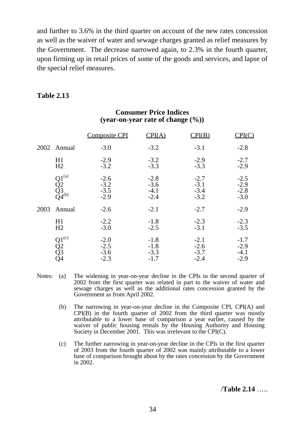and further to 3.6% in the third quarter on account of the new rates concession as well as the waiver of water and sewage charges granted as relief measures by the Government. The decrease narrowed again, to 2.3% in the fourth quarter, upon firming up in retail prices of some of the goods and services, and lapse of the special relief measures.

### **Table 2.13**

|      |                                                                         | <b>Composite CPI</b>                 | CPI(A)                               | P I(B)                               |                                      |
|------|-------------------------------------------------------------------------|--------------------------------------|--------------------------------------|--------------------------------------|--------------------------------------|
| 2002 | Annual                                                                  | $-3.0$                               | $-3.2$                               | $-3.1$                               | $-2.8$                               |
|      | H1<br>H2                                                                | $-2.9$<br>$-3.2$                     | $-3.2$<br>$-3.3$                     | $-2.9$<br>$-3.3$                     | $-2.7$<br>$-2.9$                     |
|      | $Q1^{(a)}$<br>$\frac{\tilde{Q}2}{Q_3^{3}}$ <sub>Q4</sub> <sup>(b)</sup> | $-2.6$<br>$-3.2$<br>$-3.5$<br>$-2.9$ | $-2.8$<br>$-3.6$<br>$-4.1$<br>$-2.4$ | $-2.7$<br>$-3.1$<br>$-3.4$<br>$-3.2$ | $-2.5$<br>$-2.9$<br>$-2.8$<br>$-3.0$ |
| 2003 | Annual                                                                  | $-2.6$                               | $-2.1$                               | $-2.7$                               | $-2.9$                               |
|      | H1<br>H <sub>2</sub>                                                    | $-2.2$<br>$-3.0$                     | $-1.8$<br>$-2.5$                     | $-2.3$<br>$-3.1$                     | $-2.3$<br>$-3.5$                     |
|      | $Q_1^{(c)}$<br>$Q_2^{(c)}$<br>$Q_3^{(3)}$                               | $-2.0$<br>$-2.5$<br>$-3.6$<br>$-2.3$ | $-1.8$<br>$-1.8$<br>$-3.3$<br>$-1.7$ | $-2.1$<br>$-2.6$<br>$-3.7$<br>$-2.4$ | $-1.7$<br>$-2.9$<br>$-4.1$<br>$-2.9$ |

### **Consumer Price Indices (year-on-year rate of change (%))**

- Notes: (a) The widening in year-on-year decline in the CPIs in the second quarter of 2002 from the first quarter was related in part to the waiver of water and sewage charges as well as the additional rates concession granted by the Government as from April 2002.
	- (b) The narrowing in year-on-year decline in the Composite CPI, CPI(A) and CPI(B) in the fourth quarter of 2002 from the third quarter was mostly attributable to a lower base of comparison a year earlier, caused by the waiver of public housing rentals by the Housing Authority and Housing Society in December 2001. This was irrelevant to the CPI(C).
	- (c) The further narrowing in year-on-year decline in the CPIs in the first quarter of 2003 from the fourth quarter of 2002 was mainly attributable to a lower base of comparison brought about by the rates concession by the Government in 2002.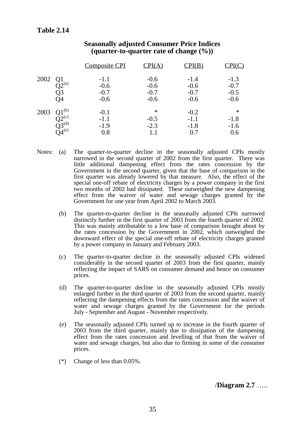|      |                                                                                     | <b>Composite CPI</b>                 |                                      | $\mathrm{CPI}(\mathrm{B})$           |                                      |
|------|-------------------------------------------------------------------------------------|--------------------------------------|--------------------------------------|--------------------------------------|--------------------------------------|
| 2002 | Q <sub>1</sub><br>$\tilde{Q}2^{(a)}$<br>Q3<br>Q4                                    | $-1.1$<br>$-0.6$<br>$-0.7$<br>$-0.6$ | $-0.6$<br>$-0.6$<br>$-0.7$<br>$-0.6$ | $-1.4$<br>$-0.6$<br>$-0.7$<br>$-0.6$ | $-1.3$<br>$-0.7$<br>$-0.5$<br>$-0.6$ |
| 2003 | $01^{(b)}$<br>$\widetilde{\rm Q}^{\rm 2^{(c)}}_{\rm Q3^{(d)}} \over {\rm Q4^{(e)}}$ | $-0.1$<br>$-1.1$<br>$-1.9$<br>0.8    | ∗<br>$-0.5$<br>$-2.3$<br>1.1         | $-0.2$<br>$-1.1$<br>$-1.8$<br>0.7    | ∗<br>$-1.8$<br>$-1.6$<br>0.6         |

### **Seasonally adjusted Consumer Price Indices (quarter-to-quarter rate of change (%))**

- Notes: (a) The quarter-to-quarter decline in the seasonally adjusted CPIs mostly narrowed in the second quarter of 2002 from the first quarter. There was little additional dampening effect from the rates concession by the Government in the second quarter, given that the base of comparison in the first quarter was already lowered by that measure. Also, the effect of the special one-off rebate of electricity charges by a power company in the first two months of 2002 had dissipated. These outweighed the new dampening effect from the waiver of water and sewage charges granted by the Government for one year from April 2002 to March 2003.
	- (b) The quarter-to-quarter decline in the seasonally adjusted CPIs narrowed distinctly further in the first quarter of 2003 from the fourth quarter of 2002. This was mainly attributable to a low base of comparison brought about by the rates concession by the Government in 2002, which outweighed the downward effect of the special one-off rebate of electricity charges granted by a power company in January and February 2003.
	- (c) The quarter-to-quarter decline in the seasonally adjusted CPIs widened considerably in the second quarter of 2003 from the first quarter, mainly reflecting the impact of SARS on consumer demand and hence on consumer prices.
	- (d) The quarter-to-quarter decline in the seasonally adjusted CPIs mostly enlarged further in the third quarter of 2003 from the second quarter, mainly reflecting the dampening effects from the rates concession and the waiver of water and sewage charges granted by the Government for the periods July - September and August - November respectively.
	- (e) The seasonally adjusted CPIs turned up to increase in the fourth quarter of 2003 from the third quarter, mainly due to dissipation of the dampening effect from the rates concession and levelling of that from the waiver of water and sewage charges, but also due to firming in some of the consumer prices.
	- (\*) Change of less than 0.05%.

/**Diagram 2.7** …..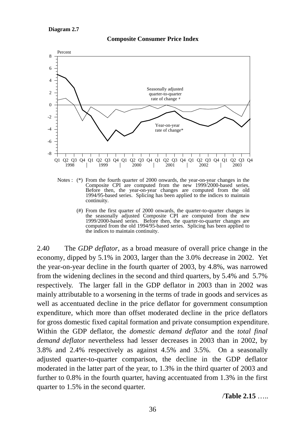

#### **Composite Consumer Price Index**

- Notes : (\*) From the fourth quarter of 2000 onwards, the year-on-year changes in the Composite CPI are computed from the new 1999/2000-based series. Before then, the year-on-year changes are computed from the old 1994/95-based series. Splicing has been applied to the indices to maintain continuity.
	- (#) From the first quarter of 2000 onwards, the quarter-to-quarter changes in the seasonally adjusted Composite CPI are computed from the new 1999/2000-based series. Before then, the quarter-to-quarter changes are computed from the old 1994/95-based series. Splicing has been applied to the indices to maintain continuity.

2.40 The *GDP deflator*, as a broad measure of overall price change in the economy, dipped by 5.1% in 2003, larger than the 3.0% decrease in 2002. Yet the year-on-year decline in the fourth quarter of 2003, by 4.8%, was narrowed from the widening declines in the second and third quarters, by 5.4% and 5.7% respectively. The larger fall in the GDP deflator in 2003 than in 2002 was mainly attributable to a worsening in the terms of trade in goods and services as well as accentuated decline in the price deflator for government consumption expenditure, which more than offset moderated decline in the price deflators for gross domestic fixed capital formation and private consumption expenditure. Within the GDP deflator, the *domestic demand deflator* and the *total final demand deflator* nevertheless had lesser decreases in 2003 than in 2002, by 3.8% and 2.4% respectively as against 4.5% and 3.5%. On a seasonally adjusted quarter-to-quarter comparison, the decline in the GDP deflator moderated in the latter part of the year, to 1.3% in the third quarter of 2003 and further to 0.8% in the fourth quarter, having accentuated from 1.3% in the first quarter to 1.5% in the second quarter.

/**Table 2.15** …..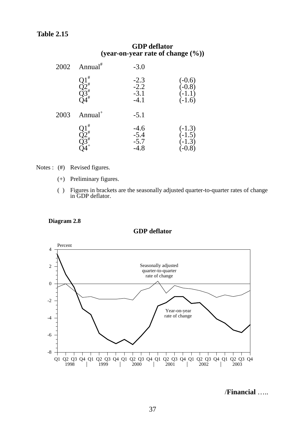### **Table 2.15**

|      | UDI uthawi<br>(year-on-year rate of change $(\%)$ )          |                                      |                                              |
|------|--------------------------------------------------------------|--------------------------------------|----------------------------------------------|
| 2002 | Annual <sup>#</sup>                                          | $-3.0$                               |                                              |
|      | $Q1^{\circ}$<br>$Q2^{\circ}$<br>$Q3^{\circ}$<br>$Q4^{\circ}$ | $-2.3$<br>$-2.2$<br>$-3.1$<br>$-4.1$ | $(-0.6)$<br>$(-0.8)$<br>$(-1.1)$<br>$(-1.6)$ |
| 2003 | Annual <sup>+</sup>                                          | $-5.1$                               |                                              |
|      | $Q_1^+$<br>$Q_2^+$<br>$Q_3^+$                                | $-4.6$<br>$-5.4$<br>$-5.7$<br>$-4.8$ | $(-1.3)$<br>$(-1.5)$<br>$(-1.3)$<br>$(-0.8)$ |

# **GDP deflator**

Notes : (#) Revised figures.

- (+) Preliminary figures.
- ( ) Figures in brackets are the seasonally adjusted quarter-to-quarter rates of change in GDP deflator.

#### **Diagram 2.8**

#### **GDP deflator**



/**Financial** …..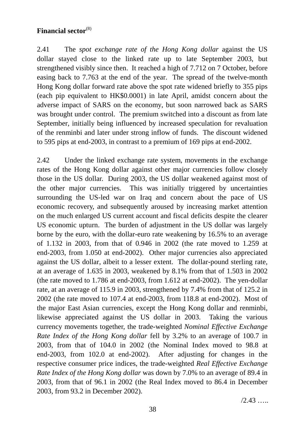# **Financial sector**(8)

2.41 The *spot exchange rate of the Hong Kong dollar* against the US dollar stayed close to the linked rate up to late September 2003, but strengthened visibly since then. It reached a high of 7.712 on 7 October, before easing back to 7.763 at the end of the year. The spread of the twelve-month Hong Kong dollar forward rate above the spot rate widened briefly to 355 pips (each pip equivalent to HK\$0.0001) in late April, amidst concern about the adverse impact of SARS on the economy, but soon narrowed back as SARS was brought under control. The premium switched into a discount as from late September, initially being influenced by increased speculation for revaluation of the renminbi and later under strong inflow of funds. The discount widened to 595 pips at end-2003, in contrast to a premium of 169 pips at end-2002.

2.42 Under the linked exchange rate system, movements in the exchange rates of the Hong Kong dollar against other major currencies follow closely those in the US dollar. During 2003, the US dollar weakened against most of the other major currencies. This was initially triggered by uncertainties surrounding the US-led war on Iraq and concern about the pace of US economic recovery, and subsequently aroused by increasing market attention on the much enlarged US current account and fiscal deficits despite the clearer US economic upturn. The burden of adjustment in the US dollar was largely borne by the euro, with the dollar-euro rate weakening by 16.5% to an average of 1.132 in 2003, from that of 0.946 in 2002 (the rate moved to 1.259 at end-2003, from 1.050 at end-2002). Other major currencies also appreciated against the US dollar, albeit to a lesser extent. The dollar-pound sterling rate, at an average of 1.635 in 2003, weakened by 8.1% from that of 1.503 in 2002 (the rate moved to 1.786 at end-2003, from 1.612 at end-2002). The yen-dollar rate, at an average of 115.9 in 2003, strengthened by 7.4% from that of 125.2 in 2002 (the rate moved to 107.4 at end-2003, from 118.8 at end-2002). Most of the major East Asian currencies, except the Hong Kong dollar and renminbi, likewise appreciated against the US dollar in 2003. Taking the various currency movements together, the trade-weighted *Nominal Effective Exchange Rate Index of the Hong Kong dollar* fell by 3.2% to an average of 100.7 in 2003, from that of 104.0 in 2002 (the Nominal Index moved to 98.8 at end-2003, from 102.0 at end-2002). After adjusting for changes in the respective consumer price indices, the trade-weighted *Real Effective Exchange Rate Index of the Hong Kong dollar* was down by 7.0% to an average of 89.4 in 2003, from that of 96.1 in 2002 (the Real Index moved to 86.4 in December 2003, from 93.2 in December 2002).

 $/2.43$  …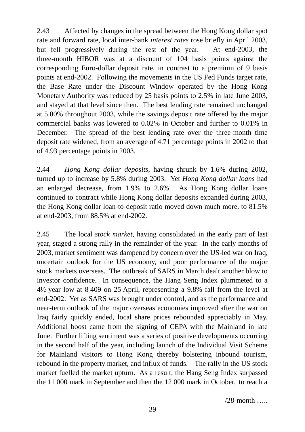2.43 Affected by changes in the spread between the Hong Kong dollar spot rate and forward rate, local inter-bank *interest rates* rose briefly in April 2003, but fell progressively during the rest of the year. At end-2003, the three-month HIBOR was at a discount of 104 basis points against the corresponding Euro-dollar deposit rate, in contrast to a premium of 9 basis points at end-2002. Following the movements in the US Fed Funds target rate, the Base Rate under the Discount Window operated by the Hong Kong Monetary Authority was reduced by 25 basis points to 2.5% in late June 2003, and stayed at that level since then. The best lending rate remained unchanged at 5.00% throughout 2003, while the savings deposit rate offered by the major commercial banks was lowered to 0.02% in October and further to 0.01% in December. The spread of the best lending rate over the three-month time deposit rate widened, from an average of 4.71 percentage points in 2002 to that of 4.93 percentage points in 2003.

2.44 *Hong Kong dollar deposits*, having shrunk by 1.6% during 2002, turned up to increase by 5.8% during 2003. Yet *Hong Kong dollar loans* had an enlarged decrease, from 1.9% to 2.6%. As Hong Kong dollar loans continued to contract while Hong Kong dollar deposits expanded during 2003, the Hong Kong dollar loan-to-deposit ratio moved down much more, to 81.5% at end-2003, from 88.5% at end-2002.

2.45 The local *stock market*, having consolidated in the early part of last year, staged a strong rally in the remainder of the year. In the early months of 2003, market sentiment was dampened by concern over the US-led war on Iraq, uncertain outlook for the US economy, and poor performance of the major stock markets overseas. The outbreak of SARS in March dealt another blow to investor confidence. In consequence, the Hang Seng Index plummeted to a 4½-year low at 8 409 on 25 April, representing a 9.8% fall from the level at end-2002. Yet as SARS was brought under control, and as the performance and near-term outlook of the major overseas economies improved after the war on Iraq fairly quickly ended, local share prices rebounded appreciably in May. Additional boost came from the signing of CEPA with the Mainland in late June. Further lifting sentiment was a series of positive developments occurring in the second half of the year, including launch of the Individual Visit Scheme for Mainland visitors to Hong Kong thereby bolstering inbound tourism, rebound in the property market, and influx of funds. The rally in the US stock market fuelled the market upturn. As a result, the Hang Seng Index surpassed the 11 000 mark in September and then the 12 000 mark in October, to reach a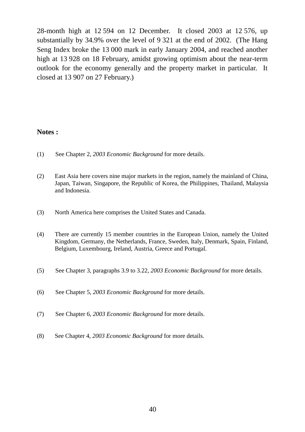28-month high at 12 594 on 12 December. It closed 2003 at 12 576, up substantially by 34.9% over the level of 9 321 at the end of 2002. (The Hang Seng Index broke the 13 000 mark in early January 2004, and reached another high at 13 928 on 18 February, amidst growing optimism about the near-term outlook for the economy generally and the property market in particular. It closed at 13 907 on 27 February.)

### **Notes :**

- (1) See Chapter 2, *2003 Economic Background* for more details.
- (2) East Asia here covers nine major markets in the region, namely the mainland of China, Japan, Taiwan, Singapore, the Republic of Korea, the Philippines, Thailand, Malaysia and Indonesia.
- (3) North America here comprises the United States and Canada.
- (4) There are currently 15 member countries in the European Union, namely the United Kingdom, Germany, the Netherlands, France, Sweden, Italy, Denmark, Spain, Finland, Belgium, Luxembourg, Ireland, Austria, Greece and Portugal.
- (5) See Chapter 3, paragraphs 3.9 to 3.22, *2003 Economic Background* for more details.
- (6) See Chapter 5, *2003 Economic Background* for more details.
- (7) See Chapter 6, *2003 Economic Background* for more details.
- (8) See Chapter 4, *2003 Economic Background* for more details.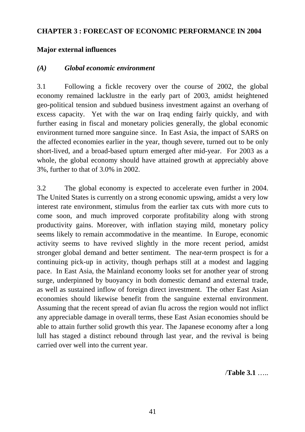### **CHAPTER 3 : FORECAST OF ECONOMIC PERFORMANCE IN 2004**

### **Major external influences**

### *(A) Global economic environment*

3.1 Following a fickle recovery over the course of 2002, the global economy remained lacklustre in the early part of 2003, amidst heightened geo-political tension and subdued business investment against an overhang of excess capacity. Yet with the war on Iraq ending fairly quickly, and with further easing in fiscal and monetary policies generally, the global economic environment turned more sanguine since. In East Asia, the impact of SARS on the affected economies earlier in the year, though severe, turned out to be only short-lived, and a broad-based upturn emerged after mid-year. For 2003 as a whole, the global economy should have attained growth at appreciably above 3%, further to that of 3.0% in 2002.

3.2 The global economy is expected to accelerate even further in 2004. The United States is currently on a strong economic upswing, amidst a very low interest rate environment, stimulus from the earlier tax cuts with more cuts to come soon, and much improved corporate profitability along with strong productivity gains. Moreover, with inflation staying mild, monetary policy seems likely to remain accommodative in the meantime. In Europe, economic activity seems to have revived slightly in the more recent period, amidst stronger global demand and better sentiment. The near-term prospect is for a continuing pick-up in activity, though perhaps still at a modest and lagging pace. In East Asia, the Mainland economy looks set for another year of strong surge, underpinned by buoyancy in both domestic demand and external trade, as well as sustained inflow of foreign direct investment. The other East Asian economies should likewise benefit from the sanguine external environment. Assuming that the recent spread of avian flu across the region would not inflict any appreciable damage in overall terms, these East Asian economies should be able to attain further solid growth this year. The Japanese economy after a long lull has staged a distinct rebound through last year, and the revival is being carried over well into the current year.

/**Table 3.1** …..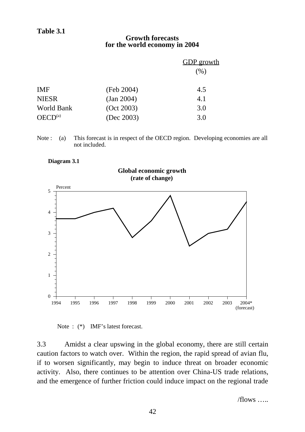### **Growth forecasts for the world economy in 2004**

|                     |            | <b>GDP</b> growth |
|---------------------|------------|-------------------|
|                     |            | $(\%)$            |
| <b>IMF</b>          | (Feb 2004) | 4.5               |
| <b>NIESR</b>        | (Jan 2004) | 4.1               |
| World Bank          | (Oct 2003) | 3.0               |
| OECD <sup>(a)</sup> | (Dec 2003) | 3.0               |

Note : (a) This forecast is in respect of the OECD region. Developing economies are all not included.

#### **Diagram 3.1**



Note :  $(*)$  IMF's latest forecast.

3.3 Amidst a clear upswing in the global economy, there are still certain caution factors to watch over. Within the region, the rapid spread of avian flu, if to worsen significantly, may begin to induce threat on broader economic activity. Also, there continues to be attention over China-US trade relations, and the emergence of further friction could induce impact on the regional trade

 $/$ flows  $\ldots$ .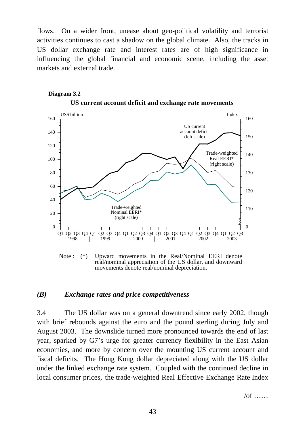flows. On a wider front, unease about geo-political volatility and terrorist activities continues to cast a shadow on the global climate. Also, the tracks in US dollar exchange rate and interest rates are of high significance in influencing the global financial and economic scene, including the asset markets and external trade.



### **US current account deficit and exchange rate movements Diagram 3.2**

Note : (\*) Upward movements in the Real/Nominal EERI denote real/nominal appreciation of the US dollar, and downward movements denote real/nominal depreciation.

### *(B) Exchange rates and price competitiveness*

3.4 The US dollar was on a general downtrend since early 2002, though with brief rebounds against the euro and the pound sterling during July and August 2003. The downslide turned more pronounced towards the end of last year, sparked by G7's urge for greater currency flexibility in the East Asian economies, and more by concern over the mounting US current account and fiscal deficits. The Hong Kong dollar depreciated along with the US dollar under the linked exchange rate system. Coupled with the continued decline in local consumer prices, the trade-weighted Real Effective Exchange Rate Index

 $\sqrt{of}$  ……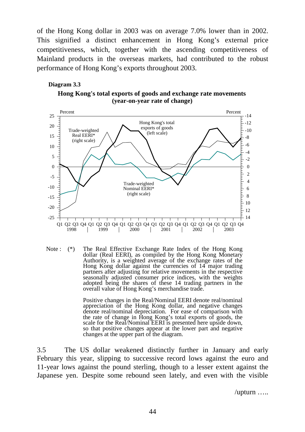of the Hong Kong dollar in 2003 was on average 7.0% lower than in 2002. This signified a distinct enhancement in Hong Kong's external price competitiveness, which, together with the ascending competitiveness of Mainland products in the overseas markets, had contributed to the robust performance of Hong Kong's exports throughout 2003.





Note : (\*) The Real Effective Exchange Rate Index of the Hong Kong dollar (Real EERI), as compiled by the Hong Kong Monetary Authority, is a weighted average of the exchange rates of the Hong Kong dollar against the currencies of 14 major trading partners after adjusting for relative movements in the respective seasonally adjusted consumer price indices, with the weights adopted being the shares of these 14 trading partners in the overall value of Hong Kong's merchandise trade.

> Positive changes in the Real/Nominal EERI denote real/nominal appreciation of the Hong Kong dollar, and negative changes denote real/nominal depreciation. For ease of comparison with the rate of change in Hong Kong's total exports of goods, the scale for the Real/Nominal EERI is presented here upside down, so that positive changes appear at the lower part and negative changes at the upper part of the diagram.

3.5 The US dollar weakened distinctly further in January and early February this year, slipping to successive record lows against the euro and 11-year lows against the pound sterling, though to a lesser extent against the Japanese yen. Despite some rebound seen lately, and even with the visible

/upturn …..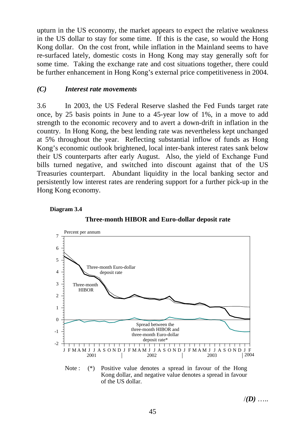upturn in the US economy, the market appears to expect the relative weakness in the US dollar to stay for some time. If this is the case, so would the Hong Kong dollar. On the cost front, while inflation in the Mainland seems to have re-surfaced lately, domestic costs in Hong Kong may stay generally soft for some time. Taking the exchange rate and cost situations together, there could be further enhancement in Hong Kong's external price competitiveness in 2004.

# *(C) Interest rate movements*

3.6 In 2003, the US Federal Reserve slashed the Fed Funds target rate once, by 25 basis points in June to a 45-year low of 1%, in a move to add strength to the economic recovery and to avert a down-drift in inflation in the country. In Hong Kong, the best lending rate was nevertheless kept unchanged at 5% throughout the year. Reflecting substantial inflow of funds as Hong Kong's economic outlook brightened, local inter-bank interest rates sank below their US counterparts after early August. Also, the yield of Exchange Fund bills turned negative, and switched into discount against that of the US Treasuries counterpart. Abundant liquidity in the local banking sector and persistently low interest rates are rendering support for a further pick-up in the Hong Kong economy.







Note : (\*) Positive value denotes a spread in favour of the Hong Kong dollar, and negative value denotes a spread in favour of the US dollar.

/*(D)* …..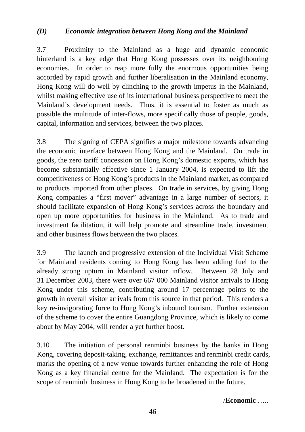# *(D) Economic integration between Hong Kong and the Mainland*

3.7 Proximity to the Mainland as a huge and dynamic economic hinterland is a key edge that Hong Kong possesses over its neighbouring economies. In order to reap more fully the enormous opportunities being accorded by rapid growth and further liberalisation in the Mainland economy, Hong Kong will do well by clinching to the growth impetus in the Mainland, whilst making effective use of its international business perspective to meet the Mainland's development needs. Thus, it is essential to foster as much as possible the multitude of inter-flows, more specifically those of people, goods, capital, information and services, between the two places.

3.8 The signing of CEPA signifies a major milestone towards advancing the economic interface between Hong Kong and the Mainland. On trade in goods, the zero tariff concession on Hong Kong's domestic exports, which has become substantially effective since 1 January 2004, is expected to lift the competitiveness of Hong Kong's products in the Mainland market, as compared to products imported from other places. On trade in services, by giving Hong Kong companies a "first mover" advantage in a large number of sectors, it should facilitate expansion of Hong Kong's services across the boundary and open up more opportunities for business in the Mainland. As to trade and investment facilitation, it will help promote and streamline trade, investment and other business flows between the two places.

3.9 The launch and progressive extension of the Individual Visit Scheme for Mainland residents coming to Hong Kong has been adding fuel to the already strong upturn in Mainland visitor inflow. Between 28 July and 31 December 2003, there were over 667 000 Mainland visitor arrivals to Hong Kong under this scheme, contributing around 17 percentage points to the growth in overall visitor arrivals from this source in that period. This renders a key re-invigorating force to Hong Kong's inbound tourism. Further extension of the scheme to cover the entire Guangdong Province, which is likely to come about by May 2004, will render a yet further boost.

3.10 The initiation of personal renminbi business by the banks in Hong Kong, covering deposit-taking, exchange, remittances and renminbi credit cards, marks the opening of a new venue towards further enhancing the role of Hong Kong as a key financial centre for the Mainland. The expectation is for the scope of renminbi business in Hong Kong to be broadened in the future.

/**Economic** …..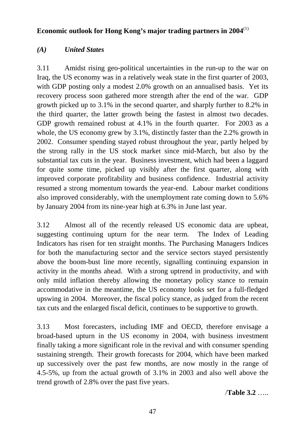# **Economic outlook for Hong Kong's major trading partners in 2004**(1)

# *(A) United States*

3.11 Amidst rising geo-political uncertainties in the run-up to the war on Iraq, the US economy was in a relatively weak state in the first quarter of 2003, with GDP posting only a modest 2.0% growth on an annualised basis. Yet its recovery process soon gathered more strength after the end of the war. GDP growth picked up to 3.1% in the second quarter, and sharply further to 8.2% in the third quarter, the latter growth being the fastest in almost two decades. GDP growth remained robust at 4.1% in the fourth quarter. For 2003 as a whole, the US economy grew by 3.1%, distinctly faster than the 2.2% growth in 2002. Consumer spending stayed robust throughout the year, partly helped by the strong rally in the US stock market since mid-March, but also by the substantial tax cuts in the year. Business investment, which had been a laggard for quite some time, picked up visibly after the first quarter, along with improved corporate profitability and business confidence. Industrial activity resumed a strong momentum towards the year-end. Labour market conditions also improved considerably, with the unemployment rate coming down to 5.6% by January 2004 from its nine-year high at 6.3% in June last year.

3.12 Almost all of the recently released US economic data are upbeat, suggesting continuing upturn for the near term. The Index of Leading Indicators has risen for ten straight months. The Purchasing Managers Indices for both the manufacturing sector and the service sectors stayed persistently above the boom-bust line more recently, signalling continuing expansion in activity in the months ahead. With a strong uptrend in productivity, and with only mild inflation thereby allowing the monetary policy stance to remain accommodative in the meantime, the US economy looks set for a full-fledged upswing in 2004. Moreover, the fiscal policy stance, as judged from the recent tax cuts and the enlarged fiscal deficit, continues to be supportive to growth.

3.13 Most forecasters, including IMF and OECD, therefore envisage a broad-based upturn in the US economy in 2004, with business investment finally taking a more significant role in the revival and with consumer spending sustaining strength. Their growth forecasts for 2004, which have been marked up successively over the past few months, are now mostly in the range of 4.5-5%, up from the actual growth of 3.1% in 2003 and also well above the trend growth of 2.8% over the past five years.

/**Table 3.2** …..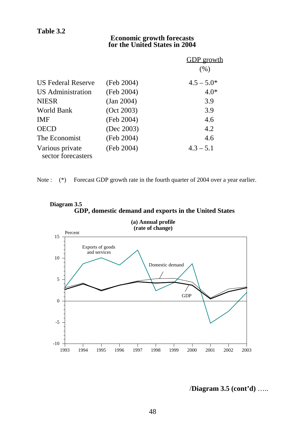### **Economic growth forecasts for the United States in 2004**

|                                       |            | <u>GDP growth</u> |
|---------------------------------------|------------|-------------------|
|                                       |            | (% )              |
| <b>US Federal Reserve</b>             | (Feb 2004) | $4.5 - 5.0*$      |
| US Administration                     | (Feb 2004) | $4.0*$            |
| <b>NIESR</b>                          | (Jan 2004) | 3.9               |
| World Bank                            | (Oct 2003) | 3.9               |
| <b>IMF</b>                            | (Feb 2004) | 4.6               |
| <b>OECD</b>                           | (Dec 2003) | 4.2               |
| The Economist                         | (Feb 2004) | 4.6               |
| Various private<br>sector forecasters | (Feb 2004) | $4.3 - 5.1$       |

Note : (\*) Forecast GDP growth rate in the fourth quarter of 2004 over a year earlier.





# /**Diagram 3.5 (cont'd)** …..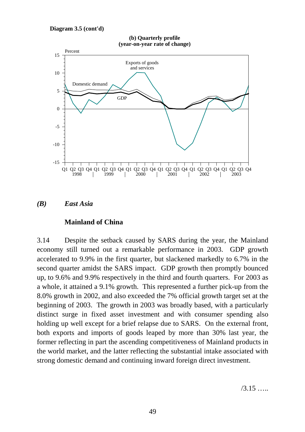







### **Mainland of China**

3.14 Despite the setback caused by SARS during the year, the Mainland economy still turned out a remarkable performance in 2003. GDP growth accelerated to 9.9% in the first quarter, but slackened markedly to 6.7% in the second quarter amidst the SARS impact. GDP growth then promptly bounced up, to 9.6% and 9.9% respectively in the third and fourth quarters. For 2003 as a whole, it attained a 9.1% growth. This represented a further pick-up from the 8.0% growth in 2002, and also exceeded the 7% official growth target set at the beginning of 2003. The growth in 2003 was broadly based, with a particularly distinct surge in fixed asset investment and with consumer spending also holding up well except for a brief relapse due to SARS. On the external front, both exports and imports of goods leaped by more than 30% last year, the former reflecting in part the ascending competitiveness of Mainland products in the world market, and the latter reflecting the substantial intake associated with strong domestic demand and continuing inward foreign direct investment.

 $/3.15$  ……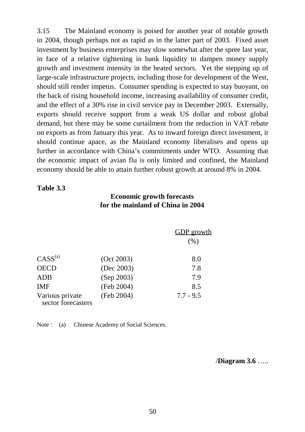3.15 The Mainland economy is poised for another year of notable growth in 2004, though perhaps not as rapid as in the latter part of 2003. Fixed asset investment by business enterprises may slow somewhat after the spree last year, in face of a relative tightening in bank liquidity to dampen money supply growth and investment intensity in the heated sectors. Yet the stepping up of large-scale infrastructure projects, including those for development of the West, should still render impetus. Consumer spending is expected to stay buoyant, on the back of rising household income, increasing availability of consumer credit, and the effect of a 30% rise in civil service pay in December 2003. Externally, exports should receive support from a weak US dollar and robust global demand, but there may be some curtailment from the reduction in VAT rebate on exports as from January this year. As to inward foreign direct investment, it should continue apace, as the Mainland economy liberalises and opens up further in accordance with China's commitments under WTO. Assuming that the economic impact of avian flu is only limited and confined, the Mainland economy should be able to attain further robust growth at around 8% in 2004.

### **Table 3.3**

### **Economic growth forecasts for the mainland of China in 2004**

|                                       |            | <b>GDP</b> growth<br>(% ) |
|---------------------------------------|------------|---------------------------|
| $CASS^{(a)}$                          | (Oct 2003) | 8.0                       |
| <b>OECD</b>                           | (Dec 2003) | 7.8                       |
| <b>ADB</b>                            | (Sep 2003) | 7.9                       |
| <b>IMF</b>                            | (Feb 2004) | 8.5                       |
| Various private<br>sector forecasters | (Feb 2004) | $7.7 - 9.5$               |

Note : (a) Chinese Academy of Social Sciences.

/**Diagram 3.6** …..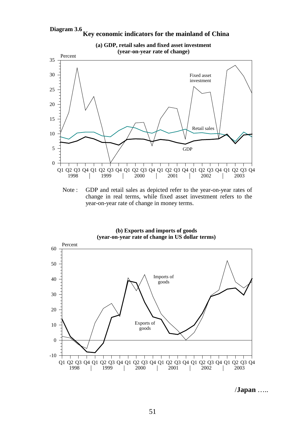#### **Diagram 3.6 Key economic indicators for the mainland of China**



Note : GDP and retail sales as depicted refer to the year-on-year rates of change in real terms, while fixed asset investment refers to the year-on-year rate of change in money terms.



**(b) Exports and imports of goods**

/**Japan** …..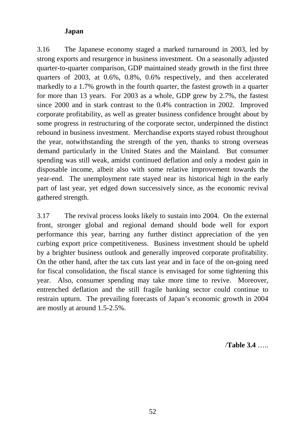# **Japan**

3.16 The Japanese economy staged a marked turnaround in 2003, led by strong exports and resurgence in business investment. On a seasonally adjusted quarter-to-quarter comparison, GDP maintained steady growth in the first three quarters of 2003, at 0.6%, 0.8%, 0.6% respectively, and then accelerated markedly to a 1.7% growth in the fourth quarter, the fastest growth in a quarter for more than 13 years. For 2003 as a whole, GDP grew by 2.7%, the fastest since 2000 and in stark contrast to the 0.4% contraction in 2002. Improved corporate profitability, as well as greater business confidence brought about by some progress in restructuring of the corporate sector, underpinned the distinct rebound in business investment. Merchandise exports stayed robust throughout the year, notwithstanding the strength of the yen, thanks to strong overseas demand particularly in the United States and the Mainland. But consumer spending was still weak, amidst continued deflation and only a modest gain in disposable income, albeit also with some relative improvement towards the year-end. The unemployment rate stayed near its historical high in the early part of last year, yet edged down successively since, as the economic revival gathered strength.

3.17 The revival process looks likely to sustain into 2004. On the external front, stronger global and regional demand should bode well for export performance this year, barring any further distinct appreciation of the yen curbing export price competitiveness. Business investment should be upheld by a brighter business outlook and generally improved corporate profitability. On the other hand, after the tax cuts last year and in face of the on-going need for fiscal consolidation, the fiscal stance is envisaged for some tightening this year. Also, consumer spending may take more time to revive. Moreover, entrenched deflation and the still fragile banking sector could continue to restrain upturn. The prevailing forecasts of Japan's economic growth in 2004 are mostly at around 1.5-2.5%.

/**Table 3.4** …..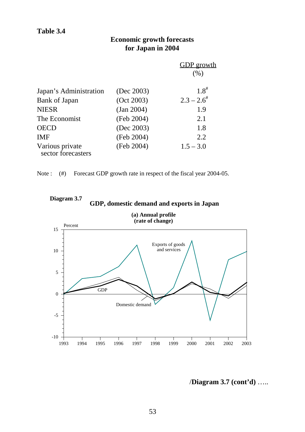# **Economic growth forecasts for Japan in 2004**

|                                       |            | <b>GDP</b> growth<br>(% ) |
|---------------------------------------|------------|---------------------------|
| Japan's Administration                | (Dec 2003) | $1.8^{#}$                 |
| Bank of Japan                         | (Oct 2003) | $2.3 - 2.6^{\#}$          |
| <b>NIESR</b>                          | (Jan 2004) | 1.9                       |
| The Economist                         | (Feb 2004) | 2.1                       |
| <b>OECD</b>                           | (Dec 2003) | 1.8                       |
| <b>IMF</b>                            | (Feb 2004) | 2.2                       |
| Various private<br>sector forecasters | (Feb 2004) | $1.5 - 3.0$               |

Note : (#) Forecast GDP growth rate in respect of the fiscal year 2004-05.



**Diagram 3.7 GDP, domestic demand and exports in Japan**

/**Diagram 3.7 (cont'd)** …..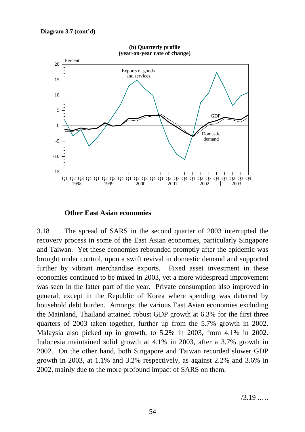

### **Other East Asian economies**

3.18 The spread of SARS in the second quarter of 2003 interrupted the recovery process in some of the East Asian economies, particularly Singapore and Taiwan. Yet these economies rebounded promptly after the epidemic was brought under control, upon a swift revival in domestic demand and supported further by vibrant merchandise exports. Fixed asset investment in these economies continued to be mixed in 2003, yet a more widespread improvement was seen in the latter part of the year. Private consumption also improved in general, except in the Republic of Korea where spending was deterred by household debt burden. Amongst the various East Asian economies excluding the Mainland, Thailand attained robust GDP growth at 6.3% for the first three quarters of 2003 taken together, further up from the 5.7% growth in 2002. Malaysia also picked up in growth, to 5.2% in 2003, from 4.1% in 2002. Indonesia maintained solid growth at 4.1% in 2003, after a 3.7% growth in 2002. On the other hand, both Singapore and Taiwan recorded slower GDP growth in 2003, at 1.1% and 3.2% respectively, as against 2.2% and 3.6% in 2002, mainly due to the more profound impact of SARS on them.

/3.19 .….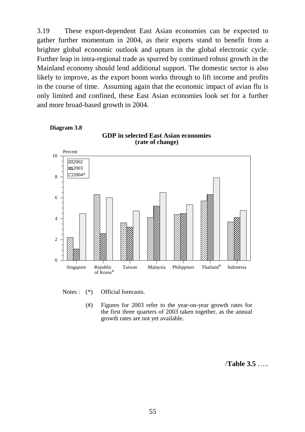3.19 These export-dependent East Asian economies can be expected to gather further momentum in 2004, as their exports stand to benefit from a brighter global economic outlook and upturn in the global electronic cycle. Further leap in intra-regional trade as spurred by continued robust growth in the Mainland economy should lend additional support. The domestic sector is also likely to improve, as the export boom works through to lift income and profits in the course of time. Assuming again that the economic impact of avian flu is only limited and confined, these East Asian economies look set for a further and more broad-based growth in 2004.



Notes :  $(*)$  Official forecasts.

(#) Figures for 2003 refer to the year-on-year growth rates for the first three quarters of 2003 taken together, as the annual growth rates are not yet available.

/**Table 3.5** …..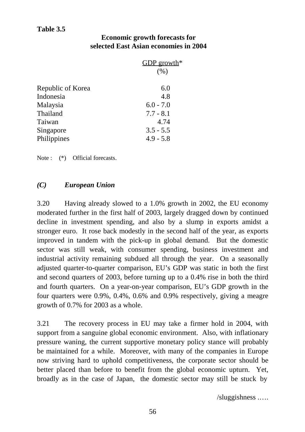# **Table 3.5**

### **Economic growth forecasts for selected East Asian economies in 2004**

|                   | GDP growth <sup>*</sup> |
|-------------------|-------------------------|
|                   | (% )                    |
| Republic of Korea | 6.0                     |
| Indonesia         | 4.8                     |
| Malaysia          | $6.0 - 7.0$             |
| Thailand          | $7.7 - 8.1$             |
| Taiwan            | 4.74                    |
| Singapore         | $3.5 - 5.5$             |
| Philippines       | $4.9 - 5.8$             |
|                   |                         |

Note : (\*) Official forecasts.

# *(C) European Union*

3.20 Having already slowed to a 1.0% growth in 2002, the EU economy moderated further in the first half of 2003, largely dragged down by continued decline in investment spending, and also by a slump in exports amidst a stronger euro. It rose back modestly in the second half of the year, as exports improved in tandem with the pick-up in global demand. But the domestic sector was still weak, with consumer spending, business investment and industrial activity remaining subdued all through the year. On a seasonally adjusted quarter-to-quarter comparison, EU's GDP was static in both the first and second quarters of 2003, before turning up to a 0.4% rise in both the third and fourth quarters. On a year-on-year comparison, EU's GDP growth in the four quarters were 0.9%, 0.4%, 0.6% and 0.9% respectively, giving a meagre growth of 0.7% for 2003 as a whole.

3.21 The recovery process in EU may take a firmer hold in 2004, with support from a sanguine global economic environment. Also, with inflationary pressure waning, the current supportive monetary policy stance will probably be maintained for a while. Moreover, with many of the companies in Europe now striving hard to uphold competitiveness, the corporate sector should be better placed than before to benefit from the global economic upturn. Yet, broadly as in the case of Japan, the domestic sector may still be stuck by

/sluggishness .….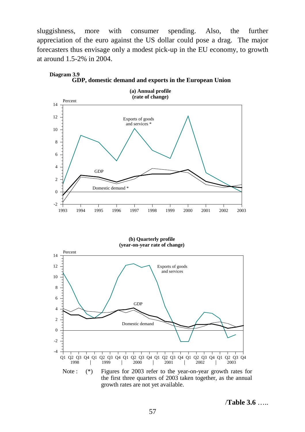sluggishness, more with consumer spending. Also, the further appreciation of the euro against the US dollar could pose a drag. The major forecasters thus envisage only a modest pick-up in the EU economy, to growth at around 1.5-2% in 2004.



**Diagram 3.9 GDP, domestic demand and exports in the European Union**

**(b) Quarterly profile (year-on-year rate of change)**



the first three quarters of 2003 taken together, as the annual growth rates are not yet available.

/**Table 3.6** …..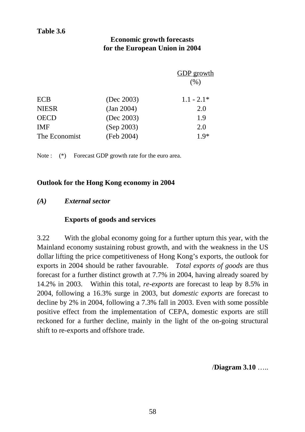# **Economic growth forecasts for the European Union in 2004**

|               |            | <b>GDP</b> growth<br>(% ) |
|---------------|------------|---------------------------|
| <b>ECB</b>    | (Dec 2003) | $1.1 - 2.1*$              |
| <b>NIESR</b>  | (Jan 2004) | 2.0                       |
| <b>OECD</b>   | (Dec 2003) | 1.9                       |
| <b>IMF</b>    | (Sep 2003) | 2.0                       |
| The Economist | (Feb 2004) | $1.9*$                    |
|               |            |                           |

Note : (\*) Forecast GDP growth rate for the euro area.

### **Outlook for the Hong Kong economy in 2004**

### *(A) External sector*

### **Exports of goods and services**

3.22 With the global economy going for a further upturn this year, with the Mainland economy sustaining robust growth, and with the weakness in the US dollar lifting the price competitiveness of Hong Kong's exports, the outlook for exports in 2004 should be rather favourable. *Total exports of goods* are thus forecast for a further distinct growth at 7.7% in 2004, having already soared by 14.2% in 2003. Within this total, *re-exports* are forecast to leap by 8.5% in 2004, following a 16.3% surge in 2003, but *domestic exports* are forecast to decline by 2% in 2004, following a 7.3% fall in 2003. Even with some possible positive effect from the implementation of CEPA, domestic exports are still reckoned for a further decline, mainly in the light of the on-going structural shift to re-exports and offshore trade.

/**Diagram 3.10** …..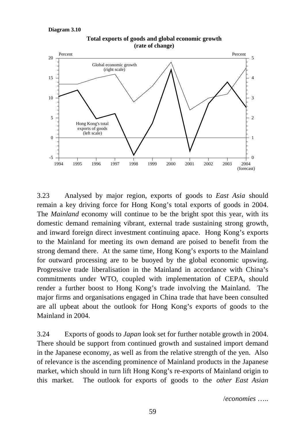```
Diagram 3.10
```


**Total exports of goods and global economic growth (rate of change)**

3.23 Analysed by major region, exports of goods to *East Asia* should remain a key driving force for Hong Kong's total exports of goods in 2004. The *Mainland* economy will continue to be the bright spot this year, with its domestic demand remaining vibrant, external trade sustaining strong growth, and inward foreign direct investment continuing apace. Hong Kong's exports to the Mainland for meeting its own demand are poised to benefit from the strong demand there. At the same time, Hong Kong's exports to the Mainland for outward processing are to be buoyed by the global economic upswing. Progressive trade liberalisation in the Mainland in accordance with China's commitments under WTO, coupled with implementation of CEPA, should render a further boost to Hong Kong's trade involving the Mainland. The major firms and organisations engaged in China trade that have been consulted are all upbeat about the outlook for Hong Kong's exports of goods to the Mainland in 2004.

3.24 Exports of goods to *Japan* look set for further notable growth in 2004. There should be support from continued growth and sustained import demand in the Japanese economy, as well as from the relative strength of the yen. Also of relevance is the ascending prominence of Mainland products in the Japanese market, which should in turn lift Hong Kong's re-exports of Mainland origin to this market. The outlook for exports of goods to the *other East Asian*

/*economies* …..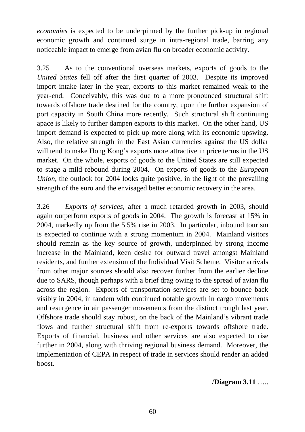*economies* is expected to be underpinned by the further pick-up in regional economic growth and continued surge in intra-regional trade, barring any noticeable impact to emerge from avian flu on broader economic activity.

3.25 As to the conventional overseas markets, exports of goods to the *United States* fell off after the first quarter of 2003. Despite its improved import intake later in the year, exports to this market remained weak to the year-end. Conceivably, this was due to a more pronounced structural shift towards offshore trade destined for the country, upon the further expansion of port capacity in South China more recently. Such structural shift continuing apace is likely to further dampen exports to this market. On the other hand, US import demand is expected to pick up more along with its economic upswing. Also, the relative strength in the East Asian currencies against the US dollar will tend to make Hong Kong's exports more attractive in price terms in the US market. On the whole, exports of goods to the United States are still expected to stage a mild rebound during 2004. On exports of goods to the *European Union*, the outlook for 2004 looks quite positive, in the light of the prevailing strength of the euro and the envisaged better economic recovery in the area.

3.26 *Exports of services*, after a much retarded growth in 2003, should again outperform exports of goods in 2004. The growth is forecast at 15% in 2004, markedly up from the 5.5% rise in 2003. In particular, inbound tourism is expected to continue with a strong momentum in 2004. Mainland visitors should remain as the key source of growth, underpinned by strong income increase in the Mainland, keen desire for outward travel amongst Mainland residents, and further extension of the Individual Visit Scheme. Visitor arrivals from other major sources should also recover further from the earlier decline due to SARS, though perhaps with a brief drag owing to the spread of avian flu across the region. Exports of transportation services are set to bounce back visibly in 2004, in tandem with continued notable growth in cargo movements and resurgence in air passenger movements from the distinct trough last year. Offshore trade should stay robust, on the back of the Mainland's vibrant trade flows and further structural shift from re-exports towards offshore trade. Exports of financial, business and other services are also expected to rise further in 2004, along with thriving regional business demand. Moreover, the implementation of CEPA in respect of trade in services should render an added boost.

/**Diagram 3.11** …..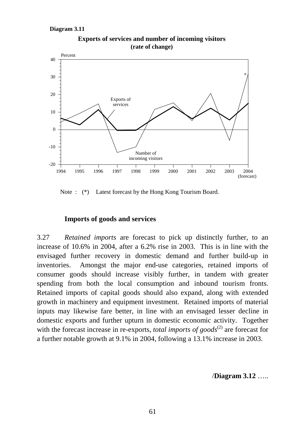

**Exports of services and number of incoming visitors (rate of change)**

Note : (\*) Latest forecast by the Hong Kong Tourism Board.

### **Imports of goods and services**

3.27 *Retained imports* are forecast to pick up distinctly further, to an increase of 10.6% in 2004, after a 6.2% rise in 2003. This is in line with the envisaged further recovery in domestic demand and further build-up in inventories. Amongst the major end-use categories, retained imports of consumer goods should increase visibly further, in tandem with greater spending from both the local consumption and inbound tourism fronts. Retained imports of capital goods should also expand, along with extended growth in machinery and equipment investment. Retained imports of material inputs may likewise fare better, in line with an envisaged lesser decline in domestic exports and further upturn in domestic economic activity. Together with the forecast increase in re-exports, *total imports of goods*<sup>(2)</sup> are forecast for a further notable growth at 9.1% in 2004, following a 13.1% increase in 2003.

/**Diagram 3.12** …..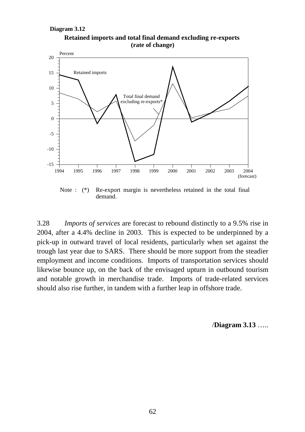



Note : (\*) Re-export margin is nevertheless retained in the total final demand.

3.28 *Imports of services* are forecast to rebound distinctly to a 9.5% rise in 2004, after a 4.4% decline in 2003. This is expected to be underpinned by a pick-up in outward travel of local residents, particularly when set against the trough last year due to SARS. There should be more support from the steadier employment and income conditions. Imports of transportation services should likewise bounce up, on the back of the envisaged upturn in outbound tourism and notable growth in merchandise trade. Imports of trade-related services should also rise further, in tandem with a further leap in offshore trade.

/**Diagram 3.13** …..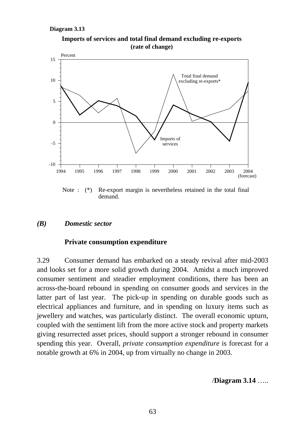



Note : (\*) Re-export margin is nevertheless retained in the total final demand.

### *(B) Domestic sector*

### **Private consumption expenditure**

3.29 Consumer demand has embarked on a steady revival after mid-2003 and looks set for a more solid growth during 2004. Amidst a much improved consumer sentiment and steadier employment conditions, there has been an across-the-board rebound in spending on consumer goods and services in the latter part of last year. The pick-up in spending on durable goods such as electrical appliances and furniture, and in spending on luxury items such as jewellery and watches, was particularly distinct. The overall economic upturn, coupled with the sentiment lift from the more active stock and property markets giving resurrected asset prices, should support a stronger rebound in consumer spending this year. Overall, *private consumption expenditure* is forecast for a notable growth at 6% in 2004, up from virtually no change in 2003.

/**Diagram 3.14** …..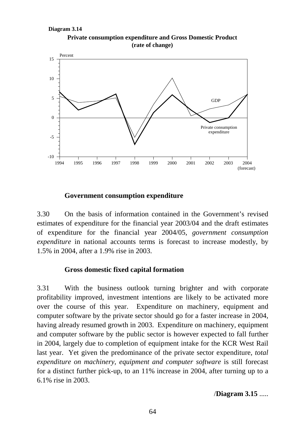



### **Government consumption expenditure**

3.30 On the basis of information contained in the Government's revised estimates of expenditure for the financial year 2003/04 and the draft estimates of expenditure for the financial year 2004/05, *government consumption expenditure* in national accounts terms is forecast to increase modestly, by 1.5% in 2004, after a 1.9% rise in 2003.

### **Gross domestic fixed capital formation**

3.31 With the business outlook turning brighter and with corporate profitability improved, investment intentions are likely to be activated more over the course of this year. Expenditure on machinery, equipment and computer software by the private sector should go for a faster increase in 2004, having already resumed growth in 2003. Expenditure on machinery, equipment and computer software by the public sector is however expected to fall further in 2004, largely due to completion of equipment intake for the KCR West Rail last year. Yet given the predominance of the private sector expenditure, *total expenditure on machinery, equipment and computer software* is still forecast for a distinct further pick-up, to an 11% increase in 2004, after turning up to a 6.1% rise in 2003.

### /**Diagram 3.15** .....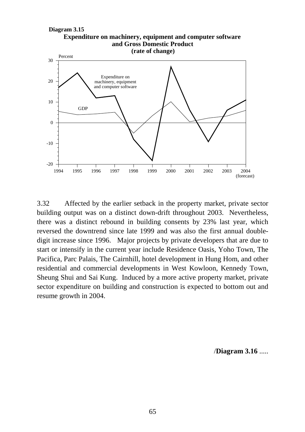

3.32 Affected by the earlier setback in the property market, private sector building output was on a distinct down-drift throughout 2003. Nevertheless, there was a distinct rebound in building consents by 23% last year, which reversed the downtrend since late 1999 and was also the first annual doubledigit increase since 1996. Major projects by private developers that are due to start or intensify in the current year include Residence Oasis, Yoho Town, The Pacifica, Parc Palais, The Cairnhill, hotel development in Hung Hom, and other residential and commercial developments in West Kowloon, Kennedy Town, Sheung Shui and Sai Kung. Induced by a more active property market, private sector expenditure on building and construction is expected to bottom out and resume growth in 2004.

/**Diagram 3.16** .....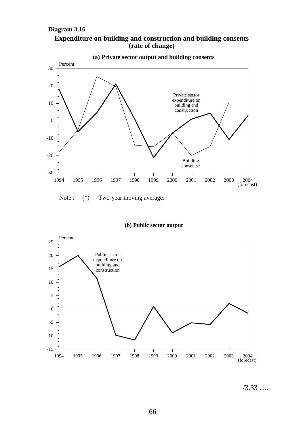### **Diagram 3.16**





Note :  $(*)$  Two-year moving average.

#### **(b) Public sector output**



/3.33 .....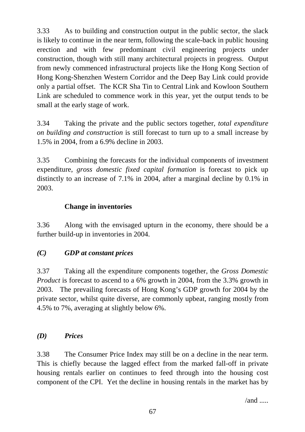3.33 As to building and construction output in the public sector, the slack is likely to continue in the near term, following the scale-back in public housing erection and with few predominant civil engineering projects under construction, though with still many architectural projects in progress. Output from newly commenced infrastructural projects like the Hong Kong Section of Hong Kong-Shenzhen Western Corridor and the Deep Bay Link could provide only a partial offset. The KCR Sha Tin to Central Link and Kowloon Southern Link are scheduled to commence work in this year, yet the output tends to be small at the early stage of work.

3.34 Taking the private and the public sectors together, *total expenditure on building and construction* is still forecast to turn up to a small increase by 1.5% in 2004, from a 6.9% decline in 2003.

3.35 Combining the forecasts for the individual components of investment expenditure, *gross domestic fixed capital formation* is forecast to pick up distinctly to an increase of 7.1% in 2004, after a marginal decline by 0.1% in 2003.

# **Change in inventories**

3.36 Along with the envisaged upturn in the economy, there should be a further build-up in inventories in 2004.

# *(C) GDP at constant prices*

3.37 Taking all the expenditure components together, the *Gross Domestic Product* is forecast to ascend to a 6% growth in 2004, from the 3.3% growth in 2003. The prevailing forecasts of Hong Kong's GDP growth for 2004 by the private sector, whilst quite diverse, are commonly upbeat, ranging mostly from 4.5% to 7%, averaging at slightly below 6%.

# *(D) Prices*

3.38 The Consumer Price Index may still be on a decline in the near term. This is chiefly because the lagged effect from the marked fall-off in private housing rentals earlier on continues to feed through into the housing cost component of the CPI. Yet the decline in housing rentals in the market has by

 $/and$  .....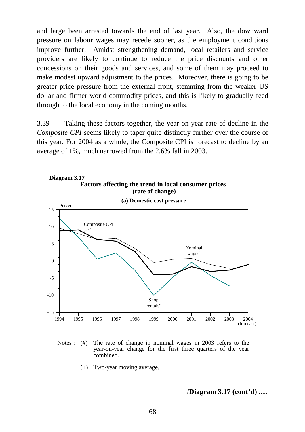and large been arrested towards the end of last year. Also, the downward pressure on labour wages may recede sooner, as the employment conditions improve further. Amidst strengthening demand, local retailers and service providers are likely to continue to reduce the price discounts and other concessions on their goods and services, and some of them may proceed to make modest upward adjustment to the prices. Moreover, there is going to be greater price pressure from the external front, stemming from the weaker US dollar and firmer world commodity prices, and this is likely to gradually feed through to the local economy in the coming months.

3.39 Taking these factors together, the year-on-year rate of decline in the *Composite CPI* seems likely to taper quite distinctly further over the course of this year. For 2004 as a whole, the Composite CPI is forecast to decline by an average of 1%, much narrowed from the 2.6% fall in 2003.



Notes : (#) The rate of change in nominal wages in 2003 refers to the year-on-year change for the first three quarters of the year combined.

(+) Two-year moving average.

/**Diagram 3.17 (cont'd)** .....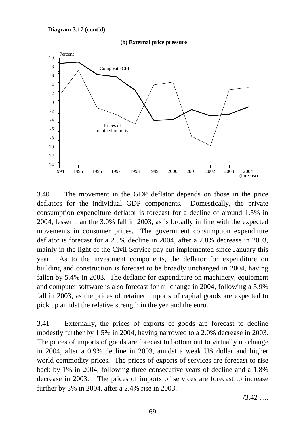#### **Diagram 3.17 (cont'd)**





3.40 The movement in the GDP deflator depends on those in the price deflators for the individual GDP components. Domestically, the private consumption expenditure deflator is forecast for a decline of around 1.5% in 2004, lesser than the 3.0% fall in 2003, as is broadly in line with the expected movements in consumer prices. The government consumption expenditure deflator is forecast for a 2.5% decline in 2004, after a 2.8% decrease in 2003, mainly in the light of the Civil Service pay cut implemented since January this year. As to the investment components, the deflator for expenditure on building and construction is forecast to be broadly unchanged in 2004, having fallen by 5.4% in 2003. The deflator for expenditure on machinery, equipment and computer software is also forecast for nil change in 2004, following a 5.9% fall in 2003, as the prices of retained imports of capital goods are expected to pick up amidst the relative strength in the yen and the euro.

3.41 Externally, the prices of exports of goods are forecast to decline modestly further by 1.5% in 2004, having narrowed to a 2.0% decrease in 2003. The prices of imports of goods are forecast to bottom out to virtually no change in 2004, after a 0.9% decline in 2003, amidst a weak US dollar and higher world commodity prices. The prices of exports of services are forecast to rise back by 1% in 2004, following three consecutive years of decline and a 1.8% decrease in 2003. The prices of imports of services are forecast to increase further by 3% in 2004, after a 2.4% rise in 2003.

 $/3.42$  .....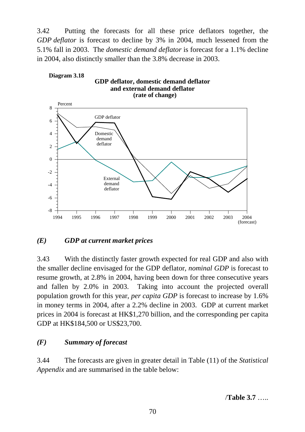3.42 Putting the forecasts for all these price deflators together, the *GDP deflator* is forecast to decline by 3% in 2004, much lessened from the 5.1% fall in 2003. The *domestic demand deflator* is forecast for a 1.1% decline in 2004, also distinctly smaller than the 3.8% decrease in 2003.



## *(E) GDP at current market prices*

3.43 With the distinctly faster growth expected for real GDP and also with the smaller decline envisaged for the GDP deflator, *nominal GDP* is forecast to resume growth, at 2.8% in 2004, having been down for three consecutive years and fallen by 2.0% in 2003. Taking into account the projected overall population growth for this year, *per capita GDP* is forecast to increase by 1.6% in money terms in 2004, after a 2.2% decline in 2003. GDP at current market prices in 2004 is forecast at HK\$1,270 billion, and the corresponding per capita GDP at HK\$184,500 or US\$23,700.

## *(F) Summary of forecast*

3.44 The forecasts are given in greater detail in Table (11) of the *Statistical Appendix* and are summarised in the table below:

/**Table 3.7** …..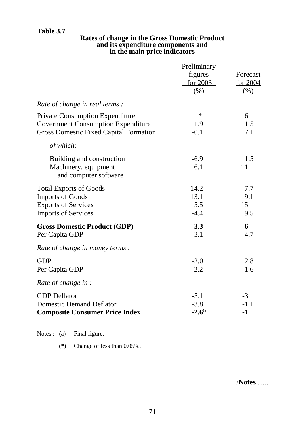## **Table 3.7**

### **Rates of change in the Gross Domestic Product and its expenditure components and in the main price indicators**

|                                               | Preliminary  |          |
|-----------------------------------------------|--------------|----------|
|                                               | figures      | Forecast |
|                                               | for 2003     | for 2004 |
|                                               | (% )         | (% )     |
| Rate of change in real terms :                |              |          |
| <b>Private Consumption Expenditure</b>        | $\ast$       | 6        |
| <b>Government Consumption Expenditure</b>     | 1.9          | 1.5      |
| <b>Gross Domestic Fixed Capital Formation</b> | $-0.1$       | 7.1      |
| of which:                                     |              |          |
| Building and construction                     | $-6.9$       | 1.5      |
| Machinery, equipment                          | 6.1          | 11       |
| and computer software                         |              |          |
| <b>Total Exports of Goods</b>                 | 14.2         | 7.7      |
| <b>Imports of Goods</b>                       | 13.1         | 9.1      |
| <b>Exports of Services</b>                    | 5.5          | 15       |
| <b>Imports of Services</b>                    | $-4.4$       | 9.5      |
| <b>Gross Domestic Product (GDP)</b>           | 3.3          | 6        |
| Per Capita GDP                                | 3.1          | 4.7      |
| Rate of change in money terms :               |              |          |
| <b>GDP</b>                                    | $-2.0$       | 2.8      |
| Per Capita GDP                                | $-2.2$       | 1.6      |
| Rate of change in :                           |              |          |
| <b>GDP</b> Deflator                           | $-5.1$       | $-3$     |
| <b>Domestic Demand Deflator</b>               | $-3.8$       | $-1.1$   |
| <b>Composite Consumer Price Index</b>         | $-2.6^{(a)}$ | $-1$     |
|                                               |              |          |

Notes : (a) Final figure.

(\*) Change of less than 0.05%.

/**Notes** …..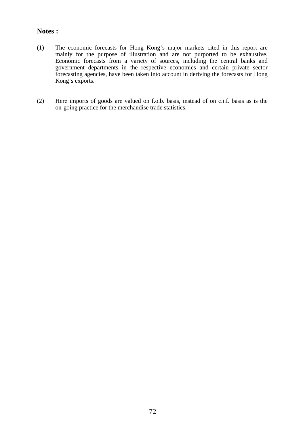## **Notes :**

- (1) The economic forecasts for Hong Kong's major markets cited in this report are mainly for the purpose of illustration and are not purported to be exhaustive. Economic forecasts from a variety of sources, including the central banks and government departments in the respective economies and certain private sector forecasting agencies, have been taken into account in deriving the forecasts for Hong Kong's exports.
- (2) Here imports of goods are valued on f.o.b. basis, instead of on c.i.f. basis as is the on-going practice for the merchandise trade statistics.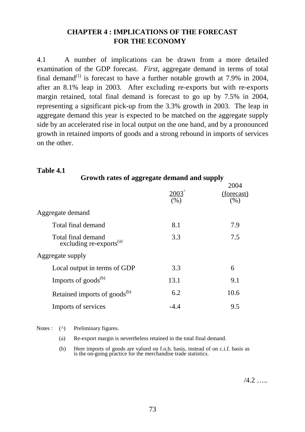## **CHAPTER 4 : IMPLICATIONS OF THE FORECAST FOR THE ECONOMY**

4.1 A number of implications can be drawn from a more detailed examination of the GDP forecast. *First*, aggregate demand in terms of total final demand<sup>(1)</sup> is forecast to have a further notable growth at 7.9% in 2004, after an 8.1% leap in 2003. After excluding re-exports but with re-exports margin retained, total final demand is forecast to go up by 7.5% in 2004, representing a significant pick-up from the 3.3% growth in 2003. The leap in aggregate demand this year is expected to be matched on the aggregate supply side by an accelerated rise in local output on the one hand, and by a pronounced growth in retained imports of goods and a strong rebound in imports of services on the other.

# **Table 4.1 Growth rates of aggregate demand and supply** 2003^ 2004  $\frac{\text{(forecast)}}{\binom{96}{}}$  $(%)$ Aggregate demand Total final demand 8.1 8.1 7.9 Total final demand excluding re-exports<sup>(a)</sup> 3.3 7.5 7.5 Aggregate supply Local output in terms of GDP 3.3 6 Imports of goods<sup>(b)</sup> 13.1 9.1 Retained imports of goods<sup>(b)</sup> 6.2 10.6 Imports of services 4.4 and 9.5

Notes : (^) Preliminary figures.

(a) Re-export margin is nevertheless retained in the total final demand.

(b) Here imports of goods are valued on f.o.b. basis, instead of on c.i.f. basis as is the on-going practice for the merchandise trade statistics.

 $/4.2$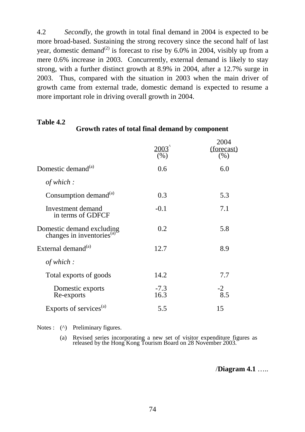4.2 *Secondly*, the growth in total final demand in 2004 is expected to be more broad-based. Sustaining the strong recovery since the second half of last year, domestic demand<sup>(2)</sup> is forecast to rise by 6.0% in 2004, visibly up from a mere 0.6% increase in 2003. Concurrently, external demand is likely to stay strong, with a further distinct growth at 8.9% in 2004, after a 12.7% surge in 2003. Thus, compared with the situation in 2003 when the main driver of growth came from external trade, domestic demand is expected to resume a more important role in driving overall growth in 2004.

## **Table 4.2**

## **Growth rates of total final demand by component**

|                                                                                | 2003'<br>(% )  | 2004<br>(forecast)<br>(%) |
|--------------------------------------------------------------------------------|----------------|---------------------------|
| Domestic demand <sup>(a)</sup>                                                 | 0.6            | 6.0                       |
| of which :                                                                     |                |                           |
| Consumption demand <sup>(a)</sup>                                              | 0.3            | 5.3                       |
| Investment demand<br>in terms of GDFCF                                         | $-0.1$         | 7.1                       |
| Domestic demand excluding<br>changes in inventories <sup>(a)</sup> <sup></sup> | 0.2            | 5.8                       |
| External demand <sup>(a)</sup>                                                 | 12.7           | 8.9                       |
| of which :                                                                     |                |                           |
| Total exports of goods                                                         | 14.2           | 7.7                       |
| Domestic exports<br>Re-exports                                                 | $-7.3$<br>16.3 | $-2$<br>8.5               |
| Exports of services <sup>(a)</sup>                                             | 5.5            | 15                        |

Notes : (^) Preliminary figures.

(a) Revised series incorporating a new set of visitor expenditure figures as released by the Hong Kong Tourism Board on 28 November 2003.

/**Diagram 4.1** …..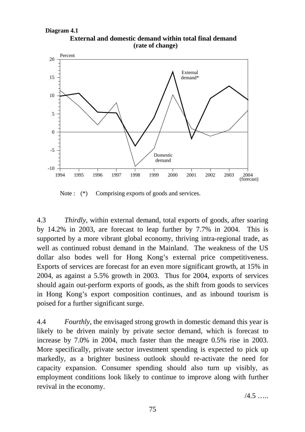**External and domestic demand within total final demand (rate of change)**



Note :  $(*)$  Comprising exports of goods and services.

4.3 *Thirdly*, within external demand, total exports of goods, after soaring by 14.2% in 2003, are forecast to leap further by 7.7% in 2004. This is supported by a more vibrant global economy, thriving intra-regional trade, as well as continued robust demand in the Mainland. The weakness of the US dollar also bodes well for Hong Kong's external price competitiveness. Exports of services are forecast for an even more significant growth, at 15% in 2004, as against a 5.5% growth in 2003. Thus for 2004, exports of services should again out-perform exports of goods, as the shift from goods to services in Hong Kong's export composition continues, and as inbound tourism is poised for a further significant surge.

4.4 *Fourthly*, the envisaged strong growth in domestic demand this year is likely to be driven mainly by private sector demand, which is forecast to increase by 7.0% in 2004, much faster than the meagre 0.5% rise in 2003. More specifically, private sector investment spending is expected to pick up markedly, as a brighter business outlook should re-activate the need for capacity expansion. Consumer spending should also turn up visibly, as employment conditions look likely to continue to improve along with further revival in the economy.

 $/4.5$  ……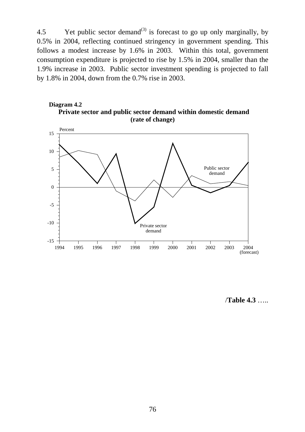4.5 Yet public sector demand<sup>(3)</sup> is forecast to go up only marginally, by 0.5% in 2004, reflecting continued stringency in government spending. This follows a modest increase by 1.6% in 2003. Within this total, government consumption expenditure is projected to rise by 1.5% in 2004, smaller than the 1.9% increase in 2003. Public sector investment spending is projected to fall by 1.8% in 2004, down from the 0.7% rise in 2003.





/**Table 4.3** …..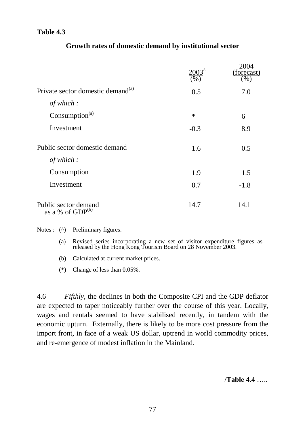## **Table 4.3**

|                                               | $(\%)$ | 2004<br>(forecast)<br>$(\%)$ |
|-----------------------------------------------|--------|------------------------------|
| Private sector domestic demand <sup>(a)</sup> | 0.5    | 7.0                          |
| of which:                                     |        |                              |
| Consumption <sup>(a)</sup>                    | $\ast$ | 6                            |
| Investment                                    | $-0.3$ | 8.9                          |
| Public sector domestic demand                 | 1.6    | 0.5                          |
| of which:                                     |        |                              |
| Consumption                                   | 1.9    | 1.5                          |
| Investment                                    | 0.7    | $-1.8$                       |
| Public sector demand<br>as a % of $GDP^{(b)}$ | 14.7   | 14.1                         |

## **Growth rates of domestic demand by institutional sector**

Notes : ( $\wedge$ ) Preliminary figures.

- (a) Revised series incorporating a new set of visitor expenditure figures as released by the Hong Kong Tourism Board on 28 November 2003.
- (b) Calculated at current market prices.
- (\*) Change of less than 0.05%.

4.6 *Fifthly*, the declines in both the Composite CPI and the GDP deflator are expected to taper noticeably further over the course of this year. Locally, wages and rentals seemed to have stabilised recently, in tandem with the economic upturn. Externally, there is likely to be more cost pressure from the import front, in face of a weak US dollar, uptrend in world commodity prices, and re-emergence of modest inflation in the Mainland.

/**Table 4.4** …..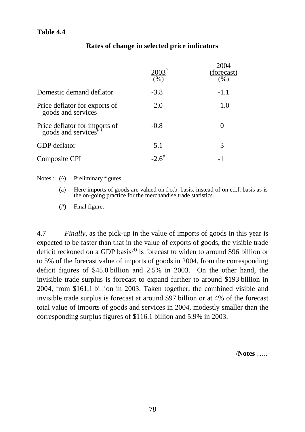|                                                                 | 2003'<br>(% )       | 2004<br><u>(forecast)</u><br>(%) |
|-----------------------------------------------------------------|---------------------|----------------------------------|
| Domestic demand deflator                                        | $-3.8$              | $-1.1$                           |
| Price deflator for exports of<br>goods and services             | $-2.0$              | $-1.0$                           |
| Price deflator for imports of goods and services <sup>(a)</sup> | $-0.8$              |                                  |
| <b>GDP</b> deflator                                             | $-5.1$              | $-3$                             |
| Composite CPI                                                   | $-2.6$ <sup>#</sup> | $-1$                             |

## **Rates of change in selected price indicators**

Notes : (^) Preliminary figures.

(a) Here imports of goods are valued on f.o.b. basis, instead of on c.i.f. basis as is the on-going practice for the merchandise trade statistics.

(#) Final figure.

4.7 *Finally,* as the pick-up in the value of imports of goods in this year is expected to be faster than that in the value of exports of goods, the visible trade deficit reckoned on a GDP basis<sup>(4)</sup> is forecast to widen to around \$96 billion or to 5% of the forecast value of imports of goods in 2004, from the corresponding deficit figures of \$45.0 billion and 2.5% in 2003. On the other hand, the invisible trade surplus is forecast to expand further to around \$193 billion in 2004, from \$161.1 billion in 2003. Taken together, the combined visible and invisible trade surplus is forecast at around \$97 billion or at 4% of the forecast total value of imports of goods and services in 2004, modestly smaller than the corresponding surplus figures of \$116.1 billion and 5.9% in 2003.

/**Notes** …..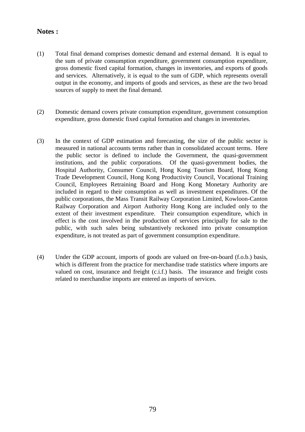## **Notes :**

- (1) Total final demand comprises domestic demand and external demand. It is equal to the sum of private consumption expenditure, government consumption expenditure, gross domestic fixed capital formation, changes in inventories, and exports of goods and services. Alternatively, it is equal to the sum of GDP, which represents overall output in the economy, and imports of goods and services, as these are the two broad sources of supply to meet the final demand.
- (2) Domestic demand covers private consumption expenditure, government consumption expenditure, gross domestic fixed capital formation and changes in inventories.
- (3) In the context of GDP estimation and forecasting, the size of the public sector is measured in national accounts terms rather than in consolidated account terms. Here the public sector is defined to include the Government, the quasi-government institutions, and the public corporations. Of the quasi-government bodies, the Hospital Authority, Consumer Council, Hong Kong Tourism Board, Hong Kong Trade Development Council, Hong Kong Productivity Council, Vocational Training Council, Employees Retraining Board and Hong Kong Monetary Authority are included in regard to their consumption as well as investment expenditures. Of the public corporations, the Mass Transit Railway Corporation Limited, Kowloon-Canton Railway Corporation and Airport Authority Hong Kong are included only to the extent of their investment expenditure. Their consumption expenditure, which in effect is the cost involved in the production of services principally for sale to the public, with such sales being substantively reckoned into private consumption expenditure, is not treated as part of government consumption expenditure.
- (4) Under the GDP account, imports of goods are valued on free-on-board (f.o.b.) basis, which is different from the practice for merchandise trade statistics where imports are valued on cost, insurance and freight (c.i.f.) basis. The insurance and freight costs related to merchandise imports are entered as imports of services.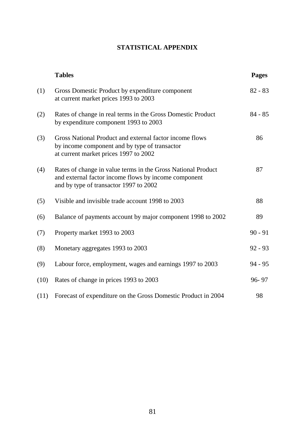## **STATISTICAL APPENDIX**

|      | <b>Tables</b>                                                                                                                                                  | <b>Pages</b> |
|------|----------------------------------------------------------------------------------------------------------------------------------------------------------------|--------------|
| (1)  | Gross Domestic Product by expenditure component<br>at current market prices 1993 to 2003                                                                       | $82 - 83$    |
| (2)  | Rates of change in real terms in the Gross Domestic Product<br>by expenditure component 1993 to 2003                                                           | $84 - 85$    |
| (3)  | Gross National Product and external factor income flows<br>by income component and by type of transactor<br>at current market prices 1997 to 2002              | 86           |
| (4)  | Rates of change in value terms in the Gross National Product<br>and external factor income flows by income component<br>and by type of transactor 1997 to 2002 | 87           |
| (5)  | Visible and invisible trade account 1998 to 2003                                                                                                               | 88           |
| (6)  | Balance of payments account by major component 1998 to 2002                                                                                                    | 89           |
| (7)  | Property market 1993 to 2003                                                                                                                                   | $90 - 91$    |
| (8)  | Monetary aggregates 1993 to 2003                                                                                                                               | $92 - 93$    |
| (9)  | Labour force, employment, wages and earnings 1997 to 2003                                                                                                      | $94 - 95$    |
| (10) | Rates of change in prices 1993 to 2003                                                                                                                         | 96-97        |
| (11) | Forecast of expenditure on the Gross Domestic Product in 2004                                                                                                  | 98           |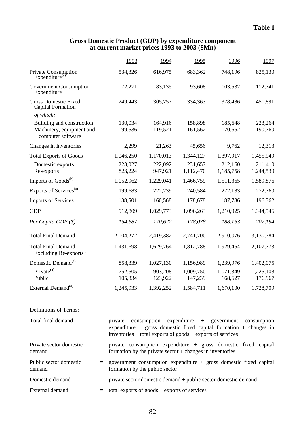### **Gross Domestic Product (GDP) by expenditure component at current market prices 1993 to 2003 (\$Mn)**

|                                                                            |     | 1993                                                                                                                                       | 1994               | 1995                       | 1996                 | 1997                 |  |  |
|----------------------------------------------------------------------------|-----|--------------------------------------------------------------------------------------------------------------------------------------------|--------------------|----------------------------|----------------------|----------------------|--|--|
| Private Consumption<br>Expenditure <sup>(a)</sup>                          |     | 534,326                                                                                                                                    | 616,975            | 683,362                    | 748,196              | 825,130              |  |  |
| <b>Government Consumption</b><br>Expenditure                               |     | 72,271                                                                                                                                     | 83,135             | 93,608                     | 103,532              | 112,741              |  |  |
| <b>Gross Domestic Fixed</b><br><b>Capital Formation</b><br>of which:       |     | 249,443                                                                                                                                    | 305,757            | 334,363                    | 378,486              | 451,891              |  |  |
| Building and construction<br>Machinery, equipment and<br>computer software |     | 130,034<br>99,536                                                                                                                          | 164,916<br>119,521 | 158,898<br>161,562         | 185,648<br>170,652   | 223,264<br>190,760   |  |  |
| Changes in Inventories                                                     |     | 2,299                                                                                                                                      | 21,263             | 45,656                     | 9,762                | 12,313               |  |  |
| <b>Total Exports of Goods</b>                                              |     | 1,046,250                                                                                                                                  | 1,170,013          | 1,344,127                  | 1,397,917            | 1,455,949            |  |  |
| Domestic exports<br>Re-exports                                             |     | 223,027<br>823,224                                                                                                                         | 222,092<br>947,921 | 231,657<br>1,112,470       | 212,160<br>1,185,758 | 211,410<br>1,244,539 |  |  |
| Imports of Goods <sup>(b)</sup>                                            |     | 1,052,962                                                                                                                                  | 1,229,041          | 1,466,759                  | 1,511,365            | 1,589,876            |  |  |
| Exports of Services <sup>(a)</sup>                                         |     | 199,683                                                                                                                                    | 222,239            | 240,584                    | 272,183              | 272,760              |  |  |
| <b>Imports of Services</b>                                                 |     | 138,501                                                                                                                                    | 160,568            | 178,678                    | 187,786              | 196,362              |  |  |
| <b>GDP</b>                                                                 |     | 912,809                                                                                                                                    | 1,029,773          | 1,096,263                  | 1,210,925            | 1,344,546            |  |  |
| Per Capita GDP $(\$)$                                                      |     | 154,687                                                                                                                                    | 170,622            | 178,078                    | 188,163              | 207,194              |  |  |
| <b>Total Final Demand</b>                                                  |     | 2,104,272                                                                                                                                  | 2,419,382          | 2,741,700                  | 2,910,076            | 3,130,784            |  |  |
| <b>Total Final Demand</b><br>Excluding Re-exports <sup>(c)</sup>           |     | 1,431,698                                                                                                                                  | 1,629,764          | 1,812,788                  | 1,929,454            | 2,107,773            |  |  |
| Domestic Demand <sup>(a)</sup>                                             |     | 858,339                                                                                                                                    | 1,027,130          | 1,156,989                  | 1,239,976            | 1,402,075            |  |  |
| Private <sup>(a)</sup><br>Public                                           |     | 752,505<br>105,834                                                                                                                         | 903,208<br>123,922 | 1,009,750<br>147,239       | 1,071,349<br>168,627 | 1,225,108<br>176,967 |  |  |
| External Demand <sup>(a)</sup>                                             |     | 1,245,933                                                                                                                                  | 1,392,252          | 1,584,711                  | 1,670,100            | 1,728,709            |  |  |
| Definitions of Terms:                                                      |     |                                                                                                                                            |                    |                            |                      |                      |  |  |
| Total final demand                                                         | $=$ | private<br>expenditure + gross domestic fixed capital formation + changes in<br>inventories + total exports of goods + exports of services | consumption        | $expenditure + government$ |                      | consumption          |  |  |
| Private sector domestic<br>demand                                          | $=$ | private consumption expenditure + gross domestic fixed capital<br>formation by the private sector $+$ changes in inventories               |                    |                            |                      |                      |  |  |
| Public sector domestic<br>demand                                           | $=$ | government consumption expenditure $+$ gross domestic fixed capital<br>formation by the public sector                                      |                    |                            |                      |                      |  |  |
| Domestic demand                                                            | $=$ | private sector domestic demand + public sector domestic demand                                                                             |                    |                            |                      |                      |  |  |
| External demand                                                            | $=$ | total exports of $goods + exports$ of services                                                                                             |                    |                            |                      |                      |  |  |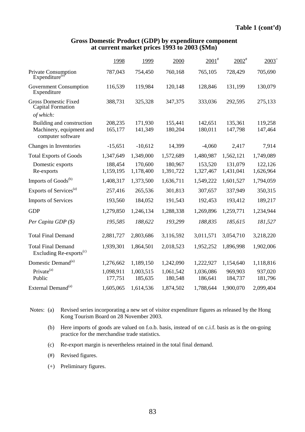#### **Gross Domestic Product (GDP) by expenditure component at current market prices 1993 to 2003 (\$Mn)**

|                                                                            | 1998                 | 1999                 | 2000                 | $2001$ <sup>#</sup>  | $2002$ <sup>#</sup>  | $2003^{+}$           |
|----------------------------------------------------------------------------|----------------------|----------------------|----------------------|----------------------|----------------------|----------------------|
| Private Consumption<br>Expenditure <sup>(a)</sup>                          | 787,043              | 754,450              | 760,168              | 765,105              | 728,429              | 705,690              |
| <b>Government Consumption</b><br>Expenditure                               | 116,539              | 119,984              | 120,148              | 128,846              | 131,199              | 130,079              |
| <b>Gross Domestic Fixed</b><br><b>Capital Formation</b><br>of which:       | 388,731              | 325,328              | 347,375              | 333,036              | 292,595              | 275,133              |
| Building and construction<br>Machinery, equipment and<br>computer software | 208,235<br>165,177   | 171,930<br>141,349   | 155,441<br>180,204   | 142,651<br>180,011   | 135,361<br>147,798   | 119,258<br>147,464   |
| Changes in Inventories                                                     | $-15,651$            | $-10,612$            | 14,399               | $-4,060$             | 2,417                | 7,914                |
| <b>Total Exports of Goods</b>                                              | 1,347,649            | 1,349,000            | 1,572,689            | 1,480,987            | 1,562,121            | 1,749,089            |
| Domestic exports<br>Re-exports                                             | 188,454<br>1,159,195 | 170,600<br>1,178,400 | 180,967<br>1,391,722 | 153,520<br>1,327,467 | 131,079<br>1,431,041 | 122,126<br>1,626,964 |
| Imports of Goods <sup>(b)</sup>                                            | 1,408,317            | 1,373,500            | 1,636,711            | 1,549,222            | 1,601,527            | 1,794,059            |
| Exports of Services <sup>(a)</sup>                                         | 257,416              | 265,536              | 301,813              | 307,657              | 337,949              | 350,315              |
| <b>Imports of Services</b>                                                 | 193,560              | 184,052              | 191,543              | 192,453              | 193,412              | 189,217              |
| <b>GDP</b>                                                                 | 1,279,850            | 1,246,134            | 1,288,338            | 1,269,896            | 1,259,771            | 1,234,944            |
| Per Capita GDP $(\$)$                                                      | 195,585              | 188,622              | 193,299              | 188,835              | 185,615              | 181,527              |
| <b>Total Final Demand</b>                                                  | 2,881,727            | 2,803,686            | 3,116,592            | 3,011,571            | 3,054,710            | 3,218,220            |
| <b>Total Final Demand</b><br>Excluding Re-exports <sup>(c)</sup>           | 1,939,301            | 1,864,501            | 2,018,523            | 1,952,252            | 1,896,998            | 1,902,006            |
| Domestic Demand <sup>(a)</sup>                                             | 1,276,662            | 1,189,150            | 1,242,090            | 1,222,927            | 1,154,640            | 1,118,816            |
| Private <sup>(a)</sup><br>Public                                           | 1,098,911<br>177,751 | 1,003,515<br>185,635 | 1,061,542<br>180,548 | 1,036,086<br>186,641 | 969,903<br>184,737   | 937,020<br>181,796   |
| External Demand <sup>(a)</sup>                                             | 1,605,065            | 1,614,536            | 1,874,502            | 1,788,644            | 1,900,070            | 2,099,404            |

Notes: (a) Revised series incorporating a new set of visitor expenditure figures as released by the Hong Kong Tourism Board on 28 November 2003.

- (b) Here imports of goods are valued on f.o.b. basis, instead of on c.i.f. basis as is the on-going practice for the merchandise trade statistics.
- (c) Re-export margin is nevertheless retained in the total final demand.
- (#) Revised figures.
- (+) Preliminary figures.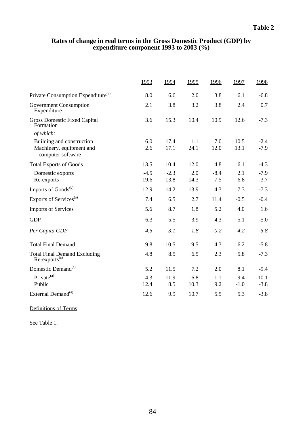### **Rates of change in real terms in the Gross Domestic Product (GDP) by expenditure component 1993 to 2003 (%)**

|                                                        | 1993   | 1994   | 1995 | 1996   | 1997   | 1998    |
|--------------------------------------------------------|--------|--------|------|--------|--------|---------|
| Private Consumption Expenditure <sup>(a)</sup>         | 8.0    | 6.6    | 2.0  | 3.8    | 6.1    | $-6.8$  |
| <b>Government Consumption</b><br>Expenditure           | 2.1    | 3.8    | 3.2  | 3.8    | 2.4    | 0.7     |
| <b>Gross Domestic Fixed Capital</b><br>Formation       | 3.6    | 15.3   | 10.4 | 10.9   | 12.6   | $-7.3$  |
| of which:                                              |        |        |      |        |        |         |
| Building and construction                              | 6.0    | 17.4   | 1.1  | 7.0    | 10.5   | $-2.4$  |
| Machinery, equipment and<br>computer software          | 2.6    | 17.1   | 24.1 | 12.0   | 13.1   | $-7.9$  |
| <b>Total Exports of Goods</b>                          | 13.5   | 10.4   | 12.0 | 4.8    | 6.1    | $-4.3$  |
| Domestic exports                                       | $-4.5$ | $-2.3$ | 2.0  | $-8.4$ | 2.1    | $-7.9$  |
| Re-exports                                             | 19.6   | 13.8   | 14.3 | 7.5    | 6.8    | $-3.7$  |
| Imports of Goods <sup>(b)</sup>                        | 12.9   | 14.2   | 13.9 | 4.3    | 7.3    | $-7.3$  |
| Exports of Services <sup>(a)</sup>                     | 7.4    | 6.5    | 2.7  | 11.4   | $-0.5$ | $-0.4$  |
| <b>Imports of Services</b>                             | 5.6    | 8.7    | 1.8  | 5.2    | 4.0    | 1.6     |
| <b>GDP</b>                                             | 6.3    | 5.5    | 3.9  | 4.3    | 5.1    | $-5.0$  |
| Per Capita GDP                                         | 4.5    | 3.1    | 1.8  | $-0.2$ | 4.2    | $-5.8$  |
| <b>Total Final Demand</b>                              | 9.8    | 10.5   | 9.5  | 4.3    | 6.2    | $-5.8$  |
| <b>Total Final Demand Excluding</b><br>$Re-exports(c)$ | 4.8    | 8.5    | 6.5  | 2.3    | 5.8    | $-7.3$  |
| Domestic Demand <sup>(a)</sup>                         | 5.2    | 11.5   | 7.2  | 2.0    | 8.1    | $-9.4$  |
| Private <sup>(a)</sup>                                 | 4.3    | 11.9   | 6.8  | 1.1    | 9.4    | $-10.1$ |
| Public                                                 | 12.4   | 8.5    | 10.3 | 9.2    | $-1.0$ | $-3.8$  |
| External Demand <sup>(a)</sup>                         | 12.6   | 9.9    | 10.7 | 5.5    | 5.3    | $-3.8$  |

Definitions of Terms:

See Table 1.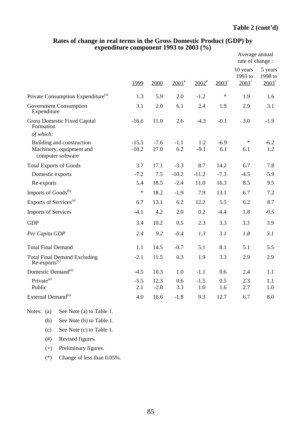|                                                           |         |        |                     |             |          | Average annual<br>rate of change : |                                |
|-----------------------------------------------------------|---------|--------|---------------------|-------------|----------|------------------------------------|--------------------------------|
|                                                           | 1999    | 2000   | $2001$ <sup>#</sup> | $2002^{\#}$ | $2003^+$ | 10 years<br>1993 to<br>$2003^+$    | 5 years<br>1998 to<br>$2003^+$ |
| Private Consumption Expenditure <sup>(a)</sup>            | 1.3     | 5.9    | 2.0                 | $-1.2$      | $\ast$   | 1.9                                | 1.6                            |
| <b>Government Consumption</b><br>Expenditure              | 3.1     | 2.0    | 6.1                 | 2.4         | 1.9      | 2.9                                | 3.1                            |
| <b>Gross Domestic Fixed Capital</b><br>Formation          | $-16.6$ | 11.0   | 2.6                 | $-4.3$      | $-0.1$   | 3.0                                | $-1.9$                         |
| of which:                                                 |         |        |                     |             |          |                                    |                                |
| Building and construction                                 | $-15.5$ | $-7.6$ | $-1.1$              | 1.2         | $-6.9$   | $\ast$                             | $-6.2$                         |
| Machinery, equipment and<br>computer software             | $-18.2$ | 27.0   | 6.2                 | $-9.1$      | 6.1      | 6.1                                | 1.2                            |
| <b>Total Exports of Goods</b>                             | 3.7     | 17.1   | $-3.3$              | 8.7         | 14.2     | 6.7                                | 7.8                            |
| Domestic exports                                          | $-7.2$  | 7.5    | $-10.2$             | $-11.2$     | $-7.3$   | $-4.5$                             | $-5.9$                         |
| Re-exports                                                | 5.4     | 18.5   | $-2.4$              | 11.0        | 16.3     | 8.5                                | 9.5                            |
| Imports of Goods <sup>(b)</sup>                           | $\ast$  | 18.2   | $-1.9$              | 7.9         | 13.1     | 6.7                                | 7.2                            |
| Exports of Services <sup>(a)</sup>                        | 6.7     | 13.1   | 6.2                 | 12.2        | 5.5      | 6.2                                | 8.7                            |
| <b>Imports of Services</b>                                | $-4.1$  | 4.2    | 2.0                 | 0.2         | $-4.4$   | 1.8                                | $-0.5$                         |
| <b>GDP</b>                                                | 3.4     | 10.2   | 0.5                 | 2.3         | 3.3      | 3.3                                | 3.9                            |
| Per Capita GDP                                            | 2.4     | 9.2    | $-0.4$              | 1.3         | 3.1      | 1.8                                | 3.1                            |
| <b>Total Final Demand</b>                                 | 1.1     | 14.5   | $-0.7$              | 5.1         | 8.1      | 5.1                                | 5.5                            |
| Total Final Demand Excluding<br>Re-exports <sup>(c)</sup> | $-2.1$  | 11.5   | 0.3                 | 1.9         | 3.3      | 2.9                                | 2.9                            |
| Domestic Demand <sup>(a)</sup>                            | $-4.5$  | 10.3   | 1.0                 | $-1.1$      | 0.6      | 2.4                                | 1.1                            |
| Private <sup>(a)</sup>                                    | $-5.5$  | 12.3   | 0.6                 | $-1.5$      | 0.5      | 2.3                                | 1.1                            |
| Public                                                    | 2.1     | $-2.8$ | 3.3                 | 1.0         | 1.6      | 2.7                                | 1.0                            |
| External Demand <sup>(a)</sup>                            | 4.0     | 16.6   | $-1.8$              | 9.3         | 12.7     | 6.7                                | 8.0                            |

### **Rates of change in real terms in the Gross Domestic Product (GDP) by expenditure component 1993 to 2003 (%)**

|  | Notes: (a) See Note (a) to Table 1. |
|--|-------------------------------------|
|  | (b) See Note (b) to Table 1.        |
|  | (c) See Note $(c)$ to Table 1.      |
|  | $(\#)$ Revised figures.             |

- (+) Preliminary figures.
- (\*) Change of less than 0.05%.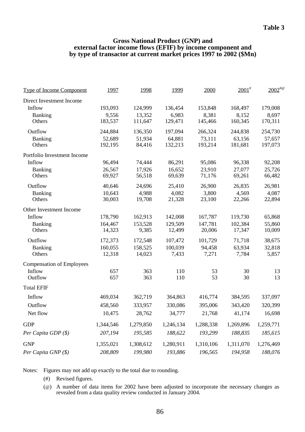### **Gross National Product (GNP) and external factor income flows (EFIF) by income component and by type of transactor at current market prices 1997 to 2002 (\$Mn)**

| <b>Type of Income Component</b>  | 1997      | 1998      | 1999      | 2000      | $2001$ <sup>#</sup> | $2002^{40}$ |
|----------------------------------|-----------|-----------|-----------|-----------|---------------------|-------------|
| Direct Investment Income         |           |           |           |           |                     |             |
| Inflow                           | 193,093   | 124,999   | 136,454   | 153,848   | 168,497             | 179,008     |
| Banking                          | 9,556     | 13,352    | 6,983     | 8,381     | 8,152               | 8,697       |
| Others                           | 183,537   | 111,647   | 129,471   | 145,466   | 160,345             | 170,311     |
| Outflow                          | 244,884   | 136,350   | 197,094   | 266,324   | 244,838             | 254,730     |
| Banking                          | 52,689    | 51,934    | 64,881    | 73,111    | 63,156              | 57,657      |
| Others                           | 192,195   | 84,416    | 132,213   | 193,214   | 181,681             | 197,073     |
| Portfolio Investment Income      |           |           |           |           |                     |             |
| Inflow                           | 96,494    | 74,444    | 86,291    | 95,086    | 96,338              | 92,208      |
| Banking                          | 26,567    | 17,926    | 16,652    | 23,910    | 27,077              | 25,726      |
| Others                           | 69,927    | 56,518    | 69,639    | 71,176    | 69,261              | 66,482      |
| Outflow                          | 40,646    | 24,696    | 25,410    | 26,900    | 26,835              | 26,981      |
| <b>Banking</b>                   | 10,643    | 4,988     | 4,082     | 3,800     | 4,569               | 4,087       |
| Others                           | 30,003    | 19,708    | 21,328    | 23,100    | 22,266              | 22,894      |
| Other Investment Income          |           |           |           |           |                     |             |
| Inflow                           | 178,790   | 162,913   | 142,008   | 167,787   | 119,730             | 65,868      |
| <b>Banking</b>                   | 164,467   | 153,528   | 129,509   | 147,781   | 102,384             | 55,860      |
| Others                           | 14,323    | 9,385     | 12,499    | 20,006    | 17,347              | 10,009      |
| Outflow                          | 172,373   | 172,548   | 107,472   | 101,729   | 71,718              | 38,675      |
| <b>Banking</b>                   | 160,055   | 158,525   | 100,039   | 94,458    | 63,934              | 32,818      |
| Others                           | 12,318    | 14,023    | 7,433     | 7,271     | 7,784               | 5,857       |
| <b>Compensation of Employees</b> |           |           |           |           |                     |             |
| Inflow                           | 657       | 363       | 110       | 53        | 30                  | 13          |
| Outflow                          | 657       | 363       | 110       | 53        | 30                  | 13          |
| <b>Total EFIF</b>                |           |           |           |           |                     |             |
| Inflow                           | 469,034   | 362,719   | 364,863   | 416,774   | 384,595             | 337,097     |
| Outflow                          | 458,560   | 333,957   | 330,086   | 395,006   | 343,420             | 320,399     |
| Net flow                         | 10,475    | 28,762    | 34,777    | 21,768    | 41,174              | 16,698      |
| <b>GDP</b>                       | 1,344,546 | 1,279,850 | 1,246,134 | 1,288,338 | 1,269,896           | 1,259,771   |
| Per Capita GDP (\$)              | 207,194   | 195,585   | 188,622   | 193,299   | 188,835             | 185,615     |
| <b>GNP</b>                       | 1,355,021 | 1,308,612 | 1,280,911 | 1,310,106 | 1,311,070           | 1,276,469   |
| Per Capita GNP (\$)              | 208,809   | 199,980   | 193,886   | 196,565   | 194,958             | 188,076     |
|                                  |           |           |           |           |                     |             |

Notes: Figures may not add up exactly to the total due to rounding.

- (#) Revised figures.
- (@) A number of data items for 2002 have been adjusted to incorporate the necessary changes as revealed from a data quality review conducted in January 2004.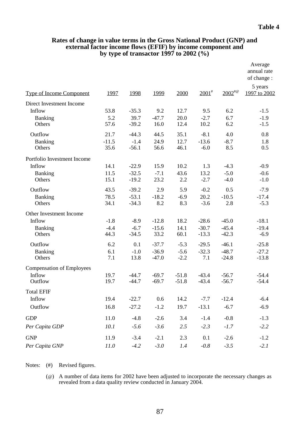|                                  |                 |                   |                 |              |                   |               | Average<br>annual rate<br>of change: |
|----------------------------------|-----------------|-------------------|-----------------|--------------|-------------------|---------------|--------------------------------------|
| <b>Type of Income Component</b>  | 1997            | 1998              | 1999            | 2000         | $2001^*$          | $2002^{40}$   | 5 years<br>1997 to 2002              |
| Direct Investment Income         |                 |                   |                 |              |                   |               |                                      |
| Inflow                           | 53.8            | $-35.3$           | 9.2             | 12.7         | 9.5               | 6.2           | $-1.5$                               |
| Banking<br>Others                | 5.2<br>57.6     | 39.7<br>$-39.2$   | $-47.7$<br>16.0 | 20.0<br>12.4 | $-2.7$<br>10.2    | 6.7<br>6.2    | $-1.9$<br>$-1.5$                     |
| Outflow                          | 21.7            | $-44.3$           | 44.5            | 35.1         | $-8.1$            | 4.0           | 0.8                                  |
| <b>Banking</b><br>Others         | $-11.5$<br>35.6 | $-1.4$<br>$-56.1$ | 24.9<br>56.6    | 12.7<br>46.1 | $-13.6$<br>$-6.0$ | $-8.7$<br>8.5 | 1.8<br>0.5                           |
| Portfolio Investment Income      |                 |                   |                 |              |                   |               |                                      |
| Inflow                           | 14.1            | $-22.9$           | 15.9            | 10.2         | 1.3               | $-4.3$        | $-0.9$                               |
| Banking                          | 11.5            | $-32.5$           | $-7.1$          | 43.6         | 13.2              | $-5.0$        | $-0.6$                               |
| Others                           | 15.1            | $-19.2$           | 23.2            | 2.2          | $-2.7$            | $-4.0$        | $-1.0$                               |
| Outflow                          | 43.5            | $-39.2$           | 2.9             | 5.9          | $-0.2$            | 0.5           | $-7.9$                               |
| Banking                          | 78.5            | $-53.1$           | $-18.2$         | $-6.9$       | 20.2              | $-10.5$       | $-17.4$                              |
| Others                           | 34.1            | $-34.3$           | 8.2             | 8.3          | $-3.6$            | 2.8           | $-5.3$                               |
| Other Investment Income          |                 |                   |                 |              |                   |               |                                      |
| Inflow                           | $-1.8$          | $-8.9$            | $-12.8$         | 18.2         | $-28.6$           | $-45.0$       | $-18.1$                              |
| Banking                          | $-4.4$          | $-6.7$            | $-15.6$         | 14.1         | $-30.7$           | $-45.4$       | $-19.4$                              |
| Others                           | 44.3            | $-34.5$           | 33.2            | 60.1         | $-13.3$           | $-42.3$       | $-6.9$                               |
| Outflow                          | 6.2             | 0.1               | $-37.7$         | $-5.3$       | $-29.5$           | $-46.1$       | $-25.8$                              |
| <b>Banking</b>                   | 6.1             | $-1.0$            | $-36.9$         | $-5.6$       | $-32.3$           | $-48.7$       | $-27.2$                              |
| Others                           | 7.1             | 13.8              | $-47.0$         | $-2.2$       | 7.1               | $-24.8$       | $-13.8$                              |
| <b>Compensation of Employees</b> |                 |                   |                 |              |                   |               |                                      |
| Inflow                           | 19.7            | $-44.7$           | $-69.7$         | $-51.8$      | $-43.4$           | $-56.7$       | $-54.4$                              |
| Outflow                          | 19.7            | $-44.7$           | $-69.7$         | $-51.8$      | $-43.4$           | $-56.7$       | $-54.4$                              |
| <b>Total EFIF</b>                |                 |                   |                 |              |                   |               |                                      |
| Inflow                           | 19.4            | $-22.7$           | 0.6             | 14.2         | $-7.7$            | $-12.4$       | $-6.4$                               |
| Outflow                          | 16.8            | $-27.2$           | $-1.2$          | 19.7         | $-13.1$           | $-6.7$        | $-6.9$                               |
| <b>GDP</b>                       | 11.0            | $-4.8$            | $-2.6$          | 3.4          | $-1.4$            | $-0.8$        | $-1.3$                               |
| Per Capita GDP                   | 10.1            | $-5.6$            | $-3.6$          | 2.5          | $-2.3$            | $-1.7$        | $-2.2$                               |
| <b>GNP</b>                       | 11.9            | $-3.4$            | $-2.1$          | 2.3          | 0.1               | $-2.6$        | $-1.2$                               |
| Per Capita GNP                   | 11.0            | $-4.2$            | $-3.0$          | 1.4          | $-0.8$            | $-3.5$        | $-2.1$                               |

### **Rates of change in value terms in the Gross National Product (GNP) and external factor income flows (EFIF) by income component and by type of transactor 1997 to 2002 (%)**

Notes: (#) Revised figures.

(@) A number of data items for 2002 have been adjusted to incorporate the necessary changes as revealed from a data quality review conducted in January 2004.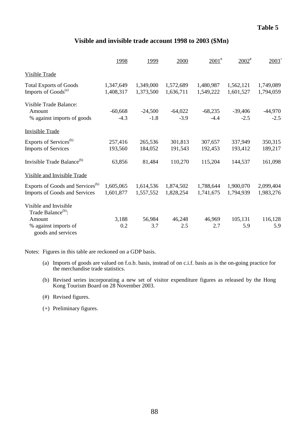## **Visible and invisible trade account 1998 to 2003 (\$Mn)**

|                                              | 1998      | 1999      | 2000      | $2001$ <sup>#</sup> | $2002^*$  | $2003^+$  |
|----------------------------------------------|-----------|-----------|-----------|---------------------|-----------|-----------|
| <b>Visible Trade</b>                         |           |           |           |                     |           |           |
| <b>Total Exports of Goods</b>                | 1,347,649 | 1,349,000 | 1,572,689 | 1,480,987           | 1,562,121 | 1,749,089 |
| Imports of Goods <sup>(a)</sup>              | 1,408,317 | 1,373,500 | 1,636,711 | 1,549,222           | 1,601,527 | 1,794,059 |
| Visible Trade Balance:                       |           |           |           |                     |           |           |
| Amount                                       | $-60,668$ | $-24,500$ | $-64,022$ | $-68,235$           | $-39,406$ | $-44,970$ |
| % against imports of goods                   | $-4.3$    | $-1.8$    | $-3.9$    | $-4.4$              | $-2.5$    | $-2.5$    |
| <b>Invisible Trade</b>                       |           |           |           |                     |           |           |
| Exports of Services <sup>(b)</sup>           | 257,416   | 265,536   | 301,813   | 307,657             | 337,949   | 350,315   |
| <b>Imports of Services</b>                   | 193,560   | 184,052   | 191,543   | 192,453             | 193,412   | 189,217   |
| Invisible Trade Balance <sup>(b)</sup>       | 63,856    | 81,484    | 110,270   | 115,204             | 144,537   | 161,098   |
| <b>Visible and Invisible Trade</b>           |           |           |           |                     |           |           |
| Exports of Goods and Services <sup>(b)</sup> | 1,605,065 | 1,614,536 | 1,874,502 | 1,788,644           | 1,900,070 | 2,099,404 |
| <b>Imports of Goods and Services</b>         | 1,601,877 | 1,557,552 | 1,828,254 | 1,741,675           | 1,794,939 | 1,983,276 |
| Visible and Invisible                        |           |           |           |                     |           |           |
| Trade Balance <sup>(b)</sup> :               |           |           |           |                     |           |           |
| Amount                                       | 3,188     | 56,984    | 46,248    | 46,969              | 105,131   | 116,128   |
| % against imports of<br>goods and services   | 0.2       | 3.7       | 2.5       | 2.7                 | 5.9       | 5.9       |

Notes: Figures in this table are reckoned on a GDP basis.

- (a) Imports of goods are valued on f.o.b. basis, instead of on c.i.f. basis as is the on-going practice for the merchandise trade statistics.
- (b) Revised series incorporating a new set of visitor expenditure figures as released by the Hong Kong Tourism Board on 28 November 2003.
- (#) Revised figures.
- (+) Preliminary figures.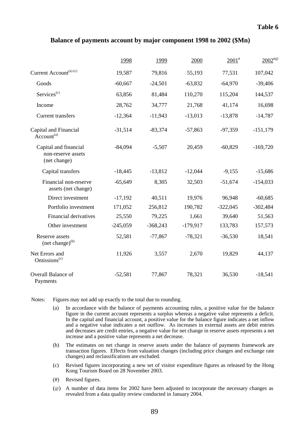### **Table 6**

### **Balance of payments account by major component 1998 to 2002 (\$Mn)**

|                                                             | 1998       | 1999       | 2000       | $2001^*$   | $2002^{40}$ |
|-------------------------------------------------------------|------------|------------|------------|------------|-------------|
| Current Account <sup>(a) (c)</sup>                          | 19,587     | 79,816     | 55,193     | 77,531     | 107,042     |
| Goods                                                       | $-60,667$  | $-24,501$  | $-63,832$  | $-64,970$  | $-39,406$   |
| Services <sup>(c)</sup>                                     | 63,856     | 81,484     | 110,270    | 115,204    | 144,537     |
| Income                                                      | 28,762     | 34,777     | 21,768     | 41,174     | 16,698      |
| Current transfers                                           | $-12,364$  | $-11,943$  | $-13,013$  | $-13,878$  | $-14,787$   |
| Capital and Financial<br>Account <sup>(a)</sup>             | $-31,514$  | $-83,374$  | $-57,863$  | $-97,359$  | $-151,179$  |
| Capital and financial<br>non-reserve assets<br>(net change) | $-84,094$  | $-5,507$   | 20,459     | $-60,829$  | $-169,720$  |
| Capital transfers                                           | $-18,445$  | $-13,812$  | $-12,044$  | $-9,155$   | $-15,686$   |
| Financial non-reserve<br>assets (net change)                | $-65,649$  | 8,305      | 32,503     | $-51,674$  | $-154,033$  |
| Direct investment                                           | $-17,192$  | 40,511     | 19,976     | 96,948     | $-60,685$   |
| Portfolio investment                                        | 171,052    | 256,812    | 190,782    | $-322,045$ | $-302,484$  |
| <b>Financial derivatives</b>                                | 25,550     | 79,225     | 1,661      | 39,640     | 51,563      |
| Other investment                                            | $-245,059$ | $-368,243$ | $-179,917$ | 133,783    | 157,573     |
| Reserve assets<br>$(net change)^{(b)}$                      | 52,581     | $-77,867$  | $-78,321$  | $-36,530$  | 18,541      |
| Net Errors and<br>Omissions <sup><math>(c)</math></sup>     | 11,926     | 3,557      | 2,670      | 19,829     | 44,137      |
| Overall Balance of<br>Payments                              | $-52,581$  | 77,867     | 78,321     | 36,530     | $-18,541$   |

Notes: Figures may not add up exactly to the total due to rounding.

- (a) In accordance with the balance of payments accounting rules, a positive value for the balance figure in the current account represents a surplus whereas a negative value represents a deficit. In the capital and financial account, a positive value for the balance figure indicates a net inflow and a negative value indicates a net outflow. As increases in external assets are debit entries and decreases are credit entries, a negative value for net change in reserve assets represents a net increase and a positive value represents a net decrease.
- (b) The estimates on net change in reserve assets under the balance of payments framework are transaction figures. Effects from valuation changes (including price changes and exchange rate changes) and reclassifications are excluded.
- (c) Revised figures incorporating a new set of visitor expenditure figures as released by the Hong Kong Tourism Board on 28 November 2003.
- (#) Revised figures.
- (@) A number of data items for 2002 have been adjusted to incorporate the necessary changes as revealed from a data quality review conducted in January 2004.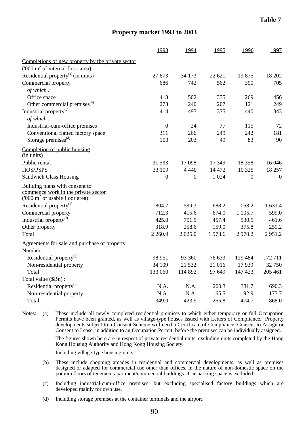### **Property market 1993 to 2003**

|                                                                                                                     | 1993             | 1994         | 1995   | 1996           | 1997             |
|---------------------------------------------------------------------------------------------------------------------|------------------|--------------|--------|----------------|------------------|
| Completions of new property by the private sector                                                                   |                  |              |        |                |                  |
| ('000 m <sup>2</sup> of internal floor area)                                                                        |                  |              |        |                |                  |
| Residential property $^{(a)}$ (in units)                                                                            | 27 673           | 34 173       | 22 621 | 19875          | 18 20 2          |
| Commercial property                                                                                                 | 686              | 742          | 562    | 390            | 705              |
| of which:                                                                                                           |                  |              |        |                |                  |
| Office space                                                                                                        | 413              | 502          | 355    | 269            | 456              |
| Other commercial premises <sup>(b)</sup>                                                                            | 273              | 240          | 207    | 121            | 249              |
| Industrial property <sup>(c)</sup>                                                                                  | 414              | 493          | 375    | 440            | 343              |
| of which:                                                                                                           |                  |              |        |                |                  |
| Industrial-cum-office premises                                                                                      | $\boldsymbol{0}$ | 24           | 77     | 115            | 72               |
| Conventional flatted factory space                                                                                  | 311              | 266          | 249    | 242            | 181              |
| Storage premises <sup>(d)</sup>                                                                                     | 103              | 203          | 49     | 83             | 90               |
| Completion of public housing<br>(in units)                                                                          |                  |              |        |                |                  |
| Public rental                                                                                                       | 31 533           | 17098        | 17 349 | 18 358         | 16 04 6          |
| HOS/PSPS                                                                                                            | 33 109           | 4 4 4 0      | 14 472 | 10 3 25        | 18 257           |
| <b>Sandwich Class Housing</b>                                                                                       | $\boldsymbol{0}$ | $\mathbf{0}$ | 1 0 24 | $\overline{0}$ | $\boldsymbol{0}$ |
| Building plans with consent to<br>commence work in the private sector<br>('000 m <sup>2</sup> of usable floor area) |                  |              |        |                |                  |
| Residential property <sup>(e)</sup>                                                                                 | 804.7            | 599.3        | 688.2  | 1 0 58.2       | 1 631.4          |
| Commercial property                                                                                                 | 712.3            | 415.6        | 674.0  | 1 005.7        | 599.0            |
| Industrial property <sup>(f)</sup>                                                                                  | 425.0            | 751.5        | 457.4  | 530.5          | 461.6            |
| Other property                                                                                                      | 318.9            | 258.6        | 159.0  | 375.8          | 259.2            |
| Total                                                                                                               | 2 2 6 0.9        | 2 0 2 5 .0   | 1978.6 | 2970.2         | 2951.2           |
| Agreements for sale and purchase of property<br>Number:                                                             |                  |              |        |                |                  |
| Residential property <sup>(g)</sup>                                                                                 | 98 951           | 93 360       | 76 633 | 129 484        | 172 711          |
| Non-residential property                                                                                            | 34 109           | 21 532       | 21 016 | 17939          | 32 750           |
| Total                                                                                                               | 133 060          | 114 892      | 97 649 | 147 423        | 205 461          |
| Total value (\$Bn):                                                                                                 |                  |              |        |                |                  |
| Residential property <sup>(g)</sup>                                                                                 | N.A.             | N.A.         | 200.3  | 381.7          | 690.3            |
| Non-residential property                                                                                            | N.A.             | N.A.         | 65.5   | 92.9           | 177.7            |
| Total                                                                                                               | 349.0            | 423.9        | 265.8  | 474.7          | 868.0            |

Notes: (a) These include all newly completed residential premises to which either temporary or full Occupation Permits have been granted, as well as village-type houses issued with Letters of Compliance. Property developments subject to a Consent Scheme will need a Certificate of Compliance, Consent to Assign or Consent to Lease, in addition to an Occupation Permit, before the premises can be individually assigned.

> The figures shown here are in respect of private residential units, excluding units completed by the Hong Kong Housing Authority and Hong Kong Housing Society.

Including village-type housing units.

- (b) These include shopping arcades in residential and commercial developments, as well as premises designed or adapted for commercial use other than offices, in the nature of non-domestic space on the podium floors of tenement apartment/commercial buildings. Car-parking space is excluded.
- (c) Including industrial-cum-office premises, but excluding specialised factory buildings which are developed mainly for own use.
- (d) Including storage premises at the container terminals and the airport.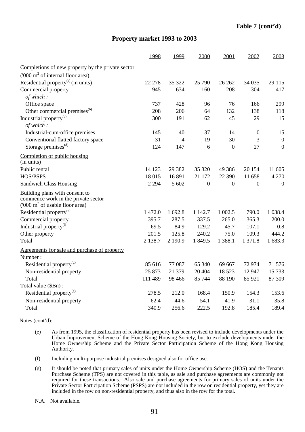### **Property market 1993 to 2003**

|                                                                                                                           | 1998       | 1999     | 2000             | 2001             | 2002             | 2003             |
|---------------------------------------------------------------------------------------------------------------------------|------------|----------|------------------|------------------|------------------|------------------|
| Completions of new property by the private sector                                                                         |            |          |                  |                  |                  |                  |
| $(000 \text{ m}^2 \text{ of internal floor area})$                                                                        |            |          |                  |                  |                  |                  |
| Residential property <sup>(a)</sup> (in units)                                                                            | 22 278     | 35 322   | 25 790           | 26 26 2          | 34 0 35          | 29 115           |
| Commercial property                                                                                                       | 945        | 634      | 160              | 208              | 304              | 417              |
| of which:                                                                                                                 |            |          |                  |                  |                  |                  |
| Office space                                                                                                              | 737        | 428      | 96               | 76               | 166              | 299              |
| Other commercial premises <sup>(b)</sup>                                                                                  | 208        | 206      | 64               | 132              | 138              | 118              |
| Industrial property <sup>(c)</sup>                                                                                        | 300        | 191      | 62               | 45               | 29               | 15               |
| of which:                                                                                                                 |            |          |                  |                  |                  |                  |
| Industrial-cum-office premises                                                                                            | 145        | 40       | 37               | 14               | $\boldsymbol{0}$ | 15               |
| Conventional flatted factory space                                                                                        | 31         | 4        | 19               | 30               | 3                | $\boldsymbol{0}$ |
| Storage premises <sup>(d)</sup>                                                                                           | 124        | 147      | 6                | $\overline{0}$   | 27               | $\boldsymbol{0}$ |
| Completion of public housing<br>(in units)                                                                                |            |          |                  |                  |                  |                  |
| Public rental                                                                                                             | 14 123     | 29 3 8 2 | 35 820           | 49 3 8 6         | 20 154           | 11 605           |
| HOS/PSPS                                                                                                                  | 18015      | 16 891   | 21 172           | 22 390           | 11 658           | 4 2 7 0          |
| <b>Sandwich Class Housing</b>                                                                                             | 2 2 9 4    | 5 602    | $\boldsymbol{0}$ | $\boldsymbol{0}$ | $\boldsymbol{0}$ | $\overline{0}$   |
| Building plans with consent to<br>commence work in the private sector<br>$(000 \text{ m}^2 \text{ of usable floor area})$ |            |          |                  |                  |                  |                  |
| Residential property <sup>(e)</sup>                                                                                       | 1 472.0    | 1 692.8  | 1 1 4 2.7        | 1 002.5          | 790.0            | 1 0 38.4         |
| Commercial property                                                                                                       | 395.7      | 287.5    | 337.5            | 265.0            | 365.3            | 200.0            |
| Industrial property <sup>(f)</sup>                                                                                        | 69.5       | 84.9     | 129.2            | 45.7             | 107.1            | 0.8              |
| Other property                                                                                                            | 201.5      | 125.8    | 240.2            | 75.0             | 109.3            | 444.2            |
| Total                                                                                                                     | 2 1 3 8 .7 | 2 190.9  | 1 849.5          | 1 3 8 8.1        | 1 371.8          | 1 683.3          |
| Agreements for sale and purchase of property<br>Number:                                                                   |            |          |                  |                  |                  |                  |
| Residential property <sup>(g)</sup>                                                                                       | 85 616     | 77 087   | 65 340           | 69 667           | 72 974           | 71 576           |
| Non-residential property                                                                                                  | 25 873     | 21 379   | 20 404           | 18 5 23          | 12 947           | 15 733           |
| Total                                                                                                                     | 111 489    | 98 4 66  | 85 744           | 88 190           | 85 921           | 87 309           |
| Total value (\$Bn):                                                                                                       |            |          |                  |                  |                  |                  |
| Residential property <sup>(g)</sup>                                                                                       | 278.5      | 212.0    | 168.4            | 150.9            | 154.3            | 153.6            |
| Non-residential property                                                                                                  | 62.4       | 44.6     | 54.1             | 41.9             | 31.1             | 35.8             |
| Total                                                                                                                     | 340.9      | 256.6    | 222.5            | 192.8            | 185.4            | 189.4            |

Notes (cont'd):

- (e) As from 1995, the classification of residential property has been revised to include developments under the Urban Improvement Scheme of the Hong Kong Housing Society, but to exclude developments under the Home Ownership Scheme and the Private Sector Participation Scheme of the Hong Kong Housing Authority.
- (f) Including multi-purpose industrial premises designed also for office use.
- (g) It should be noted that primary sales of units under the Home Ownership Scheme (HOS) and the Tenants Purchase Scheme (TPS) are not covered in this table, as sale and purchase agreements are commonly not required for these transactions. Also sale and purchase agreements for primary sales of units under the Private Sector Participation Scheme (PSPS) are not included in the row on residential property, yet they are included in the row on non-residential property, and thus also in the row for the total.

N.A. Not available.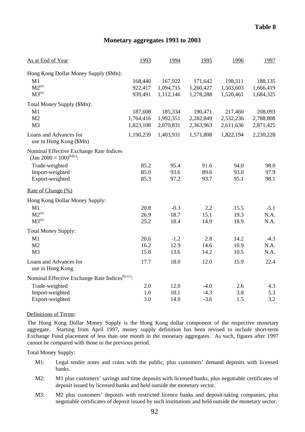### **Monetary aggregates 1993 to 2003**

| As at End of Year                                                                                                                          | 1993                              | 1994                              | 1995                              | 1996                              | 1997                              |
|--------------------------------------------------------------------------------------------------------------------------------------------|-----------------------------------|-----------------------------------|-----------------------------------|-----------------------------------|-----------------------------------|
| Hong Kong Dollar Money Supply (\$Mn):<br>M1<br>$M2^{(a)}$<br>$M3^{(a)}$                                                                    | 168,440<br>922,417<br>939,491     | 167,922<br>1,094,715<br>1,112,146 | 171,642<br>1,260,427<br>1,278,288 | 198,311<br>1,503,603<br>1,520,461 | 188,135<br>1,666,419<br>1,684,325 |
| Total Money Supply (\$Mn):<br>M1<br>M <sub>2</sub><br>M <sub>3</sub>                                                                       | 187,608<br>1,764,416<br>1,823,108 | 185,334<br>1,992,351<br>2,070,831 | 190,471<br>2,282,849<br>2,363,963 | 217,460<br>2,532,236<br>2,611,636 | 208,093<br>2,788,808<br>2,871,425 |
| Loans and Advances for<br>use in Hong Kong (\$Mn)                                                                                          | 1,190,239                         | 1,403,931                         | 1,571,808                         | 1,822,194                         | 2,230,228                         |
| Nominal Effective Exchange Rate Indices<br>(Jan 2000 = $100$ ) <sup>(b)(c)</sup> :<br>Trade-weighted<br>Import-weighted<br>Export-weighted | 85.2<br>85.0<br>85.3              | 95.4<br>93.6<br>97.2              | 91.6<br>89.6<br>93.7              | 94.0<br>93.0<br>95.1              | 98.0<br>97.9<br>98.1              |
| Rate of Change (%)                                                                                                                         |                                   |                                   |                                   |                                   |                                   |
| Hong Kong Dollar Money Supply:<br>M1<br>$M2^{(a)}$<br>$M3^{(a)}$                                                                           | 20.8<br>26.9<br>25.2              | $-0.3$<br>18.7<br>18.4            | 2.2<br>15.1<br>14.9               | 15.5<br>19.3<br>18.9              | $-5.1$<br>N.A.<br>N.A.            |
| <b>Total Money Supply:</b><br>M1<br>M <sub>2</sub><br>M <sub>3</sub>                                                                       | 20.6<br>16.2<br>15.8              | $-1.2$<br>12.9<br>13.6            | 2.8<br>14.6<br>14.2               | 14.2<br>10.9<br>10.5              | $-4.3$<br>N.A.<br>N.A.            |
| Loans and Advances for<br>use in Hong Kong                                                                                                 | 17.7                              | 18.0                              | 12.0                              | 15.9                              | 22.4                              |
| Nominal Effective Exchange Rate Indices <sup>(b) (c)</sup> :<br>Trade-weighted<br>Import-weighted<br>Export-weighted                       | 2.0<br>1.0<br>3.0                 | 12.0<br>10.1<br>14.0              | $-4.0$<br>$-4.3$<br>$-3.6$        | 2.6<br>3.8<br>1.5                 | 4.3<br>5.3<br>3.2                 |

#### Definitions of Terms:

The Hong Kong Dollar Money Supply is the Hong Kong dollar component of the respective monetary aggregate. Starting from April 1997, money supply definition has been revised to include short-term Exchange Fund placement of less than one month in the monetary aggregates. As such, figures after 1997 cannot be compared with those in the previous period.

Total Money Supply:

- M1: Legal tender notes and coins with the public, plus customers' demand deposits with licensed banks.
- M2: M1 plus customers' savings and time deposits with licensed banks, plus negotiable certificates of deposit issued by licensed banks and held outside the monetary sector.
- M3: M2 plus customers' deposits with restricted licence banks and deposit-taking companies, plus negotiable certificates of deposit issued by such institutions and held outside the monetary sector.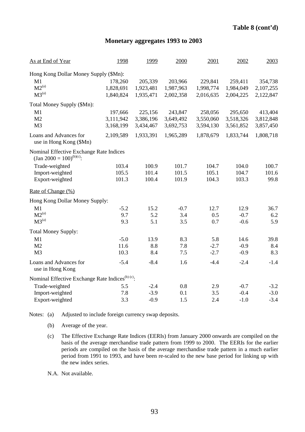## **Monetary aggregates 1993 to 2003**

| As at End of Year                                                                  | 1998      | 1999      | 2000      | 2001      | 2002      | 2003      |
|------------------------------------------------------------------------------------|-----------|-----------|-----------|-----------|-----------|-----------|
| Hong Kong Dollar Money Supply (\$Mn):                                              |           |           |           |           |           |           |
| M1                                                                                 | 178,260   | 205,339   | 203,966   | 229,841   | 259,411   | 354,738   |
| $M2^{(a)}$                                                                         | 1,828,691 | 1,923,481 | 1,987,963 | 1,998,774 | 1,984,049 | 2,107,255 |
| M3 <sup>(a)</sup>                                                                  | 1,840,824 | 1,935,471 | 2,002,358 | 2,016,635 | 2,004,225 | 2,122,847 |
| Total Money Supply (\$Mn):                                                         |           |           |           |           |           |           |
| M1                                                                                 | 197,666   | 225,156   | 243,847   | 258,056   | 295,650   | 413,404   |
| M2                                                                                 | 3,111,942 | 3,386,196 | 3,649,492 | 3,550,060 | 3,518,326 | 3,812,848 |
| M <sub>3</sub>                                                                     | 3,168,199 | 3,434,467 | 3,692,753 | 3,594,130 | 3,561,852 | 3,857,450 |
| Loans and Advances for<br>use in Hong Kong (\$Mn)                                  | 2,109,589 | 1,933,391 | 1,965,289 | 1,878,679 | 1,833,744 | 1,808,718 |
| Nominal Effective Exchange Rate Indices<br>(Jan 2000 = $100$ ) <sup>(b)(c)</sup> : |           |           |           |           |           |           |
| Trade-weighted                                                                     | 103.4     | 100.9     | 101.7     | 104.7     | 104.0     | 100.7     |
| Import-weighted                                                                    | 105.5     | 101.4     | 101.5     | 105.1     | 104.7     | 101.6     |
| Export-weighted                                                                    | 101.3     | 100.4     | 101.9     | 104.3     | 103.3     | 99.8      |
| Rate of Change $(\%)$                                                              |           |           |           |           |           |           |
| Hong Kong Dollar Money Supply:                                                     |           |           |           |           |           |           |
| M1                                                                                 | $-5.2$    | 15.2      | $-0.7$    | 12.7      | 12.9      | 36.7      |
| $M2^{(a)}$                                                                         | 9.7       | 5.2       | 3.4       | 0.5       | $-0.7$    | 6.2       |
| M3 <sup>(a)</sup>                                                                  | 9.3       | 5.1       | 3.5       | 0.7       | $-0.6$    | 5.9       |
| <b>Total Money Supply:</b>                                                         |           |           |           |           |           |           |
| M1                                                                                 | $-5.0$    | 13.9      | 8.3       | 5.8       | 14.6      | 39.8      |
| M2                                                                                 | 11.6      | 8.8       | 7.8       | $-2.7$    | $-0.9$    | 8.4       |
| M <sub>3</sub>                                                                     | 10.3      | 8.4       | 7.5       | $-2.7$    | $-0.9$    | 8.3       |
| Loans and Advances for<br>use in Hong Kong                                         | $-5.4$    | $-8.4$    | 1.6       | $-4.4$    | $-2.4$    | $-1.4$    |
| Nominal Effective Exchange Rate Indices <sup>(b) (c)</sup> :                       |           |           |           |           |           |           |
| Trade-weighted                                                                     | 5.5       | $-2.4$    | 0.8       | 2.9       | $-0.7$    | $-3.2$    |
| Import-weighted                                                                    | 7.8       | $-3.9$    | 0.1       | 3.5       | $-0.4$    | $-3.0$    |
| Export-weighted                                                                    | 3.3       | $-0.9$    | 1.5       | 2.4       | $-1.0$    | $-3.4$    |

Notes: (a) Adjusted to include foreign currency swap deposits.

- (b) Average of the year.
- (c) The Effective Exchange Rate Indices (EERIs) from January 2000 onwards are compiled on the basis of the average merchandise trade pattern from 1999 to 2000. The EERIs for the earlier periods are compiled on the basis of the average merchandise trade pattern in a much earlier period from 1991 to 1993, and have been re-scaled to the new base period for linking up with the new index series.

N.A. Not available.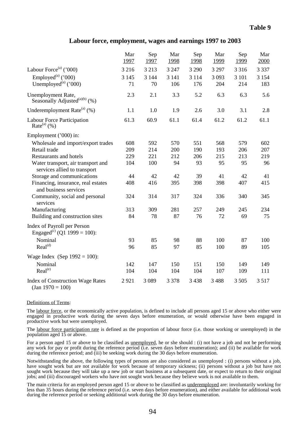#### **Labour force, employment, wages and earnings 1997 to 2003**

|                                                                        | Mar<br>1997   | Sep<br>1997   | Mar<br>1998    | Sep<br>1998    | Mar<br>1999    | Sep<br>1999    | Mar<br>2000    |
|------------------------------------------------------------------------|---------------|---------------|----------------|----------------|----------------|----------------|----------------|
| Labour Force <sup>(a)</sup> ('000)                                     | 3 2 1 6       | 3 2 1 3       | 3 2 4 7        | 3 2 9 0        | 3 2 9 7        | 3 3 1 6        | 3 3 3 7        |
| Employed <sup>(a)</sup> ('000)<br>Unemployed $^{(a)}$ ('000)           | 3 1 4 5<br>71 | 3 1 4 4<br>70 | 3 1 4 1<br>106 | 3 1 1 4<br>176 | 3 0 9 3<br>204 | 3 1 0 1<br>214 | 3 1 5 4<br>183 |
| Unemployment Rate,<br>Seasonally Adjusted <sup>(a)(b)</sup> (%)        | 2.3           | 2.1           | 3.3            | 5.2            | 6.3            | 6.3            | 5.6            |
| Underemployment Rate $^{(a)}$ (%)                                      | 1.1           | 1.0           | 1.9            | 2.6            | 3.0            | 3.1            | 2.8            |
| Labour Force Participation<br>Rate $^{(a)}$ (%)                        | 61.3          | 60.9          | 61.1           | 61.4           | 61.2           | 61.2           | 61.1           |
| Employment ('000) in:                                                  |               |               |                |                |                |                |                |
| Wholesale and import/export trades                                     | 608           | 592           | 570            | 551            | 568            | 579            | 602            |
| Retail trade                                                           | 209           | 214           | 200            | 190            | 193            | 206            | 207            |
| <b>Restaurants and hotels</b>                                          | 229           | 221           | 212            | 206            | 215            | 213            | 219            |
| Water transport, air transport and<br>services allied to transport     | 104           | 100           | 94             | 93             | 95             | 95             | 96             |
| Storage and communications                                             | 44            | 42            | 42             | 39             | 41             | 42             | 41             |
| Financing, insurance, real estates<br>and business services            | 408           | 416           | 395            | 398            | 398            | 407            | 415            |
| Community, social and personal<br>services                             | 324           | 314           | 317            | 324            | 336            | 340            | 345            |
| Manufacturing                                                          | 313           | 309           | 281            | 257            | 249            | 245            | 234            |
| Building and construction sites                                        | 84            | 78            | 87             | 76             | 72             | 69             | 75             |
| Index of Payroll per Person<br>Engaged <sup>(c)</sup> (Q1 1999 = 100): |               |               |                |                |                |                |                |
| Nominal                                                                | 93            | 85            | 98             | 88             | 100            | 87             | 100            |
| Real <sup>(d)</sup>                                                    | 96            | 85            | 97             | 85             | 100            | 89             | 105            |
| Wage Index (Sep $1992 = 100$ ):                                        |               |               |                |                |                |                |                |
| Nominal                                                                | 142           | 147           | 150            | 151            | 150            | 149            | 149            |
| Real <sup>(e)</sup>                                                    | 104           | 104           | 104            | 104            | 107            | 109            | 111            |
| <b>Index of Construction Wage Rates</b><br>$\text{(Jan 1970)} = 100$   | 2921          | 3 0 8 9       | 3 3 7 8        | 3 4 3 8        | 3488           | 3 5 0 5        | 3517           |

#### Definitions of Terms:

The labour force, or the economically active population, is defined to include all persons aged 15 or above who either were engaged in productive work during the seven days before enumeration, or would otherwise have been engaged in productive work but were unemployed.

The labour force participation rate is defined as the proportion of labour force (i.e. those working or unemployed) in the population aged 15 or above.

For a person aged 15 or above to be classified as unemployed, he or she should : (i) not have a job and not be performing any work for pay or profit during the reference period (i.e. seven days before enumeration); and (ii) be available for work during the reference period; and (iii) be seeking work during the 30 days before enumeration.

Notwithstanding the above, the following types of persons are also considered as unemployed : (i) persons without a job, have sought work but are not available for work because of temporary sickness; (ii) persons without a job but have not sought work because they will take up a new job or start business at a subsequent date, or expect to return to their original jobs; and (iii) discouraged workers who have not sought work because they believe work is not available to them.

The main criteria for an employed person aged 15 or above to be classified as underemployed are: involuntarily working for less than 35 hours during the reference period (i.e. seven days before enumeration), and either available for additional work during the reference period or seeking additional work during the 30 days before enumeration.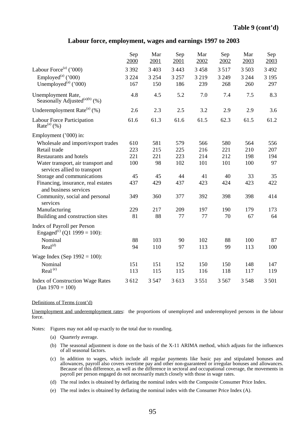#### **Labour force, employment, wages and earnings 1997 to 2003**

|                                                                        | Sep<br>2000    | Mar<br>2001    | Sep<br>2001    | Mar<br>2002    | Sep<br>2002    | Mar<br>2003    | Sep<br>2003    |
|------------------------------------------------------------------------|----------------|----------------|----------------|----------------|----------------|----------------|----------------|
| Labour Force <sup>(a)</sup> ('000)                                     | 3 3 9 2        | 3 4 0 3        | 3 4 4 3        | 3 4 5 8        | 3517           | 3 5 0 3        | 3 4 9 2        |
| Employed <sup>(a)</sup> ('000)<br>Unemployed $^{(a)}$ ('000)           | 3 2 2 4<br>167 | 3 2 5 4<br>150 | 3 2 5 7<br>186 | 3 2 1 9<br>239 | 3 2 4 9<br>268 | 3 2 4 4<br>260 | 3 1 9 5<br>297 |
| Unemployment Rate,<br>Seasonally Adjusted <sup>(a)(b)</sup> (%)        | 4.8            | 4.5            | 5.2            | 7.0            | 7.4            | 7.5            | 8.3            |
| Underemployment Rate $^{(a)}$ (%)                                      | 2.6            | 2.3            | 2.5            | 3.2            | 2.9            | 2.9            | 3.6            |
| Labour Force Participation<br>Rate $^{(a)}$ (%)                        | 61.6           | 61.3           | 61.6           | 61.5           | 62.3           | 61.5           | 61.2           |
| Employment ('000) in:                                                  |                |                |                |                |                |                |                |
| Wholesale and import/export trades                                     | 610            | 581            | 579            | 566            | 580            | 564            | 556            |
| Retail trade                                                           | 223            | 215            | 225            | 216            | 221            | 210            | 207            |
| Restaurants and hotels                                                 | 221            | 221            | 223            | 214            | 212            | 198            | 194            |
| Water transport, air transport and<br>services allied to transport     | 100            | 98             | 102            | 101            | 101            | 100            | 97             |
| Storage and communications                                             | 45             | 45             | 44             | 41             | 40             | 33             | 35             |
| Financing, insurance, real estates<br>and business services            | 437            | 429            | 437            | 423            | 424            | 423            | 422            |
| Community, social and personal<br>services                             | 349            | 360            | 377            | 392            | 398            | 398            | 414            |
| Manufacturing                                                          | 229            | 217            | 209            | 197            | 190            | 179            | 173            |
| Building and construction sites                                        | 81             | 88             | 77             | 77             | 70             | 67             | 64             |
| Index of Payroll per Person<br>Engaged <sup>(c)</sup> (Q1 1999 = 100): |                |                |                |                |                |                |                |
| Nominal                                                                | 88             | 103            | 90             | 102            | 88             | 100            | 87             |
| Real <sup>(d)</sup>                                                    | 94             | 110            | 97             | 113            | 99             | 113            | 100            |
| Wage Index (Sep $1992 = 100$ ):                                        |                |                |                |                |                |                |                |
| Nominal                                                                | 151            | 151            | 152            | 150            | 150            | 148            | 147            |
| Real <sup>(e)</sup>                                                    | 113            | 115            | 115            | 116            | 118            | 117            | 119            |
| <b>Index of Construction Wage Rates</b><br>$(Jan 1970 = 100)$          | 3 6 12         | 3 5 4 7        | 3 613          | 3551           | 3 5 6 7        | 3 5 4 8        | 3 5 0 1        |

#### Definitions of Terms (cont'd)

Unemployment and underemployment rates: the proportions of unemployed and underemployed persons in the labour force.

Notes: Figures may not add up exactly to the total due to rounding.

- (a) Quarterly average.
- (b) The seasonal adjustment is done on the basis of the X-11 ARIMA method, which adjusts for the influences of all seasonal factors.
- (c) In addition to wages, which include all regular payments like basic pay and stipulated bonuses and allowances, payroll also covers overtime pay and other non-guaranteed or irregular bonuses and allowances. Because of this difference, as well as the difference in sectoral and occupational coverage, the movements in payroll per person engaged do not necessarily match closely with those in wage rates.
- (d) The real index is obtained by deflating the nominal index with the Composite Consumer Price Index.
- (e) The real index is obtained by deflating the nominal index with the Consumer Price Index (A).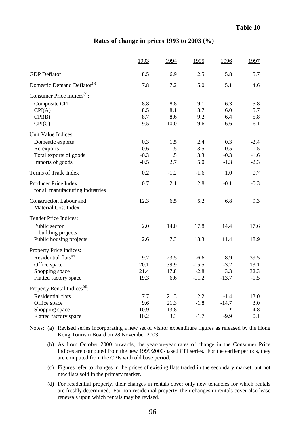#### **Rates of change in prices 1993 to 2003 (%)**

|                                                              | 1993   | 1994   | 1995    | 1996    | 1997   |
|--------------------------------------------------------------|--------|--------|---------|---------|--------|
| <b>GDP</b> Deflator                                          | 8.5    | 6.9    | 2.5     | 5.8     | 5.7    |
| Domestic Demand Deflator <sup>(a)</sup>                      | 7.8    | 7.2    | 5.0     | 5.1     | 4.6    |
| Consumer Price Indices <sup>(b)</sup> :                      |        |        |         |         |        |
| Composite CPI                                                | 8.8    | 8.8    | 9.1     | 6.3     | 5.8    |
| CPI(A)                                                       | 8.5    | 8.1    | 8.7     | 6.0     | 5.7    |
| CPI(B)                                                       | 8.7    | 8.6    | 9.2     | 6.4     | 5.8    |
| CPI(C)                                                       | 9.5    | 10.0   | 9.6     | 6.6     | 6.1    |
| Unit Value Indices:                                          |        |        |         |         |        |
| Domestic exports                                             | 0.3    | 1.5    | 2.4     | 0.3     | $-2.4$ |
| Re-exports                                                   | $-0.6$ | 1.5    | 3.5     | $-0.5$  | $-1.5$ |
| Total exports of goods                                       | $-0.3$ | 1.5    | 3.3     | $-0.3$  | $-1.6$ |
| Imports of goods                                             | $-0.5$ | 2.7    | 5.0     | $-1.3$  | $-2.3$ |
| Terms of Trade Index                                         | 0.2    | $-1.2$ | $-1.6$  | 1.0     | 0.7    |
| Producer Price Index<br>for all manufacturing industries     | 0.7    | 2.1    | 2.8     | $-0.1$  | $-0.3$ |
| <b>Construction Labour and</b><br><b>Material Cost Index</b> | 12.3   | 6.5    | 5.2     | 6.8     | 9.3    |
| <b>Tender Price Indices:</b>                                 |        |        |         |         |        |
| Public sector<br>building projects                           | 2.0    | 14.0   | 17.8    | 14.4    | 17.6   |
| Public housing projects                                      | 2.6    | 7.3    | 18.3    | 11.4    | 18.9   |
| Property Price Indices:                                      |        |        |         |         |        |
| Residential flats <sup>(c)</sup>                             | 9.2    | 23.5   | $-6.6$  | 8.9     | 39.5   |
| Office space                                                 | 20.1   | 39.9   | $-15.5$ | $-3.2$  | 13.1   |
| Shopping space                                               | 21.4   | 17.8   | $-2.8$  | 3.3     | 32.3   |
| Flatted factory space                                        | 19.3   | 6.6    | $-11.2$ | $-13.7$ | $-1.5$ |
| Property Rental Indices <sup>(d)</sup> :                     |        |        |         |         |        |
| <b>Residential flats</b>                                     | 7.7    | 21.3   | 2.2     | $-1.4$  | 13.0   |
| Office space                                                 | 9.6    | 21.3   | $-1.8$  | $-14.7$ | 3.0    |
| Shopping space                                               | 10.9   | 13.8   | 1.1     | $\star$ | 4.8    |
| Flatted factory space                                        | 10.2   | 3.3    | $-1.7$  | $-9.9$  | 0.1    |

Notes: (a) Revised series incorporating a new set of visitor expenditure figures as released by the Hong Kong Tourism Board on 28 November 2003.

- (b) As from October 2000 onwards, the year-on-year rates of change in the Consumer Price Indices are computed from the new 1999/2000-based CPI series. For the earlier periods, they are computed from the CPIs with old base period.
- (c) Figures refer to changes in the prices of existing flats traded in the secondary market, but not new flats sold in the primary market.
- (d) For residential property, their changes in rentals cover only new tenancies for which rentals are freshly determined. For non-residential property, their changes in rentals cover also lease renewals upon which rentals may be revised.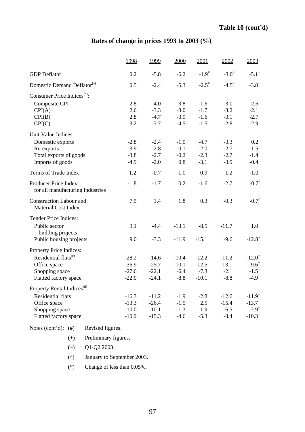# **Rates of change in prices 1993 to 2003 (%)**

|                                                              | 1998    | 1999    | 2000    | 2001       | 2002              | 2003                |
|--------------------------------------------------------------|---------|---------|---------|------------|-------------------|---------------------|
| <b>GDP</b> Deflator                                          | 0.2     | $-5.8$  | $-6.2$  | $-1.9^{#}$ | $-3.0^{\text{*}}$ | $-5.1$ <sup>+</sup> |
| Domestic Demand Deflator <sup>(a)</sup>                      | 0.5     | $-2.4$  | $-5.3$  | $-2.5^*$   | $-4.5^{\#}$       | $-3.8^{+}$          |
| Consumer Price Indices <sup>(b)</sup> :                      |         |         |         |            |                   |                     |
| Composite CPI                                                | 2.8     | $-4.0$  | $-3.8$  | $-1.6$     | $-3.0$            | $-2.6$              |
| CPI(A)                                                       | 2.6     | $-3.3$  | $-3.0$  | $-1.7$     | $-3.2$            | $-2.1$              |
| CPI(B)                                                       | 2.8     | $-4.7$  | $-3.9$  | $-1.6$     | $-3.1$            | $-2.7$              |
| CPI(C)                                                       | 3.2     | $-3.7$  | $-4.5$  | $-1.5$     | $-2.8$            | $-2.9$              |
| Unit Value Indices:                                          |         |         |         |            |                   |                     |
| Domestic exports                                             | $-2.8$  | $-2.4$  | $-1.0$  | $-4.7$     | $-3.3$            | 0.2                 |
| Re-exports                                                   | $-3.9$  | $-2.8$  | $-0.1$  | $-2.0$     | $-2.7$            | $-1.5$              |
| Total exports of goods                                       | $-3.8$  | $-2.7$  | $-0.2$  | $-2.3$     | $-2.7$            | $-1.4$              |
| Imports of goods                                             | $-4.9$  | $-2.0$  | 0.8     | $-3.1$     | $-3.9$            | $-0.4$              |
| Terms of Trade Index                                         | 1.2     | $-0.7$  | $-1.0$  | 0.9        | 1.2               | $-1.0$              |
| Producer Price Index<br>for all manufacturing industries     | $-1.8$  | $-1.7$  | 0.2     | $-1.6$     | $-2.7$            | $-0.7^{\circ}$      |
| <b>Construction Labour and</b><br><b>Material Cost Index</b> | 7.5     | 1.4     | 1.8     | 0.3        | $-0.3$            | $-0.7^{\circ}$      |
| Tender Price Indices:                                        |         |         |         |            |                   |                     |
| Public sector<br>building projects                           | 9.1     | $-4.4$  | $-13.1$ | $-8.5$     | $-11.7$           | 1.0 <sup>°</sup>    |
| Public housing projects                                      | 9.0     | $-3.3$  | $-11.9$ | $-15.1$    | $-9.6$            | $-12.8$             |
| Property Price Indices:                                      |         |         |         |            |                   |                     |
| Residential flats <sup>(c)</sup>                             | $-28.2$ | $-14.6$ | $-10.4$ | $-12.2$    | $-11.2$           | $-12.0^+$           |
| Office space                                                 | $-36.9$ | $-25.7$ | $-10.1$ | $-12.5$    | $-13.1$           | $-9.6^{+}$          |
| Shopping space                                               | $-27.6$ | $-22.1$ | $-6.4$  | $-7.3$     | $-2.1$            | $-1.5^{+}$          |
| Flatted factory space                                        | $-22.0$ | $-24.1$ | $-8.8$  | $-10.1$    | $-8.8$            | $-4.9^{+}$          |
| Property Rental Indices <sup>(d)</sup> :                     |         |         |         |            |                   |                     |
| <b>Residential flats</b>                                     | $-16.3$ | $-11.2$ | $-1.9$  | $-2.8$     | $-12.6$           | $-11.9^{+}$         |
| Office space                                                 | $-13.3$ | $-26.4$ | $-1.5$  | 2.5        | $-15.4$           | $-13.7^{+}$         |
| Shopping space                                               | $-10.0$ | $-10.1$ | 1.3     | $-1.9$     | $-6.5$            | $-7.9^{+}$          |
| Flatted factory space                                        | $-10.9$ | $-15.3$ | $-4.6$  | $-5.3$     | $-8.4$            | $-10.3^{+}$         |
|                                                              |         |         |         |            |                   |                     |

|  | Notes $(cont'd)$ : $(#)$ |  | Revised figures. |  |
|--|--------------------------|--|------------------|--|
|--|--------------------------|--|------------------|--|

- (+) Preliminary figures.
- $\left(\sim\right)$  Q1-Q2 2003.
- (^) January to September 2003.
- (\*) Change of less than 0.05%.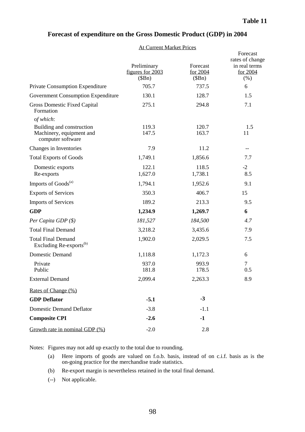| <b>Forecast of expenditure on the Gross Domestic Product (GDP) in 2004</b> |  |
|----------------------------------------------------------------------------|--|
|----------------------------------------------------------------------------|--|

#### At Current Market Prices

|                                                                            | Preliminary<br>figures for 2003 | Forecast<br>for 2004 | Forecast<br>rates of change<br>in real terms<br>for 2004 |
|----------------------------------------------------------------------------|---------------------------------|----------------------|----------------------------------------------------------|
|                                                                            | (SBn)                           | (SBn)                | (% )                                                     |
| Private Consumption Expenditure                                            | 705.7                           | 737.5                | 6                                                        |
| <b>Government Consumption Expenditure</b>                                  | 130.1                           | 128.7                | 1.5                                                      |
| <b>Gross Domestic Fixed Capital</b><br>Formation                           | 275.1                           | 294.8                | 7.1                                                      |
| of which:                                                                  |                                 |                      |                                                          |
| Building and construction<br>Machinery, equipment and<br>computer software | 119.3<br>147.5                  | 120.7<br>163.7       | 1.5<br>11                                                |
| Changes in Inventories                                                     | 7.9                             | 11.2                 | --                                                       |
| <b>Total Exports of Goods</b>                                              | 1,749.1                         | 1,856.6              | 7.7                                                      |
| Domestic exports<br>Re-exports                                             | 122.1<br>1,627.0                | 118.5<br>1,738.1     | $-2$<br>8.5                                              |
| Imports of Goods <sup>(a)</sup>                                            | 1,794.1                         | 1,952.6              | 9.1                                                      |
| <b>Exports of Services</b>                                                 | 350.3                           | 406.7                | 15                                                       |
| <b>Imports of Services</b>                                                 | 189.2                           | 213.3                | 9.5                                                      |
| <b>GDP</b>                                                                 | 1,234.9                         | 1,269.7              | 6                                                        |
| Per Capita GDP (\$)                                                        | 181,527                         | 184,500              | 4.7                                                      |
| <b>Total Final Demand</b>                                                  | 3,218.2                         | 3,435.6              | 7.9                                                      |
| <b>Total Final Demand</b><br>Excluding Re-exports <sup>(b)</sup>           | 1,902.0                         | 2,029.5              | 7.5                                                      |
| <b>Domestic Demand</b>                                                     | 1,118.8                         | 1,172.3              | 6                                                        |
| Private<br>Public                                                          | 937.0<br>181.8                  | 993.9<br>178.5       | 7<br>0.5                                                 |
| <b>External Demand</b>                                                     | 2,099.4                         | 2,263.3              | 8.9                                                      |
| Rates of Change (%)                                                        |                                 |                      |                                                          |
| <b>GDP</b> Deflator                                                        | $-5.1$                          | $-3$                 |                                                          |
| <b>Domestic Demand Deflator</b>                                            | $-3.8$                          | $-1.1$               |                                                          |
| <b>Composite CPI</b>                                                       | $-2.6$                          | $-1$                 |                                                          |
| Growth rate in nominal GDP $(\%)$                                          | $-2.0$                          | 2.8                  |                                                          |

Notes: Figures may not add up exactly to the total due to rounding.

- (a) Here imports of goods are valued on f.o.b. basis, instead of on c.i.f. basis as is the on-going practice for the merchandise trade statistics.
- (b) Re-export margin is nevertheless retained in the total final demand.
- (--) Not applicable.